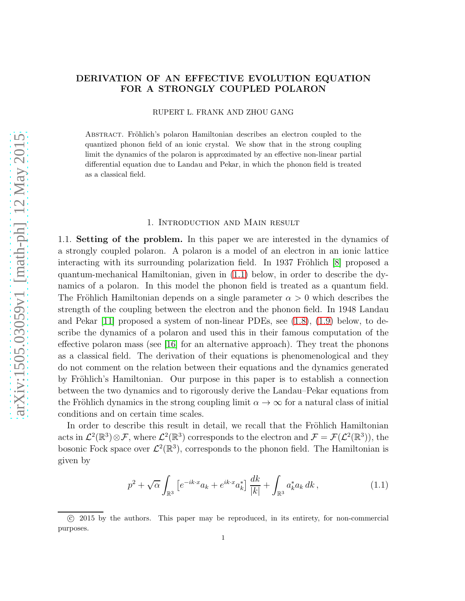# DERIVATION OF AN EFFECTIVE EVOLUTION EQUATION FOR A STRONGLY COUPLED POLARON

RUPERT L. FRANK AND ZHOU GANG

ABSTRACT. Fröhlich's polaron Hamiltonian describes an electron coupled to the quantized phonon field of an ionic crystal. We show that in the strong coupling limit the dynamics of the polaron is approximated by an effective non-linear partial differential equation due to Landau and Pekar, in which the phonon field is treated as a classical field.

#### 1. Introduction and Main result

1.1. Setting of the problem. In this paper we are interested in the dynamics of a strongly coupled polaron. A polaron is a model of an electron in an ionic lattice interacting with its surrounding polarization field. In 1937 Fröhlich  $[8]$  proposed a quantum-mechanical Hamiltonian, given in [\(1.1\)](#page-0-0) below, in order to describe the dynamics of a polaron. In this model the phonon field is treated as a quantum field. The Fröhlich Hamiltonian depends on a single parameter  $\alpha > 0$  which describes the strength of the coupling between the electron and the phonon field. In 1948 Landau and Pekar [\[11\]](#page-45-1) proposed a system of non-linear PDEs, see [\(1.8\)](#page-1-0), [\(1.9\)](#page-1-1) below, to describe the dynamics of a polaron and used this in their famous computation of the effective polaron mass (see [\[16\]](#page-45-2) for an alternative approach). They treat the phonons as a classical field. The derivation of their equations is phenomenological and they do not comment on the relation between their equations and the dynamics generated by Fröhlich's Hamiltonian. Our purpose in this paper is to establish a connection between the two dynamics and to rigorously derive the Landau–Pekar equations from the Fröhlich dynamics in the strong coupling limit  $\alpha \to \infty$  for a natural class of initial conditions and on certain time scales.

In order to describe this result in detail, we recall that the Fröhlich Hamiltonian acts in  $\mathcal{L}^2(\mathbb{R}^3)\otimes\mathcal{F}$ , where  $\mathcal{L}^2(\mathbb{R}^3)$  corresponds to the electron and  $\mathcal{F}=\mathcal{F}(\mathcal{L}^2(\mathbb{R}^3))$ , the bosonic Fock space over  $\mathcal{L}^2(\mathbb{R}^3)$ , corresponds to the phonon field. The Hamiltonian is given by

<span id="page-0-0"></span>
$$
p^{2} + \sqrt{\alpha} \int_{\mathbb{R}^{3}} \left[ e^{-ik \cdot x} a_{k} + e^{ik \cdot x} a_{k}^{*} \right] \frac{dk}{|k|} + \int_{\mathbb{R}^{3}} a_{k}^{*} a_{k} dk , \qquad (1.1)
$$

c 2015 by the authors. This paper may be reproduced, in its entirety, for non-commercial purposes.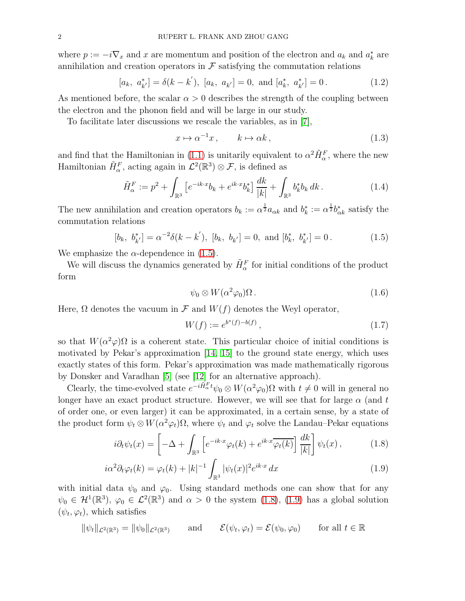where  $p := -i\nabla_x$  and x are momentum and position of the electron and  $a_k$  and  $a_k^*$  are annihilation and creation operators in  $\mathcal F$  satisfying the commutation relations

$$
[a_k, a_{k'}^*] = \delta(k - k'), [a_k, a_{k'}] = 0, \text{ and } [a_k^*, a_{k'}^*] = 0.
$$
 (1.2)

As mentioned before, the scalar  $\alpha > 0$  describes the strength of the coupling between the electron and the phonon field and will be large in our study.

To facilitate later discussions we rescale the variables, as in [\[7\]](#page-45-3),

$$
x \mapsto \alpha^{-1} x, \qquad k \mapsto \alpha k, \tag{1.3}
$$

and find that the Hamiltonian in [\(1.1\)](#page-0-0) is unitarily equivalent to  $\alpha^2 \tilde{H}_{\alpha}^F$ , where the new Hamiltonian  $\tilde{H}_{\alpha}^{F}$ , acting again in  $\mathcal{L}^{2}(\mathbb{R}^{3})\otimes\mathcal{F}$ , is defined as

$$
\tilde{H}_{\alpha}^{F} := p^2 + \int_{\mathbb{R}^3} \left[ e^{-ik \cdot x} b_k + e^{ik \cdot x} b_k^* \right] \frac{dk}{|k|} + \int_{\mathbb{R}^3} b_k^* b_k dk . \tag{1.4}
$$

The new annihilation and creation operators  $b_k := \alpha^{\frac{1}{2}} a_{\alpha k}$  and  $b_k^* := \alpha^{\frac{1}{2}} b_{\alpha k}^*$  satisfy the commutation relations

$$
[b_k, b_{k'}^*] = \alpha^{-2}\delta(k - k'), [b_k, b_{k'}] = 0, \text{ and } [b_k^*, b_{k'}^*] = 0.
$$
 (1.5)

We emphasize the  $\alpha$ -dependence in [\(1.5\)](#page-1-2).

We will discuss the dynamics generated by  $\tilde{H}_{\alpha}^{F}$  for initial conditions of the product form

<span id="page-1-3"></span><span id="page-1-2"></span>
$$
\psi_0 \otimes W(\alpha^2 \varphi_0) \Omega \,. \tag{1.6}
$$

Here,  $\Omega$  denotes the vacuum in  $\mathcal F$  and  $W(f)$  denotes the Weyl operator,

<span id="page-1-1"></span><span id="page-1-0"></span>
$$
W(f) := e^{b^*(f) - b(f)}, \tag{1.7}
$$

so that  $W(\alpha^2 \varphi) \Omega$  is a coherent state. This particular choice of initial conditions is motivated by Pekar's approximation [\[14,](#page-45-4) [15\]](#page-45-5) to the ground state energy, which uses exactly states of this form. Pekar's approximation was made mathematically rigorous by Donsker and Varadhan [\[5\]](#page-45-6) (see [\[12\]](#page-45-7) for an alternative approach).

Clearly, the time-evolved state  $e^{-i\tilde{H}_\alpha^F t}\psi_0 \otimes W(\alpha^2 \varphi_0) \Omega$  with  $t \neq 0$  will in general no longer have an exact product structure. However, we will see that for large  $\alpha$  (and t of order one, or even larger) it can be approximated, in a certain sense, by a state of the product form  $\psi_t \otimes W(\alpha^2 \varphi_t) \Omega$ , where  $\psi_t$  and  $\varphi_t$  solve the Landau–Pekar equations

$$
i\partial_t \psi_t(x) = \left[ -\Delta + \int_{\mathbb{R}^3} \left[ e^{-ik \cdot x} \varphi_t(k) + e^{ik \cdot x} \overline{\varphi_t(k)} \right] \frac{dk}{|k|} \right] \psi_t(x) , \qquad (1.8)
$$

$$
i\alpha^2 \partial_t \varphi_t(k) = \varphi_t(k) + |k|^{-1} \int_{\mathbb{R}^3} |\psi_t(x)|^2 e^{ik \cdot x} dx \qquad (1.9)
$$

with initial data  $\psi_0$  and  $\varphi_0$ . Using standard methods one can show that for any  $\psi_0 \in \mathcal{H}^1(\mathbb{R}^3)$ ,  $\varphi_0 \in \mathcal{L}^2(\mathbb{R}^3)$  and  $\alpha > 0$  the system [\(1.8\)](#page-1-0), [\(1.9\)](#page-1-1) has a global solution  $(\psi_t, \varphi_t)$ , which satisfies

$$
\|\psi_t\|_{\mathcal{L}^2(\mathbb{R}^3)} = \|\psi_0\|_{\mathcal{L}^2(\mathbb{R}^3)} \quad \text{and} \quad \mathcal{E}(\psi_t, \varphi_t) = \mathcal{E}(\psi_0, \varphi_0) \quad \text{for all } t \in \mathbb{R}
$$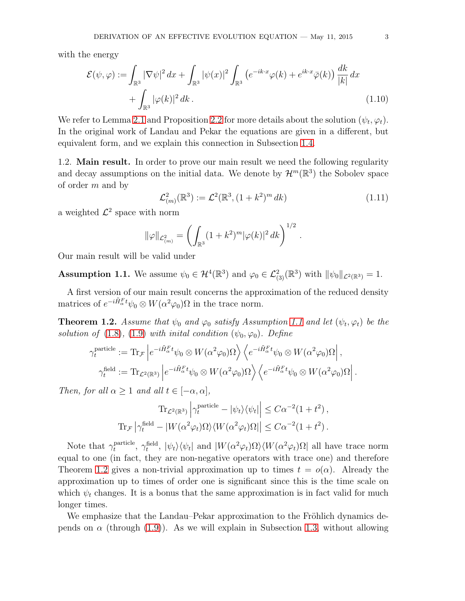with the energy

$$
\mathcal{E}(\psi,\varphi) := \int_{\mathbb{R}^3} |\nabla \psi|^2 dx + \int_{\mathbb{R}^3} |\psi(x)|^2 \int_{\mathbb{R}^3} \left( e^{-ik \cdot x} \varphi(k) + e^{ik \cdot x} \bar{\varphi}(k) \right) \frac{dk}{|k|} dx
$$
  
+ 
$$
\int_{\mathbb{R}^3} |\varphi(k)|^2 dk.
$$
 (1.10)

We refer to Lemma [2.1](#page-7-0) and Proposition [2.2](#page-8-0) for more details about the solution  $(\psi_t, \varphi_t)$ . In the original work of Landau and Pekar the equations are given in a different, but equivalent form, and we explain this connection in Subsection [1.4.](#page-6-0)

1.2. Main result. In order to prove our main result we need the following regularity and decay assumptions on the initial data. We denote by  $\mathcal{H}^m(\mathbb{R}^3)$  the Sobolev space of order m and by

<span id="page-2-2"></span>
$$
\mathcal{L}_{(m)}^2(\mathbb{R}^3) := \mathcal{L}^2(\mathbb{R}^3, (1+k^2)^m dk)
$$
 (1.11)

a weighted  $\mathcal{L}^2$  space with norm

$$
\|\varphi\|_{\mathcal{L}^2_{(m)}} = \left(\int_{\mathbb{R}^3} (1+k^2)^m |\varphi(k)|^2 dk\right)^{1/2}.
$$

Our main result will be valid under

<span id="page-2-0"></span>**Assumption 1.1.** We assume  $\psi_0 \in \mathcal{H}^4(\mathbb{R}^3)$  and  $\varphi_0 \in \mathcal{L}^2_{(3)}(\mathbb{R}^3)$  with  $\|\psi_0\|_{\mathcal{L}^2(\mathbb{R}^3)} = 1$ .

A first version of our main result concerns the approximation of the reduced density matrices of  $e^{-i\tilde{H}_{\alpha}^F t}\psi_0 \otimes W(\alpha^2 \varphi_0) \Omega$  in the trace norm.

<span id="page-2-1"></span>**Theorem 1.2.** Assume that  $\psi_0$  and  $\varphi_0$  satisfy Assumption [1.1](#page-2-0) and let  $(\psi_t, \varphi_t)$  be the solution of [\(1.8\)](#page-1-0), [\(1.9\)](#page-1-1) with initial condition  $(\psi_0, \varphi_0)$ . Define

$$
\gamma_t^{\text{particle}} := \text{Tr}_{\mathcal{F}} \left| e^{-i\tilde{H}_\alpha^F t} \psi_0 \otimes W(\alpha^2 \varphi_0) \Omega \right\rangle \left\langle e^{-i\tilde{H}_\alpha^F t} \psi_0 \otimes W(\alpha^2 \varphi_0) \Omega \right|,
$$
  

$$
\gamma_t^{\text{field}} := \text{Tr}_{\mathcal{L}^2(\mathbb{R}^3)} \left| e^{-i\tilde{H}_\alpha^F t} \psi_0 \otimes W(\alpha^2 \varphi_0) \Omega \right\rangle \left\langle e^{-i\tilde{H}_\alpha^F t} \psi_0 \otimes W(\alpha^2 \varphi_0) \Omega \right|.
$$

Then, for all  $\alpha \geq 1$  and all  $t \in [-\alpha, \alpha]$ ,

$$
\text{Tr}_{\mathcal{L}^2(\mathbb{R}^3)} \left| \gamma_t^{\text{particle}} - |\psi_t\rangle\langle\psi_t| \right| \leq C\alpha^{-2} (1+t^2),
$$
  

$$
\text{Tr}_{\mathcal{F}} \left| \gamma_t^{\text{field}} - |W(\alpha^2 \varphi_t)\Omega\rangle\langle W(\alpha^2 \varphi_t)\Omega| \right| \leq C\alpha^{-2} (1+t^2).
$$

Note that  $\gamma_t^{\text{particle}}$ particle,  $\gamma_t^{\text{field}}$ ,  $|\psi_t\rangle\langle\psi_t|$  and  $|W(\alpha^2\varphi_t)\Omega\rangle\langle W(\alpha^2\varphi_t)\Omega|$  all have trace norm equal to one (in fact, they are non-negative operators with trace one) and therefore Theorem [1.2](#page-2-1) gives a non-trivial approximation up to times  $t = o(\alpha)$ . Already the approximation up to times of order one is significant since this is the time scale on which  $\psi_t$  changes. It is a bonus that the same approximation is in fact valid for much longer times.

We emphasize that the Landau–Pekar approximation to the Fröhlich dynamics depends on  $\alpha$  (through [\(1.9\)](#page-1-1)). As we will explain in Subsection [1.3,](#page-4-0) without allowing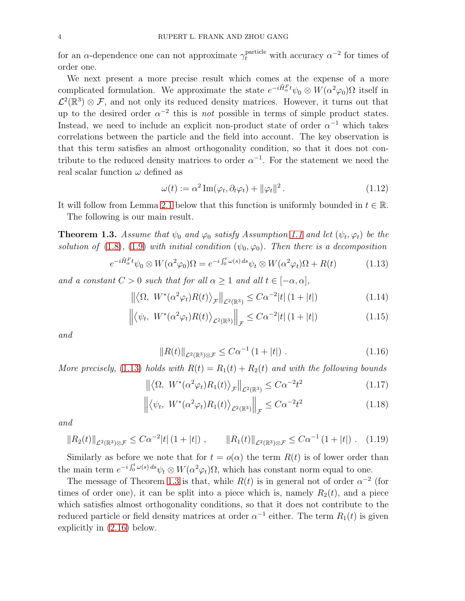for an  $\alpha$ -dependence one can not approximate  $\gamma_t^{\text{particle}}$  with accuracy  $\alpha^{-2}$  for times of order one.

We next present a more precise result which comes at the expense of a more complicated formulation. We approximate the state  $e^{-i\tilde{H}_\alpha^F t}\psi_0 \otimes W(\alpha^2\varphi_0)\Omega$  itself in  $\mathcal{L}^2(\mathbb{R}^3) \otimes \mathcal{F}$ , and not only its reduced density matrices. However, it turns out that up to the desired order  $\alpha^{-2}$  this is *not* possible in terms of simple product states. Instead, we need to include an explicit non-product state of order  $\alpha^{-1}$  which takes correlations between the particle and the field into account. The key observation is that this term satisfies an almost orthogonality condition, so that it does not contribute to the reduced density matrices to order  $\alpha^{-1}$ . For the statement we need the real scalar function  $\omega$  defined as

<span id="page-3-5"></span><span id="page-3-0"></span>
$$
\omega(t) := \alpha^2 \operatorname{Im}(\varphi_t, \partial_t \varphi_t) + ||\varphi_t||^2. \tag{1.12}
$$

It will follow from Lemma [2.1](#page-7-0) below that this function is uniformly bounded in  $t \in \mathbb{R}$ .

The following is our main result.

<span id="page-3-1"></span>**Theorem 1.3.** Assume that  $\psi_0$  and  $\varphi_0$  satisfy Assumption [1.1](#page-2-0) and let  $(\psi_t, \varphi_t)$  be the solution of [\(1.8\)](#page-1-0), [\(1.9\)](#page-1-1) with initial condition  $(\psi_0, \varphi_0)$ . Then there is a decomposition

$$
e^{-i\tilde{H}_\alpha^F t}\psi_0 \otimes W(\alpha^2 \varphi_0)\Omega = e^{-i\int_0^t \omega(s) ds}\psi_t \otimes W(\alpha^2 \varphi_t)\Omega + R(t)
$$
 (1.13)

and a constant  $C > 0$  such that for all  $\alpha \geq 1$  and all  $t \in [-\alpha, \alpha]$ ,

$$
\left\| \left\langle \Omega, \ W^*(\alpha^2 \varphi_t) R(t) \right\rangle_{\mathcal{F}} \right\|_{\mathcal{L}^2(\mathbb{R}^3)} \leq C \alpha^{-2} |t| \left( 1 + |t| \right) \tag{1.14}
$$

$$
\left\| \left\langle \psi_t, \ W^*(\alpha^2 \varphi_t) R(t) \right\rangle_{\mathcal{L}^2(\mathbb{R}^3)} \right\|_{\mathcal{F}} \leq C \alpha^{-2} |t| \left( 1 + |t| \right) \tag{1.15}
$$

and

<span id="page-3-8"></span><span id="page-3-7"></span><span id="page-3-6"></span><span id="page-3-4"></span><span id="page-3-3"></span><span id="page-3-2"></span>
$$
||R(t)||_{\mathcal{L}^2(\mathbb{R}^3)\otimes\mathcal{F}} \leq C\alpha^{-1} (1+|t|) . \tag{1.16}
$$

More precisely, [\(1.13\)](#page-3-0) holds with  $R(t) = R_1(t) + R_2(t)$  and with the following bounds

$$
\left\| \left\langle \Omega, \ W^*(\alpha^2 \varphi_t) R_1(t) \right\rangle_{\mathcal{F}} \right\|_{\mathcal{L}^2(\mathbb{R}^3)} \leq C \alpha^{-2} t^2 \tag{1.17}
$$

$$
\left\| \left\langle \psi_t, \ W^*(\alpha^2 \varphi_t) R_1(t) \right\rangle_{\mathcal{L}^2(\mathbb{R}^3)} \right\|_{\mathcal{F}} \leq C \alpha^{-2} t^2 \tag{1.18}
$$

and

$$
||R_2(t)||_{\mathcal{L}^2(\mathbb{R}^3)\otimes\mathcal{F}} \leq C\alpha^{-2}|t| \left(1+|t|\right), \qquad ||R_1(t)||_{\mathcal{L}^2(\mathbb{R}^3)\otimes\mathcal{F}} \leq C\alpha^{-1} \left(1+|t|\right). \tag{1.19}
$$

Similarly as before we note that for  $t = o(\alpha)$  the term  $R(t)$  is of lower order than the main term  $e^{-i\int_0^t \omega(s) ds} \psi_t \otimes W(\alpha^2 \varphi_t) \Omega$ , which has constant norm equal to one.

The message of Theorem [1.3](#page-3-1) is that, while  $R(t)$  is in general not of order  $\alpha^{-2}$  (for times of order one), it can be split into a piece which is, namely  $R_2(t)$ , and a piece which satisfies almost orthogonality conditions, so that it does not contribute to the reduced particle or field density matrices at order  $\alpha^{-1}$  either. The term  $R_1(t)$  is given explicitly in [\(2.16\)](#page-9-0) below.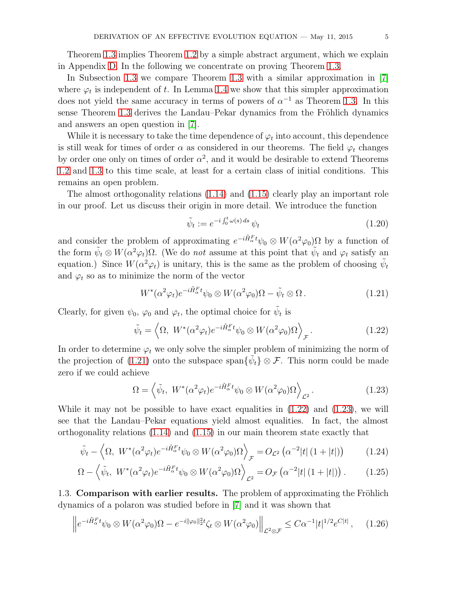Theorem [1.3](#page-3-1) implies Theorem [1.2](#page-2-1) by a simple abstract argument, which we explain in Appendix [D.](#page-43-0) In the following we concentrate on proving Theorem [1.3.](#page-3-1)

In Subsection [1.3](#page-4-0) we compare Theorem [1.3](#page-3-1) with a similar approximation in [\[7\]](#page-45-3) where  $\varphi_t$  is independent of t. In Lemma [1.4](#page-5-0) we show that this simpler approximation does not yield the same accuracy in terms of powers of  $\alpha^{-1}$  as Theorem [1.3.](#page-3-1) In this sense Theorem [1.3](#page-3-1) derives the Landau–Pekar dynamics from the Fröhlich dynamics and answers an open question in [\[7\]](#page-45-3).

While it is necessary to take the time dependence of  $\varphi_t$  into account, this dependence is still weak for times of order  $\alpha$  as considered in our theorems. The field  $\varphi_t$  changes by order one only on times of order  $\alpha^2$ , and it would be desirable to extend Theorems [1.2](#page-2-1) and [1.3](#page-3-1) to this time scale, at least for a certain class of initial conditions. This remains an open problem.

The almost orthogonality relations [\(1.14\)](#page-3-2) and [\(1.15\)](#page-3-3) clearly play an important role in our proof. Let us discuss their origin in more detail. We introduce the function

<span id="page-4-5"></span><span id="page-4-2"></span><span id="page-4-1"></span>
$$
\tilde{\psi}_t := e^{-i \int_0^t \omega(s) \, ds} \, \psi_t \tag{1.20}
$$

and consider the problem of approximating  $e^{-i\tilde{H}_{\alpha}^{F}t}\psi_{0}\otimes W(\alpha^{2}\varphi_{0})\Omega$  by a function of the form  $\tilde{\psi}_t \otimes W(\alpha^2 \varphi_t) \Omega$ . (We do *not* assume at this point that  $\tilde{\psi}_t$  and  $\varphi_t$  satisfy an equation.) Since  $W(\alpha^2 \varphi_t)$  is unitary, this is the same as the problem of choosing  $\tilde{\psi}_t$ and  $\varphi_t$  so as to minimize the norm of the vector

$$
W^*(\alpha^2 \varphi_t) e^{-i\tilde{H}_\alpha^F t} \psi_0 \otimes W(\alpha^2 \varphi_0) \Omega - \tilde{\psi}_t \otimes \Omega.
$$
 (1.21)

Clearly, for given  $\psi_0$ ,  $\varphi_0$  and  $\varphi_t$ , the optimal choice for  $\tilde{\psi}_t$  is

$$
\tilde{\psi}_t = \left\langle \Omega, \ W^*(\alpha^2 \varphi_t) e^{-i\tilde{H}_\alpha^F t} \psi_0 \otimes W(\alpha^2 \varphi_0) \Omega \right\rangle_{\mathcal{F}}.\tag{1.22}
$$

In order to determine  $\varphi_t$  we only solve the simpler problem of minimizing the norm of the projection of [\(1.21\)](#page-4-1) onto the subspace span $\{\tilde{\psi}_t\} \otimes \mathcal{F}$ . This norm could be made zero if we could achieve

<span id="page-4-3"></span>
$$
\Omega = \left\langle \tilde{\psi}_t, \ W^*(\alpha^2 \varphi_t) e^{-i\tilde{H}_\alpha^F t} \psi_0 \otimes W(\alpha^2 \varphi_0) \Omega \right\rangle_{\mathcal{L}^2}.
$$
\n(1.23)

While it may not be possible to have exact equalities in  $(1.22)$  and  $(1.23)$ , we will see that the Landau–Pekar equations yield almost equalities. In fact, the almost orthogonality relations [\(1.14\)](#page-3-2) and [\(1.15\)](#page-3-3) in our main theorem state exactly that

$$
\tilde{\psi}_t - \left\langle \Omega, \ W^*(\alpha^2 \varphi_t) e^{-i\tilde{H}_\alpha^F t} \psi_0 \otimes W(\alpha^2 \varphi_0) \Omega \right\rangle_{\mathcal{F}} = O_{\mathcal{L}^2} \left( \alpha^{-2} |t| \left( 1 + |t| \right) \right) \tag{1.24}
$$

$$
\Omega - \left\langle \tilde{\psi}_t, \ W^*(\alpha^2 \varphi_t) e^{-i\tilde{H}_\alpha^F t} \psi_0 \otimes W(\alpha^2 \varphi_0) \Omega \right\rangle_{\mathcal{L}^2} = O_{\mathcal{F}}\left(\alpha^{-2}|t| \left(1+|t|\right)\right). \tag{1.25}
$$

<span id="page-4-0"></span>1.3. Comparison with earlier results. The problem of approximating the Fröhlich dynamics of a polaron was studied before in [\[7\]](#page-45-3) and it was shown that

<span id="page-4-4"></span>
$$
\left\|e^{-i\tilde{H}_{\alpha}^{\mathcal{F}}t}\psi_0\otimes W(\alpha^2\varphi_0)\Omega - e^{-i\|\varphi_0\|_2^2t}\zeta_t\otimes W(\alpha^2\varphi_0)\right\|_{\mathcal{L}^2\otimes\mathcal{F}} \leq C\alpha^{-1}|t|^{1/2}e^{C|t|}\,,\tag{1.26}
$$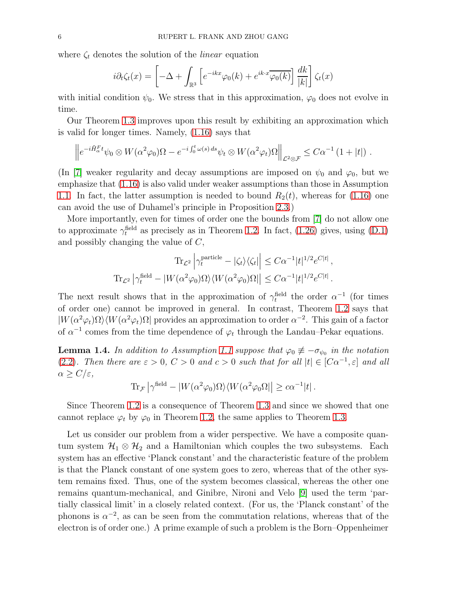where  $\zeta_t$  denotes the solution of the *linear* equation

$$
i\partial_t \zeta_t(x) = \left[ -\Delta + \int_{\mathbb{R}^3} \left[ e^{-ikx} \varphi_0(k) + e^{ik \cdot x} \overline{\varphi_0(k)} \right] \frac{dk}{|k|} \right] \zeta_t(x)
$$

with initial condition  $\psi_0$ . We stress that in this approximation,  $\varphi_0$  does not evolve in time.

Our Theorem [1.3](#page-3-1) improves upon this result by exhibiting an approximation which is valid for longer times. Namely, [\(1.16\)](#page-3-4) says that

$$
\left\|e^{-i\tilde{H}_\alpha^F t}\psi_0\otimes W(\alpha^2\varphi_0)\Omega - e^{-i\int_0^t \omega(s)\,ds}\psi_t\otimes W(\alpha^2\varphi_t)\Omega\right\|_{\mathcal{L}^2\otimes\mathcal{F}} \leq C\alpha^{-1}\left(1+|t|\right).
$$

(In [\[7\]](#page-45-3) weaker regularity and decay assumptions are imposed on  $\psi_0$  and  $\varphi_0$ , but we emphasize that [\(1.16\)](#page-3-4) is also valid under weaker assumptions than those in Assumption [1.1.](#page-2-0) In fact, the latter assumption is needed to bound  $R_2(t)$ , whereas for [\(1.16\)](#page-3-4) one can avoid the use of Duhamel's principle in Proposition [2.3.](#page-9-1))

More importantly, even for times of order one the bounds from [\[7\]](#page-45-3) do not allow one to approximate  $\gamma_t^{\text{field}}$  as precisely as in Theorem [1.2.](#page-2-1) In fact, [\(1.26\)](#page-4-4) gives, using [\(D.1\)](#page-43-1) and possibly changing the value of C,

$$
\text{Tr}_{\mathcal{L}^2} \left| \gamma_t^{\text{particle}} - |\zeta_t\rangle\langle\zeta_t| \right| \leq C\alpha^{-1} |t|^{1/2} e^{C|t|},
$$
  

$$
\text{Tr}_{\mathcal{L}^2} \left| \gamma_t^{\text{field}} - |W(\alpha^2 \varphi_0) \Omega \rangle \langle W(\alpha^2 \varphi_0) \Omega| \right| \leq C\alpha^{-1} |t|^{1/2} e^{C|t|}.
$$

The next result shows that in the approximation of  $\gamma_t^{\text{field}}$  the order  $\alpha^{-1}$  (for times of order one) cannot be improved in general. In contrast, Theorem [1.2](#page-2-1) says that  $|W(\alpha^2\varphi_t)\Omega\rangle\langle W(\alpha^2\varphi_t)\Omega|$  provides an approximation to order  $\alpha^{-2}$ . This gain of a factor of  $\alpha^{-1}$  comes from the time dependence of  $\varphi_t$  through the Landau–Pekar equations.

<span id="page-5-0"></span>**Lemma 1.4.** In addition to Assumption [1.1](#page-2-0) suppose that  $\varphi_0 \neq -\sigma_{\psi_0}$  in the notation [\(2.2\)](#page-7-1). Then there are  $\varepsilon > 0$ ,  $C > 0$  and  $c > 0$  such that for all  $|t| \in [C\alpha^{-1}, \varepsilon]$  and all  $\alpha \ge C/\varepsilon$ ,

$$
\text{Tr}_{\mathcal{F}} \left| \gamma^{\text{field}} - |W(\alpha^2 \varphi_0) \Omega \rangle \langle W(\alpha^2 \varphi_0 \Omega) | \geq c \alpha^{-1} |t| \right.
$$

Since Theorem [1.2](#page-2-1) is a consequence of Theorem [1.3](#page-3-1) and since we showed that one cannot replace  $\varphi_t$  by  $\varphi_0$  in Theorem [1.2,](#page-2-1) the same applies to Theorem [1.3.](#page-3-1)

Let us consider our problem from a wider perspective. We have a composite quantum system  $\mathcal{H}_1 \otimes \mathcal{H}_2$  and a Hamiltonian which couples the two subsystems. Each system has an effective 'Planck constant' and the characteristic feature of the problem is that the Planck constant of one system goes to zero, whereas that of the other system remains fixed. Thus, one of the system becomes classical, whereas the other one remains quantum-mechanical, and Ginibre, Nironi and Velo [\[9\]](#page-45-8) used the term 'partially classical limit' in a closely related context. (For us, the 'Planck constant' of the phonons is  $\alpha^{-2}$ , as can be seen from the commutation relations, whereas that of the electron is of order one.) A prime example of such a problem is the Born–Oppenheimer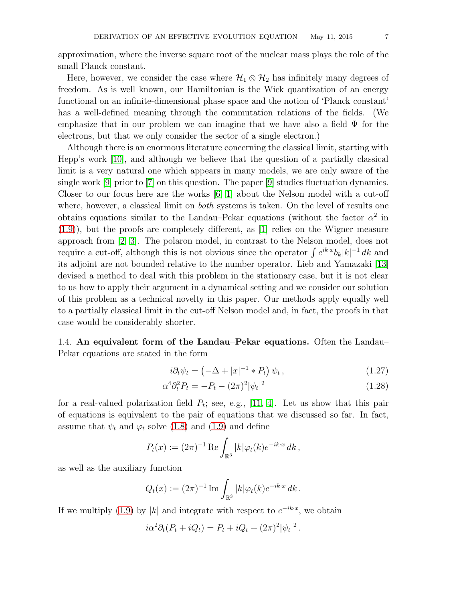approximation, where the inverse square root of the nuclear mass plays the role of the small Planck constant.

Here, however, we consider the case where  $\mathcal{H}_1 \otimes \mathcal{H}_2$  has infinitely many degrees of freedom. As is well known, our Hamiltonian is the Wick quantization of an energy functional on an infinite-dimensional phase space and the notion of 'Planck constant' has a well-defined meaning through the commutation relations of the fields. (We emphasize that in our problem we can imagine that we have also a field  $\Psi$  for the electrons, but that we only consider the sector of a single electron.)

Although there is an enormous literature concerning the classical limit, starting with Hepp's work [\[10\]](#page-45-9), and although we believe that the question of a partially classical limit is a very natural one which appears in many models, we are only aware of the single work [\[9\]](#page-45-8) prior to [\[7\]](#page-45-3) on this question. The paper [\[9\]](#page-45-8) studies fluctuation dynamics. Closer to our focus here are the works  $[6, 1]$  $[6, 1]$  about the Nelson model with a cut-off where, however, a classical limit on both systems is taken. On the level of results one obtains equations similar to the Landau–Pekar equations (without the factor  $\alpha^2$  in [\(1.9\)](#page-1-1)), but the proofs are completely different, as [\[1\]](#page-45-11) relies on the Wigner measure approach from [\[2,](#page-45-12) [3\]](#page-45-13). The polaron model, in contrast to the Nelson model, does not require a cut-off, although this is not obvious since the operator  $\int e^{ik \cdot x} b_k |k|^{-1} dk$  and its adjoint are not bounded relative to the number operator. Lieb and Yamazaki [\[13\]](#page-45-14) devised a method to deal with this problem in the stationary case, but it is not clear to us how to apply their argument in a dynamical setting and we consider our solution of this problem as a technical novelty in this paper. Our methods apply equally well to a partially classical limit in the cut-off Nelson model and, in fact, the proofs in that case would be considerably shorter.

<span id="page-6-0"></span>1.4. An equivalent form of the Landau–Pekar equations. Often the Landau– Pekar equations are stated in the form

<span id="page-6-2"></span><span id="page-6-1"></span>
$$
i\partial_t \psi_t = \left(-\Delta + |x|^{-1} * P_t\right) \psi_t, \qquad (1.27)
$$

$$
\alpha^4 \partial_t^2 P_t = -P_t - (2\pi)^2 |\psi_t|^2 \tag{1.28}
$$

for a real-valued polarization field  $P_t$ ; see, e.g., [\[11,](#page-45-1) [4\]](#page-45-15). Let us show that this pair of equations is equivalent to the pair of equations that we discussed so far. In fact, assume that  $\psi_t$  and  $\varphi_t$  solve [\(1.8\)](#page-1-0) and [\(1.9\)](#page-1-1) and define

$$
P_t(x) := (2\pi)^{-1} \operatorname{Re} \int_{\mathbb{R}^3} |k| \varphi_t(k) e^{-ik \cdot x} dk,
$$

as well as the auxiliary function

$$
Q_t(x) := (2\pi)^{-1} \operatorname{Im} \int_{\mathbb{R}^3} |k| \varphi_t(k) e^{-ik \cdot x} dk.
$$

If we multiply [\(1.9\)](#page-1-1) by |k| and integrate with respect to  $e^{-ik \cdot x}$ , we obtain

$$
i\alpha^2\partial_t(P_t + iQ_t) = P_t + iQ_t + (2\pi)^2|\psi_t|^2.
$$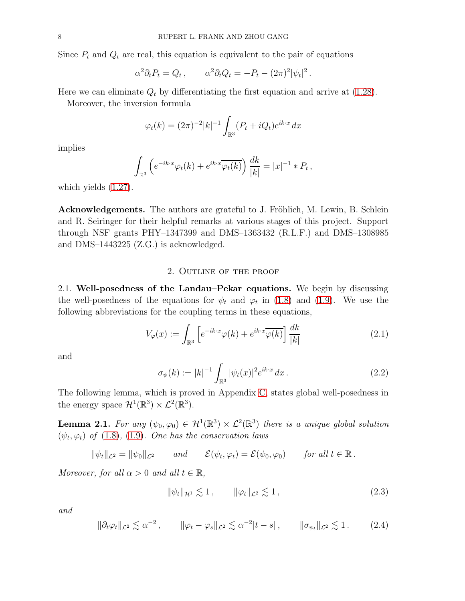Since  $P_t$  and  $Q_t$  are real, this equation is equivalent to the pair of equations

$$
\alpha^2 \partial_t P_t = Q_t \,, \qquad \alpha^2 \partial_t Q_t = -P_t - (2\pi)^2 |\psi_t|^2 \,.
$$

Here we can eliminate  $Q_t$  by differentiating the first equation and arrive at [\(1.28\)](#page-6-1).

Moreover, the inversion formula

$$
\varphi_t(k) = (2\pi)^{-2}|k|^{-1} \int_{\mathbb{R}^3} (P_t + iQ_t)e^{ik \cdot x} dx
$$

implies

$$
\int_{\mathbb{R}^3} \left( e^{-ik \cdot x} \varphi_t(k) + e^{ik \cdot x} \overline{\varphi_t(k)} \right) \frac{dk}{|k|} = |x|^{-1} * P_t,
$$

which yields [\(1.27\)](#page-6-2).

Acknowledgements. The authors are grateful to J. Fröhlich, M. Lewin, B. Schlein and R. Seiringer for their helpful remarks at various stages of this project. Support through NSF grants PHY–1347399 and DMS–1363432 (R.L.F.) and DMS–1308985 and DMS–1443225 (Z.G.) is acknowledged.

### 2. Outline of the proof

2.1. Well-posedness of the Landau–Pekar equations. We begin by discussing the well-posedness of the equations for  $\psi_t$  and  $\varphi_t$  in [\(1.8\)](#page-1-0) and [\(1.9\)](#page-1-1). We use the following abbreviations for the coupling terms in these equations,

<span id="page-7-2"></span>
$$
V_{\varphi}(x) := \int_{\mathbb{R}^3} \left[ e^{-ik \cdot x} \varphi(k) + e^{ik \cdot x} \overline{\varphi(k)} \right] \frac{dk}{|k|}
$$
 (2.1)

and

<span id="page-7-1"></span>
$$
\sigma_{\psi}(k) := |k|^{-1} \int_{\mathbb{R}^3} |\psi_t(x)|^2 e^{ik \cdot x} dx.
$$
 (2.2)

The following lemma, which is proved in Appendix [C,](#page-38-0) states global well-posedness in the energy space  $\mathcal{H}^1(\mathbb{R}^3) \times \mathcal{L}^2(\mathbb{R}^3)$ .

<span id="page-7-0"></span>**Lemma 2.1.** For any  $(\psi_0, \varphi_0) \in \mathcal{H}^1(\mathbb{R}^3) \times \mathcal{L}^2(\mathbb{R}^3)$  there is a unique global solution  $(\psi_t, \varphi_t)$  of [\(1.8\)](#page-1-0), [\(1.9\)](#page-1-1). One has the conservation laws

 $\|\psi_t\|_{\mathcal{L}^2} = \|\psi_0\|_{\mathcal{L}^2}$  and  $\mathcal{E}(\psi_t, \varphi_t) = \mathcal{E}(\psi_0, \varphi_0)$  for all  $t \in \mathbb{R}$ .

Moreover, for all  $\alpha > 0$  and all  $t \in \mathbb{R}$ ,

<span id="page-7-3"></span>
$$
\|\psi_t\|_{\mathcal{H}^1} \lesssim 1\,, \qquad \|\varphi_t\|_{\mathcal{L}^2} \lesssim 1\,, \tag{2.3}
$$

and

<span id="page-7-4"></span>
$$
\|\partial_t \varphi_t\|_{\mathcal{L}^2} \lesssim \alpha^{-2} \,, \qquad \|\varphi_t - \varphi_s\|_{\mathcal{L}^2} \lesssim \alpha^{-2}|t-s| \,, \qquad \|\sigma_{\psi_t}\|_{\mathcal{L}^2} \lesssim 1 \,. \tag{2.4}
$$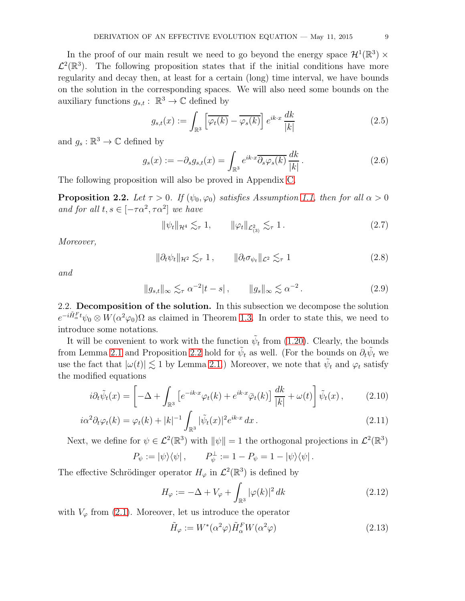In the proof of our main result we need to go beyond the energy space  $\mathcal{H}^1(\mathbb{R}^3) \times$  $\mathcal{L}^2(\mathbb{R}^3)$ . The following proposition states that if the initial conditions have more regularity and decay then, at least for a certain (long) time interval, we have bounds on the solution in the corresponding spaces. We will also need some bounds on the auxiliary functions  $g_{s,t} : \mathbb{R}^3 \to \mathbb{C}$  defined by

<span id="page-8-4"></span>
$$
g_{s,t}(x) := \int_{\mathbb{R}^3} \left[ \overline{\varphi_t(k)} - \overline{\varphi_s(k)} \right] e^{ik \cdot x} \frac{dk}{|k|}
$$
 (2.5)

and  $g_s : \mathbb{R}^3 \to \mathbb{C}$  defined by

$$
g_s(x) := -\partial_s g_{s,t}(x) = \int_{\mathbb{R}^3} e^{ik \cdot x} \overline{\partial_s \varphi_s(k)} \frac{dk}{|k|}.
$$
 (2.6)

The following proposition will also be proved in Appendix [C.](#page-38-0)

<span id="page-8-0"></span>**Proposition 2.2.** Let  $\tau > 0$ . If  $(\psi_0, \varphi_0)$  satisfies Assumption [1.1,](#page-2-0) then for all  $\alpha > 0$ and for all  $t, s \in [-\tau \alpha^2, \tau \alpha^2]$  we have

<span id="page-8-8"></span><span id="page-8-6"></span>
$$
\|\psi_t\|_{\mathcal{H}^4} \lesssim_{\tau} 1, \qquad \|\varphi_t\|_{\mathcal{L}^2_{(3)}} \lesssim_{\tau} 1.
$$

Moreover,

<span id="page-8-9"></span>
$$
\|\partial_t \psi_t\|_{\mathcal{H}^2} \lesssim_{\tau} 1 , \qquad \|\partial_t \sigma_{\psi_t}\|_{\mathcal{L}^2} \lesssim_{\tau} 1
$$
 (2.8)

and

$$
||g_{s,t}||_{\infty} \lesssim_{\tau} \alpha^{-2}|t-s|, \qquad ||g_s||_{\infty} \lesssim \alpha^{-2}. \qquad (2.9)
$$

<span id="page-8-5"></span>2.2. Decomposition of the solution. In this subsection we decompose the solution  $e^{-i\tilde{H}_{\alpha}^{F}t}\psi_{0}\otimes W(\alpha^{2}\varphi_{0})\Omega$  as claimed in Theorem [1.3.](#page-3-1) In order to state this, we need to introduce some notations.

It will be convenient to work with the function  $\tilde{\psi}_t$  from [\(1.20\)](#page-4-5). Clearly, the bounds from Lemma [2.1](#page-7-0) and Proposition [2.2](#page-8-0) hold for  $\tilde{\psi}_t$  as well. (For the bounds on  $\partial_t \tilde{\psi}_t$  we use the fact that  $|\omega(t)| \lesssim 1$  by Lemma [2.1.](#page-7-0)) Moreover, we note that  $\tilde{\psi}_t$  and  $\varphi_t$  satisfy the modified equations

$$
i\partial_t \tilde{\psi}_t(x) = \left[ -\Delta + \int_{\mathbb{R}^3} \left[ e^{-ik \cdot x} \varphi_t(k) + e^{ik \cdot x} \bar{\varphi}_t(k) \right] \frac{dk}{|k|} + \omega(t) \right] \tilde{\psi}_t(x) , \qquad (2.10)
$$

$$
i\alpha^2 \partial_t \varphi_t(k) = \varphi_t(k) + |k|^{-1} \int_{\mathbb{R}^3} |\tilde{\psi}_t(x)|^2 e^{ik \cdot x} dx.
$$
\n(2.11)

Next, we define for  $\psi \in \mathcal{L}^2(\mathbb{R}^3)$  with  $\|\psi\| = 1$  the orthogonal projections in  $\mathcal{L}^2(\mathbb{R}^3)$ 

$$
P_{\psi} := |\psi\rangle\langle\psi| \,, \qquad P_{\psi}^{\perp} := 1 - P_{\psi} = 1 - |\psi\rangle\langle\psi| \,.
$$

The effective Schrödinger operator  $H_{\varphi}$  in  $\mathcal{L}^2(\mathbb{R}^3)$  is defined by

<span id="page-8-7"></span><span id="page-8-2"></span><span id="page-8-1"></span>
$$
H_{\varphi} := -\Delta + V_{\varphi} + \int_{\mathbb{R}^3} |\varphi(k)|^2 dk \qquad (2.12)
$$

with  $V_{\varphi}$  from [\(2.1\)](#page-7-2). Moreover, let us introduce the operator

<span id="page-8-3"></span>
$$
\tilde{H}_{\varphi} := W^*(\alpha^2 \varphi) \tilde{H}_{\alpha}^F W(\alpha^2 \varphi)
$$
\n(2.13)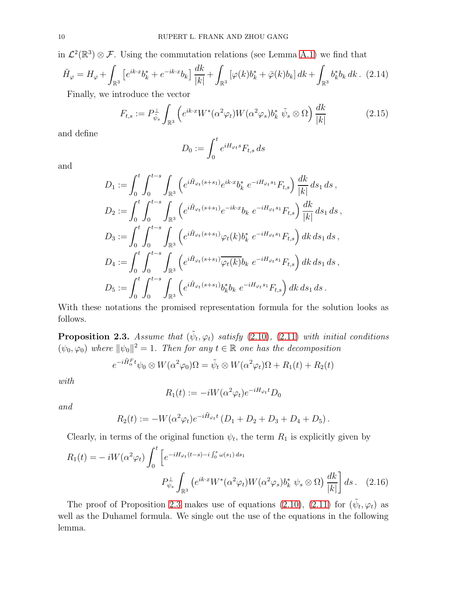in  $\mathcal{L}^2(\mathbb{R}^3) \otimes \mathcal{F}$ . Using the commutation relations (see Lemma [A.1\)](#page-35-0) we find that

<span id="page-9-3"></span>
$$
\tilde{H}_{\varphi} = H_{\varphi} + \int_{\mathbb{R}^3} \left[ e^{ik \cdot x} b_k^* + e^{-ik \cdot x} b_k \right] \frac{dk}{|k|} + \int_{\mathbb{R}^3} \left[ \varphi(k) b_k^* + \bar{\varphi}(k) b_k \right] dk + \int_{\mathbb{R}^3} b_k^* b_k dk. \tag{2.14}
$$

Finally, we introduce the vector

<span id="page-9-2"></span>
$$
F_{t,s} := P_{\tilde{\psi}_s}^{\perp} \int_{\mathbb{R}^3} \left( e^{ik \cdot x} W^*(\alpha^2 \varphi_t) W(\alpha^2 \varphi_s) b_k^* \tilde{\psi}_s \otimes \Omega \right) \frac{dk}{|k|} \tag{2.15}
$$

and define

$$
D_0 := \int_0^t e^{iH_{\varphi_t}s} F_{t,s} ds
$$

and

$$
D_1 := \int_0^t \int_0^{t-s} \int_{\mathbb{R}^3} \left( e^{i \tilde{H}_{\varphi_t}(s+s_1)} e^{ik \cdot x} b_k^* e^{-i H_{\varphi_t} s_1} F_{t,s} \right) \frac{dk}{|k|} ds_1 ds,
$$
  
\n
$$
D_2 := \int_0^t \int_0^{t-s} \int_{\mathbb{R}^3} \left( e^{i \tilde{H}_{\varphi_t}(s+s_1)} e^{-ik \cdot x} b_k e^{-i H_{\varphi_t} s_1} F_{t,s} \right) \frac{dk}{|k|} ds_1 ds,
$$
  
\n
$$
D_3 := \int_0^t \int_0^{t-s} \int_{\mathbb{R}^3} \left( e^{i \tilde{H}_{\varphi_t}(s+s_1)} \varphi_t(k) b_k^* e^{-i H_{\varphi_t} s_1} F_{t,s} \right) dk ds_1 ds,
$$
  
\n
$$
D_4 := \int_0^t \int_0^{t-s} \int_{\mathbb{R}^3} \left( e^{i \tilde{H}_{\varphi_t}(s+s_1)} \overline{\varphi_t(k)} b_k e^{-i H_{\varphi_t} s_1} F_{t,s} \right) dk ds_1 ds,
$$
  
\n
$$
D_5 := \int_0^t \int_0^{t-s} \int_{\mathbb{R}^3} \left( e^{i \tilde{H}_{\varphi_t}(s+s_1)} b_k^* b_k e^{-i H_{\varphi_t} s_1} F_{t,s} \right) dk ds_1 ds.
$$

With these notations the promised representation formula for the solution looks as follows.

<span id="page-9-1"></span>**Proposition 2.3.** Assume that  $(\tilde{\psi}_t, \varphi_t)$  satisfy [\(2.10\)](#page-8-1), [\(2.11\)](#page-8-2) with initial conditions  $(\psi_0, \varphi_0)$  where  $\|\psi_0\|^2 = 1$ . Then for any  $t \in \mathbb{R}$  one has the decomposition

$$
e^{-i\tilde{H}_\alpha^F t}\psi_0 \otimes W(\alpha^2 \varphi_0)\Omega = \tilde{\psi}_t \otimes W(\alpha^2 \varphi_t)\Omega + R_1(t) + R_2(t)
$$

with

<span id="page-9-0"></span>
$$
R_1(t) := -iW(\alpha^2 \varphi_t)e^{-iH_{\varphi_t}t}D_0
$$

and

$$
R_2(t) := -W(\alpha^2 \varphi_t) e^{-i\tilde{H}_{\varphi_t}t} (D_1 + D_2 + D_3 + D_4 + D_5).
$$

Clearly, in terms of the original function  $\psi_t$ , the term  $R_1$  is explicitly given by

$$
R_1(t) = -iW(\alpha^2 \varphi_t) \int_0^t \left[ e^{-iH_{\varphi_t}(t-s) - i \int_0^s \omega(s_1) ds_1} \right]
$$

$$
P_{\psi_s}^{\perp} \int_{\mathbb{R}^3} \left( e^{ik \cdot x} W^*(\alpha^2 \varphi_t) W(\alpha^2 \varphi_s) b_k^* \psi_s \otimes \Omega \right) \frac{dk}{|k|} ds. \quad (2.16)
$$

The proof of Proposition [2.3](#page-9-1) makes use of equations [\(2.10\)](#page-8-1), [\(2.11\)](#page-8-2) for  $(\tilde{\psi}_t, \varphi_t)$  as well as the Duhamel formula. We single out the use of the equations in the following lemma.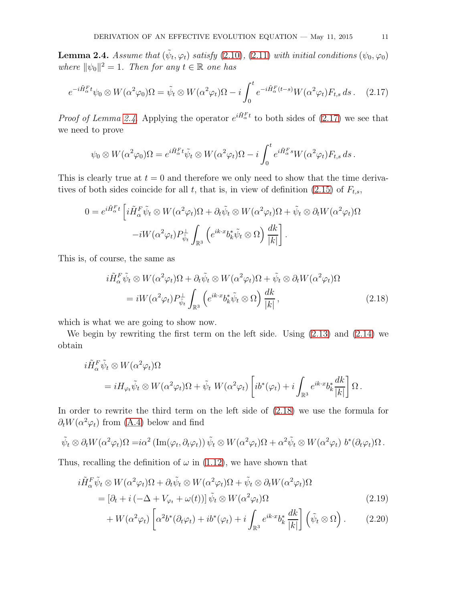<span id="page-10-0"></span>**Lemma 2.4.** Assume that  $(\tilde{\psi}_t, \varphi_t)$  satisfy [\(2.10\)](#page-8-1), [\(2.11\)](#page-8-2) with initial conditions  $(\psi_0, \varphi_0)$ where  $\|\psi_0\|^2 = 1$ . Then for any  $t \in \mathbb{R}$  one has

$$
e^{-i\tilde{H}_{\alpha}^{F}t}\psi_{0}\otimes W(\alpha^{2}\varphi_{0})\Omega=\tilde{\psi}_{t}\otimes W(\alpha^{2}\varphi_{t})\Omega-i\int_{0}^{t}e^{-i\tilde{H}_{\alpha}^{F}(t-s)}W(\alpha^{2}\varphi_{t})F_{t,s}ds.
$$
 (2.17)

*Proof of Lemma [2.4.](#page-10-0)* Applying the operator  $e^{i\tilde{H}_{\alpha}^{F}t}$  to both sides of [\(2.17\)](#page-10-1) we see that we need to prove

<span id="page-10-1"></span>
$$
\psi_0 \otimes W(\alpha^2 \varphi_0) \Omega = e^{i \tilde{H}_\alpha^F t} \tilde{\psi}_t \otimes W(\alpha^2 \varphi_t) \Omega - i \int_0^t e^{i \tilde{H}_\alpha^F s} W(\alpha^2 \varphi_t) F_{t,s} ds.
$$

This is clearly true at  $t = 0$  and therefore we only need to show that the time deriva-tives of both sides coincide for all t, that is, in view of definition [\(2.15\)](#page-9-2) of  $F_{t,s}$ ,

$$
0 = e^{i\tilde{H}_{\alpha}^{F}t} \left[ i\tilde{H}_{\alpha}^{F}\tilde{\psi}_{t} \otimes W(\alpha^{2}\varphi_{t})\Omega + \partial_{t}\tilde{\psi}_{t} \otimes W(\alpha^{2}\varphi_{t})\Omega + \tilde{\psi}_{t} \otimes \partial_{t}W(\alpha^{2}\varphi_{t})\Omega -iW(\alpha^{2}\varphi_{t})P_{\tilde{\psi}_{t}}\int_{\mathbb{R}^{3}} \left(e^{ik\cdot x}b_{k}^{*}\tilde{\psi}_{t} \otimes \Omega\right) \frac{dk}{|k|}\right].
$$

This is, of course, the same as

<span id="page-10-2"></span>
$$
i\tilde{H}_{\alpha}^{F}\tilde{\psi}_{t} \otimes W(\alpha^{2}\varphi_{t})\Omega + \partial_{t}\tilde{\psi}_{t} \otimes W(\alpha^{2}\varphi_{t})\Omega + \tilde{\psi}_{t} \otimes \partial_{t}W(\alpha^{2}\varphi_{t})\Omega
$$

$$
= iW(\alpha^{2}\varphi_{t})P_{\tilde{\psi}_{t}}^{\perp} \int_{\mathbb{R}^{3}} \left(e^{ik \cdot x}b_{k}^{*}\tilde{\psi}_{t} \otimes \Omega\right) \frac{dk}{|k|}, \qquad (2.18)
$$

which is what we are going to show now.

We begin by rewriting the first term on the left side. Using  $(2.13)$  and  $(2.14)$  we obtain

$$
i\tilde{H}_{\alpha}^{F}\tilde{\psi}_{t} \otimes W(\alpha^{2}\varphi_{t})\Omega
$$
  
=  $iH_{\varphi_{t}}\tilde{\psi}_{t} \otimes W(\alpha^{2}\varphi_{t})\Omega + \tilde{\psi}_{t} W(\alpha^{2}\varphi_{t}) \left[ib^{*}(\varphi_{t}) + i \int_{\mathbb{R}^{3}} e^{ik \cdot x} b_{k}^{*} \frac{dk}{|k|} \right] \Omega.$ 

In order to rewrite the third term on the left side of [\(2.18\)](#page-10-2) we use the formula for  $\partial_t W(\alpha^2 \varphi_t)$  from [\(A.4\)](#page-36-0) below and find

$$
\tilde{\psi}_t \otimes \partial_t W(\alpha^2 \varphi_t) \Omega = i\alpha^2 \left( \text{Im}(\varphi_t, \partial_t \varphi_t) \right) \tilde{\psi}_t \otimes W(\alpha^2 \varphi_t) \Omega + \alpha^2 \tilde{\psi}_t \otimes W(\alpha^2 \varphi_t) b^*(\partial_t \varphi_t) \Omega.
$$

Thus, recalling the definition of  $\omega$  in [\(1.12\)](#page-3-5), we have shown that

$$
i\tilde{H}_{\alpha}^{F}\tilde{\psi}_{t} \otimes W(\alpha^{2}\varphi_{t})\Omega + \partial_{t}\tilde{\psi}_{t} \otimes W(\alpha^{2}\varphi_{t})\Omega + \tilde{\psi}_{t} \otimes \partial_{t}W(\alpha^{2}\varphi_{t})\Omega
$$
  
= 
$$
[\partial_{t} + i(-\Delta + V_{\varphi_{t}} + \omega(t))] \tilde{\psi}_{t} \otimes W(\alpha^{2}\varphi_{t})\Omega
$$
 (2.19)

<span id="page-10-4"></span><span id="page-10-3"></span>
$$
+ W(\alpha^2 \varphi_t) \left[ \alpha^2 b^* (\partial_t \varphi_t) + i b^* (\varphi_t) + i \int_{\mathbb{R}^3} e^{ik \cdot x} b_k^* \frac{dk}{|k|} \right] \left( \tilde{\psi}_t \otimes \Omega \right). \tag{2.20}
$$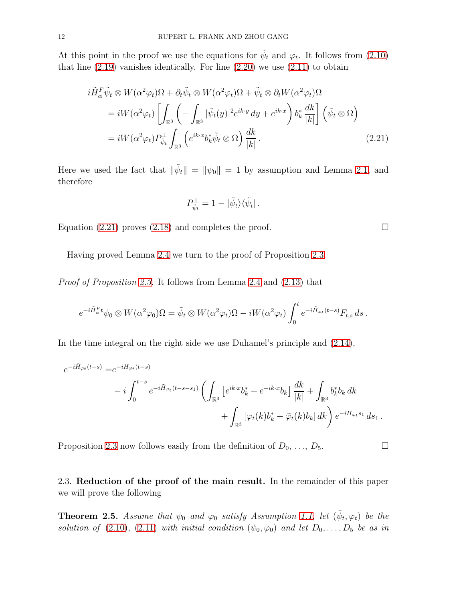At this point in the proof we use the equations for  $\tilde{\psi}_t$  and  $\varphi_t$ . It follows from [\(2.10\)](#page-8-1) that line  $(2.19)$  vanishes identically. For line  $(2.20)$  we use  $(2.11)$  to obtain

$$
i\tilde{H}_{\alpha}^{F}\tilde{\psi}_{t} \otimes W(\alpha^{2}\varphi_{t})\Omega + \partial_{t}\tilde{\psi}_{t} \otimes W(\alpha^{2}\varphi_{t})\Omega + \tilde{\psi}_{t} \otimes \partial_{t}W(\alpha^{2}\varphi_{t})\Omega
$$
  
\n
$$
= iW(\alpha^{2}\varphi_{t})\left[\int_{\mathbb{R}^{3}}\left(-\int_{\mathbb{R}^{3}}|\tilde{\psi}_{t}(y)|^{2}e^{ik\cdot y}dy + e^{ik\cdot x}\right)b_{k}^{*}\frac{dk}{|k|}\right]\left(\tilde{\psi}_{t} \otimes \Omega\right)
$$
  
\n
$$
= iW(\alpha^{2}\varphi_{t})P_{\tilde{\psi}_{t}}^{\perp}\int_{\mathbb{R}^{3}}\left(e^{ik\cdot x}b_{k}^{*}\tilde{\psi}_{t} \otimes \Omega\right)\frac{dk}{|k|}.
$$
\n(2.21)

Here we used the fact that  $\|\tilde{\psi}_t\| = \|\psi_0\| = 1$  by assumption and Lemma [2.1,](#page-7-0) and therefore

$$
P_{\tilde{\psi}_t}^{\perp} = 1 - |\tilde{\psi}_t\rangle\langle\tilde{\psi}_t|.
$$

Equation [\(2.21\)](#page-11-0) proves [\(2.18\)](#page-10-2) and completes the proof.  $\Box$ 

Having proved Lemma [2.4](#page-10-0) we turn to the proof of Proposition [2.3.](#page-9-1)

Proof of Proposition [2.3.](#page-9-1) It follows from Lemma [2.4](#page-10-0) and [\(2.13\)](#page-8-3) that

$$
e^{-i\tilde{H}_\alpha^F t}\psi_0 \otimes W(\alpha^2\varphi_0)\Omega = \tilde{\psi}_t \otimes W(\alpha^2\varphi_t)\Omega - iW(\alpha^2\varphi_t)\int_0^t e^{-i\tilde{H}_{\varphi_t}(t-s)}F_{t,s} ds.
$$

In the time integral on the right side we use Duhamel's principle and [\(2.14\)](#page-9-3),

$$
e^{-i\tilde{H}_{\varphi_t}(t-s)} = e^{-iH_{\varphi_t}(t-s)} - i \int_0^{t-s} e^{-i\tilde{H}_{\varphi_t}(t-s-s_1)} \left( \int_{\mathbb{R}^3} \left[ e^{ik \cdot x} b_k^* + e^{-ik \cdot x} b_k \right] \frac{dk}{|k|} + \int_{\mathbb{R}^3} b_k^* b_k dk \right. + \int_{\mathbb{R}^3} \left[ \varphi_t(k) b_k^* + \bar{\varphi}_t(k) b_k \right] dk \right) e^{-iH_{\varphi_t}s_1} ds_1.
$$

Proposition [2.3](#page-9-1) now follows easily from the definition of  $D_0, \ldots, D_5$ .

2.3. Reduction of the proof of the main result. In the remainder of this paper we will prove the following

<span id="page-11-1"></span>**Theorem 2.5.** Assume that  $\psi_0$  and  $\varphi_0$  satisfy Assumption [1.1,](#page-2-0) let  $(\tilde{\psi}_t, \varphi_t)$  be the solution of [\(2.10\)](#page-8-1), [\(2.11\)](#page-8-2) with initial condition  $(\psi_0, \varphi_0)$  and let  $D_0, \ldots, D_5$  be as in

<span id="page-11-0"></span>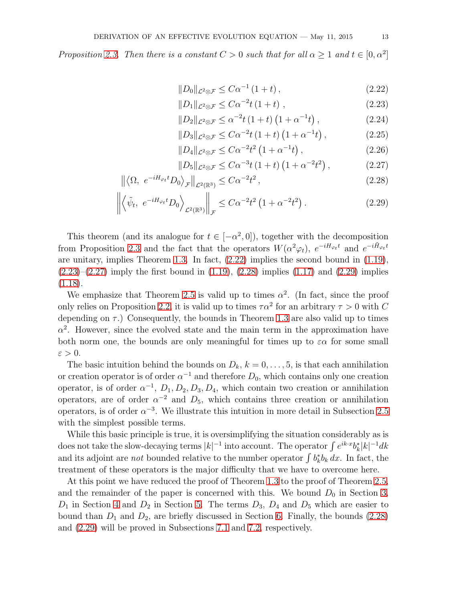Proposition [2.3.](#page-9-1) Then there is a constant  $C > 0$  such that for all  $\alpha \geq 1$  and  $t \in [0, \alpha^2]$ 

$$
||D_0||_{\mathcal{L}^2 \otimes \mathcal{F}} \leq C\alpha^{-1} (1+t), \qquad (2.22)
$$

$$
||D_1||_{\mathcal{L}^2 \otimes \mathcal{F}} \leq C\alpha^{-2} t (1+t) , \qquad (2.23)
$$

$$
||D_2||_{\mathcal{L}^2 \otimes \mathcal{F}} \le \alpha^{-2} t \left(1 + t\right) \left(1 + \alpha^{-1} t\right), \tag{2.24}
$$

$$
||D_3||_{\mathcal{L}^2 \otimes \mathcal{F}} \leq C\alpha^{-2} t (1+t) (1+\alpha^{-1}t) , \qquad (2.25)
$$

$$
||D_4||_{\mathcal{L}^2 \otimes \mathcal{F}} \leq C\alpha^{-2} t^2 \left(1 + \alpha^{-1} t\right), \tag{2.26}
$$

$$
||D_5||_{\mathcal{L}^2 \otimes \mathcal{F}} \leq C\alpha^{-3} t \left(1+t\right) \left(1+\alpha^{-2} t^2\right), \tag{2.27}
$$

$$
\left\| \left\langle \Omega, e^{-iH_{\varphi_t}t} D_0 \right\rangle_{\mathcal{F}} \right\|_{\mathcal{L}^2(\mathbb{R}^3)} \leq C\alpha^{-2} t^2 \,, \tag{2.28}
$$

$$
\left\| \left\langle \tilde{\psi}_t, e^{-iH_{\varphi_t}t} D_0 \right\rangle_{\mathcal{L}^2(\mathbb{R}^3)} \right\|_{\mathcal{F}} \leq C\alpha^{-2} t^2 \left( 1 + \alpha^{-2} t^2 \right). \tag{2.29}
$$

This theorem (and its analogue for  $t \in [-\alpha^2, 0]$ ), together with the decomposition from Proposition [2.3](#page-9-1) and the fact that the operators  $W(\alpha^2 \varphi_t)$ ,  $e^{-iH_{\varphi_t}t}$  and  $e^{-i\tilde{H}_{\varphi_t}t}$ are unitary, implies Theorem [1.3.](#page-3-1) In fact, [\(2.22\)](#page-12-0) implies the second bound in [\(1.19\)](#page-3-6),  $(2.23)$ – $(2.27)$  imply the first bound in  $(1.19)$ ,  $(2.28)$  implies  $(1.17)$  and  $(2.29)$  implies  $(1.18).$  $(1.18).$ 

We emphasize that Theorem [2.5](#page-11-1) is valid up to times  $\alpha^2$ . (In fact, since the proof only relies on Proposition [2.2,](#page-8-0) it is valid up to times  $\tau \alpha^2$  for an arbitrary  $\tau > 0$  with C depending on  $\tau$ .) Consequently, the bounds in Theorem [1.3](#page-3-1) are also valid up to times  $\alpha^2$ . However, since the evolved state and the main term in the approximation have both norm one, the bounds are only meaningful for times up to  $\varepsilon \alpha$  for some small  $\varepsilon > 0$ .

The basic intuition behind the bounds on  $D_k$ ,  $k = 0, \ldots, 5$ , is that each annihilation or creation operator is of order  $\alpha^{-1}$  and therefore  $D_0$ , which contains only one creation operator, is of order  $\alpha^{-1}$ ,  $D_1, D_2, D_3, D_4$ , which contain two creation or annihilation operators, are of order  $\alpha^{-2}$  and  $D_5$ , which contains three creation or annihilation operators, is of order  $\alpha^{-3}$ . We illustrate this intuition in more detail in Subsection [2.5](#page-14-0) with the simplest possible terms.

While this basic principle is true, it is oversimplifying the situation considerably as is does not take the slow-decaying terms  $|k|^{-1}$  into account. The operator  $\int e^{ik \cdot x} b_k^* |k|^{-1} dk$ and its adjoint are *not* bounded relative to the number operator  $\int b_k^* b_k dx$ . In fact, the treatment of these operators is the major difficulty that we have to overcome here.

At this point we have reduced the proof of Theorem [1.3](#page-3-1) to the proof of Theorem [2.5,](#page-11-1) and the remainder of the paper is concerned with this. We bound  $D_0$  in Section [3,](#page-16-0)  $D_1$  in Section [4](#page-19-0) and  $D_2$  in Section [5.](#page-27-0) The terms  $D_3$ ,  $D_4$  and  $D_5$  which are easier to bound than  $D_1$  and  $D_2$ , are briefly discussed in Section [6.](#page-30-0) Finally, the bounds [\(2.28\)](#page-12-3) and [\(2.29\)](#page-12-4) will be proved in Subsections [7.1](#page-31-0) and [7.2,](#page-31-1) respectively.

<span id="page-12-4"></span><span id="page-12-3"></span><span id="page-12-2"></span><span id="page-12-1"></span><span id="page-12-0"></span>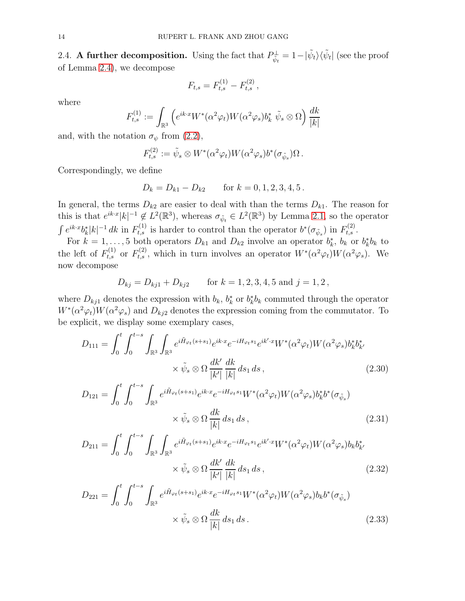2.4. A further decomposition. Using the fact that  $P_{\tilde{\psi}_t}^{\perp} = 1 - |\tilde{\psi}_t\rangle\langle\tilde{\psi}_t|$  (see the proof of Lemma [2.4\)](#page-10-0), we decompose

$$
F_{t,s} = F_{t,s}^{(1)} - F_{t,s}^{(2)}\,,
$$

where

$$
F_{t,s}^{(1)} := \int_{\mathbb{R}^3} \left( e^{ik \cdot x} W^*(\alpha^2 \varphi_t) W(\alpha^2 \varphi_s) b_k^* \tilde{\psi}_s \otimes \Omega \right) \frac{dk}{|k|}
$$

and, with the notation  $\sigma_{\psi}$  from  $(2.2)$ ,

$$
F_{t,s}^{(2)} := \tilde{\psi}_s \otimes W^*(\alpha^2 \varphi_t) W(\alpha^2 \varphi_s) b^*(\sigma_{\tilde{\psi}_s}) \Omega.
$$

Correspondingly, we define

$$
D_k = D_{k1} - D_{k2} \qquad \text{for } k = 0, 1, 2, 3, 4, 5 \, .
$$

In general, the terms  $D_{k2}$  are easier to deal with than the terms  $D_{k1}$ . The reason for this is that  $e^{ik\cdot x} |k|^{-1} \notin L^2(\mathbb{R}^3)$ , whereas  $\sigma_{\tilde{\psi}_t} \in L^2(\mathbb{R}^3)$  by Lemma [2.1,](#page-7-0) so the operator  $\int e^{ik \cdot x} b_k^* |k|^{-1} dk$  in  $F_{t,s}^{(1)}$  is harder to control than the operator  $b^*(\sigma_{\tilde{\psi}_s})$  in  $F_{t,s}^{(2)}$ .

For  $k = 1, ..., 5$  both operators  $D_{k1}$  and  $D_{k2}$  involve an operator  $b_k^*$ ,  $b_k$  or  $b_k^*b_k$  to the left of  $F_{t,s}^{(1)}$  or  $F_{t,s}^{(2)}$ , which in turn involves an operator  $W^*(\alpha^2\varphi_t)W(\alpha^2\varphi_s)$ . We now decompose

<span id="page-13-1"></span><span id="page-13-0"></span>
$$
D_{kj} = D_{kj1} + D_{kj2}
$$
 for  $k = 1, 2, 3, 4, 5$  and  $j = 1, 2$ ,

where  $D_{kj1}$  denotes the expression with  $b_k$ ,  $b_k^*$  or  $b_k^* b_k$  commuted through the operator  $W^*(\alpha^2\varphi_t)W(\alpha^2\varphi_s)$  and  $D_{kj2}$  denotes the expression coming from the commutator. To be explicit, we display some exemplary cases,

$$
D_{111} = \int_0^t \int_0^{t-s} \int_{\mathbb{R}^3} \int_{\mathbb{R}^3} e^{i\tilde{H}_{\varphi_t}(s+s_1)} e^{ik \cdot x} e^{-iH_{\varphi_t}s_1} e^{ik' \cdot x} W^*(\alpha^2 \varphi_t) W(\alpha^2 \varphi_s) b_k^* b_{k'}^* \times \tilde{\psi}_s \otimes \Omega \frac{dk'}{|k'|} \frac{dk}{|k|} ds_1 ds,
$$
\n(2.30)

$$
D_{121} = \int_0^t \int_0^{t-s} \int_{\mathbb{R}^3} e^{i\tilde{H}_{\varphi_t}(s+s_1)} e^{ik \cdot x} e^{-iH_{\varphi_t}s_1} W^*(\alpha^2 \varphi_t) W(\alpha^2 \varphi_s) b_k^* b^*(\sigma_{\tilde{\psi}_s})
$$
  
 
$$
\times \tilde{\psi}_s \otimes \Omega \frac{dk}{|k|} ds_1 ds,
$$
 (2.31)

$$
D_{211} = \int_0^t \int_0^{t-s} \int_{\mathbb{R}^3} \int_{\mathbb{R}^3} e^{i\tilde{H}_{\varphi_t}(s+s_1)} e^{ik \cdot x} e^{-iH_{\varphi_t}s_1} e^{ik' \cdot x} W^*(\alpha^2 \varphi_t) W(\alpha^2 \varphi_s) b_k b_{k'}^* \times \tilde{\psi}_s \otimes \Omega \frac{dk'}{|k'|} \frac{dk}{|k|} ds_1 ds,
$$
\n(2.32)

<span id="page-13-3"></span><span id="page-13-2"></span>
$$
D_{221} = \int_0^t \int_0^{t-s} \int_{\mathbb{R}^3} e^{i\tilde{H}_{\varphi_t}(s+s_1)} e^{ik \cdot x} e^{-iH_{\varphi_t}s_1} W^*(\alpha^2 \varphi_t) W(\alpha^2 \varphi_s) b_k b^*(\sigma_{\tilde{\psi}_s})
$$
  
 
$$
\times \tilde{\psi}_s \otimes \Omega \frac{dk}{|k|} ds_1 ds.
$$
 (2.33)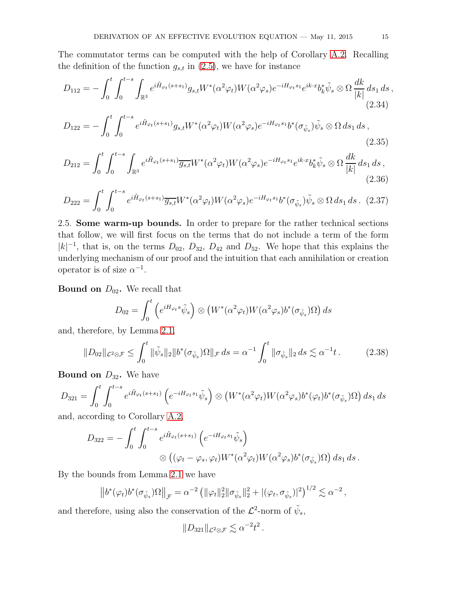The commutator terms can be computed with the help of Corollary [A.2.](#page-36-1) Recalling the definition of the function  $g_{s,t}$  in [\(2.5\)](#page-8-4), we have for instance

$$
D_{112} = -\int_0^t \int_0^{t-s} \int_{\mathbb{R}^3} e^{i\tilde{H}_{\varphi_t}(s+s_1)} g_{s,t} W^*(\alpha^2 \varphi_t) W(\alpha^2 \varphi_s) e^{-iH_{\varphi_t} s_1} e^{ik \cdot x} b_k^* \tilde{\psi}_s \otimes \Omega \frac{dk}{|k|} ds_1 ds,
$$
\n(2.34)

<span id="page-14-2"></span>
$$
D_{122} = -\int_0^t \int_0^{t-s} e^{i\tilde{H}_{\varphi_t}(s+s_1)} g_{s,t} W^*(\alpha^2 \varphi_t) W(\alpha^2 \varphi_s) e^{-iH_{\varphi_t}s_1} b^*(\sigma_{\tilde{\psi}_s}) \tilde{\psi}_s \otimes \Omega \, ds_1 \, ds \,, \tag{2.35}
$$

$$
D_{212} = \int_0^t \int_0^{t-s} \int_{\mathbb{R}^3} e^{i\tilde{H}_{\varphi_t}(s+s_1)} \overline{g_{s,t}} W^*(\alpha^2 \varphi_t) W(\alpha^2 \varphi_s) e^{-iH_{\varphi_t}s_1} e^{ik \cdot x} b_k^* \tilde{\psi}_s \otimes \Omega \frac{dk}{|k|} ds_1 ds,
$$
\n(2.36)

$$
D_{222} = \int_0^t \int_0^{t-s} e^{i\tilde{H}_{\varphi_t}(s+s_1)} \overline{g_{s,t}} W^*(\alpha^2 \varphi_t) W(\alpha^2 \varphi_s) e^{-iH_{\varphi_t}s_1} b^*(\sigma_{\tilde{\psi}_s}) \tilde{\psi}_s \otimes \Omega \, ds_1 \, ds. \tag{2.37}
$$

<span id="page-14-0"></span>2.5. Some warm-up bounds. In order to prepare for the rather technical sections that follow, we will first focus on the terms that do not include a term of the form  $|k|^{-1}$ , that is, on the terms  $D_{02}$ ,  $D_{32}$ ,  $D_{42}$  and  $D_{52}$ . We hope that this explains the underlying mechanism of our proof and the intuition that each annihilation or creation operator is of size  $\alpha^{-1}$ .

**Bound on**  $D_{02}$ . We recall that

<span id="page-14-3"></span>
$$
D_{02} = \int_0^t \left( e^{iH_{\varphi_t} s} \tilde{\psi}_s \right) \otimes \left( W^*(\alpha^2 \varphi_t) W(\alpha^2 \varphi_s) b^*(\sigma_{\tilde{\psi}_s}) \Omega \right) ds
$$

and, therefore, by Lemma [2.1,](#page-7-0)

<span id="page-14-1"></span>
$$
||D_{02}||_{\mathcal{L}^2 \otimes \mathcal{F}} \le \int_0^t ||\tilde{\psi}_s||_2 ||b^*(\sigma_{\tilde{\psi}_s})\Omega||_{\mathcal{F}} ds = \alpha^{-1} \int_0^t ||\sigma_{\tilde{\psi}_s}||_2 ds \lesssim \alpha^{-1}t. \tag{2.38}
$$

**Bound on**  $D_{32}$ . We have

$$
D_{321} = \int_0^t \int_0^{t-s} e^{i\tilde{H}_{\varphi_t}(s+s_1)} \left( e^{-iH_{\varphi_t}s_1} \tilde{\psi}_s \right) \otimes \left( W^*(\alpha^2 \varphi_t) W(\alpha^2 \varphi_s) b^*(\varphi_t) b^*(\sigma_{\tilde{\psi}_s}) \Omega \right) ds_1 ds
$$

and, according to Corollary [A.2,](#page-36-1)

$$
D_{322} = -\int_0^t \int_0^{t-s} e^{i\tilde{H}_{\varphi_t}(s+s_1)} \left( e^{-iH_{\varphi_t}s_1} \tilde{\psi}_s \right)
$$
  

$$
\otimes \left( (\varphi_t - \varphi_s, \varphi_t) W^*(\alpha^2 \varphi_t) W(\alpha^2 \varphi_s) b^*(\sigma_{\tilde{\psi}_s}) \Omega \right) ds_1 ds.
$$

By the bounds from Lemma [2.1](#page-7-0) we have

$$
\left\| b^*(\varphi_t) b^*(\sigma_{\tilde{\psi}_s}) \Omega \right\|_{\mathcal{F}} = \alpha^{-2} \left( \|\varphi_t\|_2^2 \|\sigma_{\tilde{\psi}_s}\|_2^2 + |(\varphi_t, \sigma_{\tilde{\psi}_s})|^2 \right)^{1/2} \lesssim \alpha^{-2},
$$

and therefore, using also the conservation of the  $\mathcal{L}^2$ -norm of  $\tilde{\psi}_s$ ,

$$
||D_{321}||_{\mathcal{L}^2 \otimes \mathcal{F}} \lesssim \alpha^{-2} t^2.
$$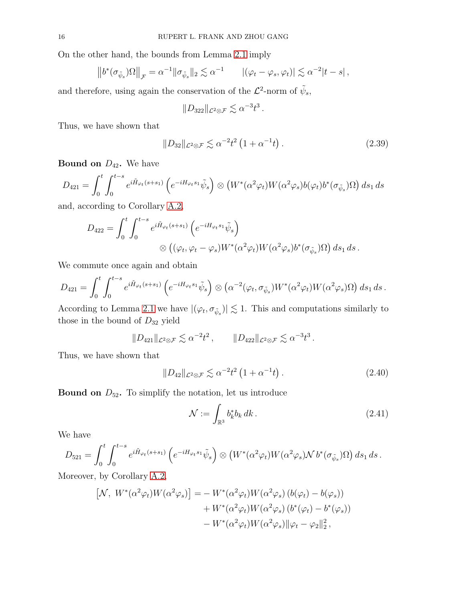On the other hand, the bounds from Lemma [2.1](#page-7-0) imply

$$
\left\|b^*(\sigma_{\tilde{\psi}_s})\Omega\right\|_{\mathcal{F}} = \alpha^{-1}\|\sigma_{\tilde{\psi}_s}\|_2 \lesssim \alpha^{-1} \qquad |(\varphi_t - \varphi_s, \varphi_t)| \lesssim \alpha^{-2}|t - s|,
$$

and therefore, using again the conservation of the  $\mathcal{L}^2$ -norm of  $\tilde{\psi}_s$ ,

$$
||D_{322}||_{\mathcal{L}^2 \otimes \mathcal{F}} \lesssim \alpha^{-3} t^3.
$$

Thus, we have shown that

<span id="page-15-1"></span>
$$
||D_{32}||_{\mathcal{L}^2 \otimes \mathcal{F}} \lesssim \alpha^{-2} t^2 \left(1 + \alpha^{-1} t\right). \tag{2.39}
$$

**Bound on**  $D_{42}$ . We have

$$
D_{421} = \int_0^t \int_0^{t-s} e^{i\tilde{H}_{\varphi_t}(s+s_1)} \left( e^{-iH_{\varphi_t}s_1} \tilde{\psi}_s \right) \otimes \left( W^*(\alpha^2 \varphi_t) W(\alpha^2 \varphi_s) b(\varphi_t) b^*(\sigma_{\tilde{\psi}_s}) \Omega \right) ds_1 ds
$$

and, according to Corollary [A.2,](#page-36-1)

$$
D_{422} = \int_0^t \int_0^{t-s} e^{i\tilde{H}_{\varphi_t}(s+s_1)} \left( e^{-iH_{\varphi_t}s_1} \tilde{\psi}_s \right)
$$
  

$$
\otimes \left( (\varphi_t, \varphi_t - \varphi_s) W^*(\alpha^2 \varphi_t) W(\alpha^2 \varphi_s) b^*(\sigma_{\tilde{\psi}_s}) \Omega \right) ds_1 ds.
$$

We commute once again and obtain

$$
D_{421} = \int_0^t \int_0^{t-s} e^{i\tilde{H}_{\varphi_t}(s+s_1)} \left( e^{-iH_{\varphi_t}s_1} \tilde{\psi}_s \right) \otimes \left( \alpha^{-2} (\varphi_t, \sigma_{\tilde{\psi}_s}) W^*(\alpha^2 \varphi_t) W(\alpha^2 \varphi_s) \Omega \right) ds_1 ds.
$$

According to Lemma [2.1](#page-7-0) we have  $|(\varphi_t, \sigma_{\tilde{\psi}_s})| \lesssim 1$ . This and computations similarly to those in the bound of  $D_{32}$  yield

$$
||D_{421}||_{\mathcal{L}^2 \otimes \mathcal{F}} \lesssim \alpha^{-2} t^2, \qquad ||D_{422}||_{\mathcal{L}^2 \otimes \mathcal{F}} \lesssim \alpha^{-3} t^3.
$$

Thus, we have shown that

<span id="page-15-2"></span>
$$
||D_{42}||_{\mathcal{L}^2 \otimes \mathcal{F}} \lesssim \alpha^{-2} t^2 \left(1 + \alpha^{-1} t\right). \tag{2.40}
$$

**Bound on**  $D_{52}$ . To simplify the notation, let us introduce

<span id="page-15-0"></span>
$$
\mathcal{N} := \int_{\mathbb{R}^3} b_k^* b_k \, dk \,. \tag{2.41}
$$

We have

$$
D_{521} = \int_0^t \int_0^{t-s} e^{i\tilde{H}_{\varphi_t}(s+s_1)} \left( e^{-iH_{\varphi_t}s_1} \tilde{\psi}_s \right) \otimes \left( W^*(\alpha^2 \varphi_t) W(\alpha^2 \varphi_s) \mathcal{N} b^*(\sigma_{\tilde{\psi}_s}) \Omega \right) ds_1 ds.
$$

Moreover, by Corollary [A.2,](#page-36-1)

$$
\begin{aligned} \left[\mathcal{N}, \ W^*(\alpha^2 \varphi_t) W(\alpha^2 \varphi_s)\right] &= -\ W^*(\alpha^2 \varphi_t) W(\alpha^2 \varphi_s) \left(b(\varphi_t) - b(\varphi_s)\right) \\ &+ W^*(\alpha^2 \varphi_t) W(\alpha^2 \varphi_s) \left(b^*(\varphi_t) - b^*(\varphi_s)\right) \\ &- W^*(\alpha^2 \varphi_t) W(\alpha^2 \varphi_s) \|\varphi_t - \varphi_2\|_2^2 \,, \end{aligned}
$$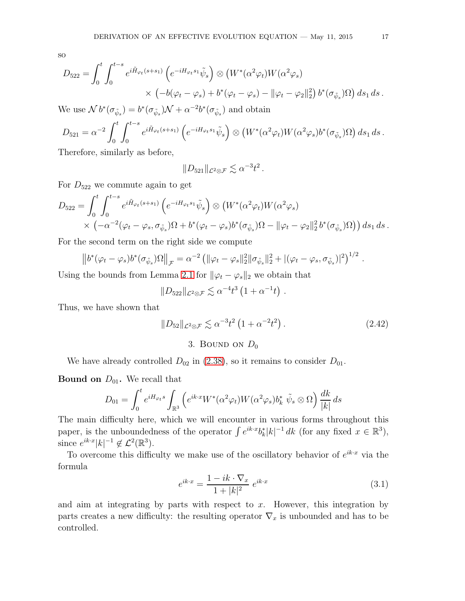so

$$
D_{522} = \int_0^t \int_0^{t-s} e^{i\tilde{H}_{\varphi_t}(s+s_1)} \left( e^{-iH_{\varphi_t}s_1} \tilde{\psi}_s \right) \otimes \left( W^*(\alpha^2 \varphi_t) W(\alpha^2 \varphi_s) \times \left( -b(\varphi_t - \varphi_s) + b^*(\varphi_t - \varphi_s) - ||\varphi_t - \varphi_2||_2^2 \right) b^*(\sigma_{\tilde{\psi}_s}) \Omega \right) ds_1 ds.
$$

We use  $\mathcal{N} b^*(\sigma_{\tilde{\psi}_s}) = b^*(\sigma_{\tilde{\psi}_s})\mathcal{N} + \alpha^{-2}b^*(\sigma_{\tilde{\psi}_s})$  and obtain

$$
D_{521} = \alpha^{-2} \int_0^t \int_0^{t-s} e^{i\tilde{H}_{\varphi_t}(s+s_1)} \left( e^{-iH_{\varphi_t}s_1} \tilde{\psi}_s \right) \otimes \left( W^*(\alpha^2 \varphi_t) W(\alpha^2 \varphi_s) b^*(\sigma_{\tilde{\psi}_s}) \Omega \right) ds_1 ds.
$$
  
Thus,  $\alpha$  is a higher order to be

Therefore, similarly as before,

 $||D_{521}||_{\mathcal{L}^2\otimes\mathcal{F}} \lesssim \alpha^{-3}t^2$ .

For  $D_{522}$  we commute again to get

$$
D_{522} = \int_0^t \int_0^{t-s} e^{i\tilde{H}_{\varphi_t}(s+s_1)} \left( e^{-iH_{\varphi_t}s_1} \tilde{\psi}_s \right) \otimes \left( W^*(\alpha^2 \varphi_t) W(\alpha^2 \varphi_s) \right) \times \left( -\alpha^{-2} (\varphi_t - \varphi_s, \sigma_{\tilde{\psi}_s}) \Omega + b^*(\varphi_t - \varphi_s) b^*(\sigma_{\tilde{\psi}_s}) \Omega - ||\varphi_t - \varphi_2||_2^2 b^*(\sigma_{\tilde{\psi}_s}) \Omega \right) ds_1 ds.
$$

For the second term on the right side we compute

$$
\left\|b^*(\varphi_t-\varphi_s)b^*(\sigma_{\tilde{\psi}_s})\Omega\right\|_{\mathcal{F}}=\alpha^{-2}\left(\|\varphi_t-\varphi_s\|_2^2\|\sigma_{\tilde{\psi}_s}\|_2^2+\left|(\varphi_t-\varphi_s,\sigma_{\tilde{\psi}_s})\right|^2\right)^{1/2}.
$$

Using the bounds from Lemma [2.1](#page-7-0) for  $\|\varphi_t - \varphi_s\|_2$  we obtain that

$$
||D_{522}||_{\mathcal{L}^2\otimes\mathcal{F}} \lesssim \alpha^{-4}t^3\left(1+\alpha^{-1}t\right).
$$

<span id="page-16-0"></span>Thus, we have shown that

<span id="page-16-2"></span>
$$
||D_{52}||_{\mathcal{L}^2 \otimes \mathcal{F}} \lesssim \alpha^{-3} t^2 \left(1 + \alpha^{-2} t^2\right). \tag{2.42}
$$

## 3. BOUND ON  $D_0$

We have already controlled  $D_{02}$  in [\(2.38\)](#page-14-1), so it remains to consider  $D_{01}$ .

**Bound on**  $D_{01}$ . We recall that

$$
D_{01} = \int_0^t e^{iH_{\varphi_t} s} \int_{\mathbb{R}^3} \left( e^{ik \cdot x} W^*(\alpha^2 \varphi_t) W(\alpha^2 \varphi_s) b_k^* \tilde{\psi}_s \otimes \Omega \right) \frac{dk}{|k|} ds
$$

The main difficulty here, which we will encounter in various forms throughout this paper, is the unboundedness of the operator  $\int e^{ik \cdot x} b_k^* |k|^{-1} dk$  (for any fixed  $x \in \mathbb{R}^3$ ), since  $e^{ik \cdot x} |k|^{-1} \notin \mathcal{L}^2(\mathbb{R}^3)$ .

To overcome this difficulty we make use of the oscillatory behavior of  $e^{ik \cdot x}$  via the formula

<span id="page-16-1"></span>
$$
e^{ik \cdot x} = \frac{1 - ik \cdot \nabla_x}{1 + |k|^2} e^{ik \cdot x}
$$
 (3.1)

and aim at integrating by parts with respect to  $x$ . However, this integration by parts creates a new difficulty: the resulting operator  $\nabla_x$  is unbounded and has to be controlled.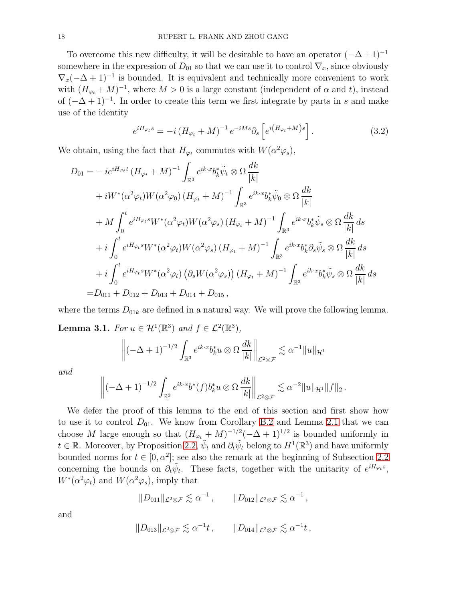To overcome this new difficulty, it will be desirable to have an operator  $(-\Delta+1)^{-1}$ somewhere in the expression of  $D_{01}$  so that we can use it to control  $\nabla_x$ , since obviously  $\nabla_x(-\Delta+1)^{-1}$  is bounded. It is equivalent and technically more convenient to work with  $(H_{\varphi_t} + M)^{-1}$ , where  $M > 0$  is a large constant (independent of  $\alpha$  and t), instead of  $(-\Delta + 1)^{-1}$ . In order to create this term we first integrate by parts in s and make use of the identity

$$
e^{iH_{\varphi_t}s} = -i\left(H_{\varphi_t} + M\right)^{-1}e^{-iMs}\partial_s\left[e^{i\left(H_{\varphi_t} + M\right)s}\right].\tag{3.2}
$$

We obtain, using the fact that  $H_{\varphi_t}$  commutes with  $W(\alpha^2 \varphi_s)$ ,

$$
D_{01} = -ie^{iH_{\varphi_t}t} (H_{\varphi_t} + M)^{-1} \int_{\mathbb{R}^3} e^{ik \cdot x} b_k^* \tilde{\psi}_t \otimes \Omega \frac{dk}{|k|} + iW^* (\alpha^2 \varphi_t) W (\alpha^2 \varphi_0) (H_{\varphi_t} + M)^{-1} \int_{\mathbb{R}^3} e^{ik \cdot x} b_k^* \tilde{\psi}_0 \otimes \Omega \frac{dk}{|k|} + M \int_0^t e^{iH_{\varphi_t}s} W^* (\alpha^2 \varphi_t) W (\alpha^2 \varphi_s) (H_{\varphi_t} + M)^{-1} \int_{\mathbb{R}^3} e^{ik \cdot x} b_k^* \tilde{\psi}_s \otimes \Omega \frac{dk}{|k|} ds + i \int_0^t e^{iH_{\varphi_t}s} W^* (\alpha^2 \varphi_t) W (\alpha^2 \varphi_s) (H_{\varphi_t} + M)^{-1} \int_{\mathbb{R}^3} e^{ik \cdot x} b_k^* \partial_s \tilde{\psi}_s \otimes \Omega \frac{dk}{|k|} ds + i \int_0^t e^{iH_{\varphi_t}s} W^* (\alpha^2 \varphi_t) (\partial_s W (\alpha^2 \varphi_s)) (H_{\varphi_t} + M)^{-1} \int_{\mathbb{R}^3} e^{ik \cdot x} b_k^* \tilde{\psi}_s \otimes \Omega \frac{dk}{|k|} ds = D_{011} + D_{012} + D_{013} + D_{014} + D_{015},
$$

<span id="page-17-0"></span>where the terms  $D_{01k}$  are defined in a natural way. We will prove the following lemma. **Lemma 3.1.** For  $u \in \mathcal{H}^1(\mathbb{R}^3)$  and  $f \in \mathcal{L}^2(\mathbb{R}^3)$ ,

$$
\left\| \left( -\Delta + 1 \right)^{-1/2} \int_{\mathbb{R}^3} e^{ik \cdot x} b_k^* u \otimes \Omega \frac{dk}{|k|} \right\|_{\mathcal{L}^2 \otimes \mathcal{F}} \lesssim \alpha^{-1} \|u\|_{\mathcal{H}^1}
$$

and

$$
\left\| \left( -\Delta + 1 \right)^{-1/2} \int_{\mathbb{R}^3} e^{ik \cdot x} b^*(f) b_k^* u \otimes \Omega \frac{dk}{|k|} \right\|_{\mathcal{L}^2 \otimes \mathcal{F}} \lesssim \alpha^{-2} \|u\|_{\mathcal{H}^1} \|f\|_2.
$$

We defer the proof of this lemma to the end of this section and first show how to use it to control  $D_{01}$ . We know from Corollary [B.2](#page-38-1) and Lemma [2.1](#page-7-0) that we can choose M large enough so that  $(H_{\varphi_t} + M)^{-1/2}(-\Delta + 1)^{1/2}$  is bounded uniformly in  $t \in \mathbb{R}$ . Moreover, by Proposition [2.2,](#page-8-0)  $\tilde{\psi}_t$  and  $\partial_t \tilde{\psi}_t$  belong to  $H^1(\mathbb{R}^3)$  and have uniformly bounded norms for  $t \in [0, \alpha^2]$ ; see also the remark at the beginning of Subsection [2.2](#page-8-5) concerning the bounds on  $\partial_t \tilde{\psi}_t$ . These facts, together with the unitarity of  $e^{iH_{\varphi_t} s}$ ,  $W^*(\alpha^2 \varphi_t)$  and  $W(\alpha^2 \varphi_s)$ , imply that

$$
||D_{011}||_{\mathcal{L}^2 \otimes \mathcal{F}} \lesssim \alpha^{-1} , \qquad ||D_{012}||_{\mathcal{L}^2 \otimes \mathcal{F}} \lesssim \alpha^{-1} ,
$$

and

$$
||D_{013}||_{\mathcal{L}^2 \otimes \mathcal{F}} \lesssim \alpha^{-1}t, \qquad ||D_{014}||_{\mathcal{L}^2 \otimes \mathcal{F}} \lesssim \alpha^{-1}t,
$$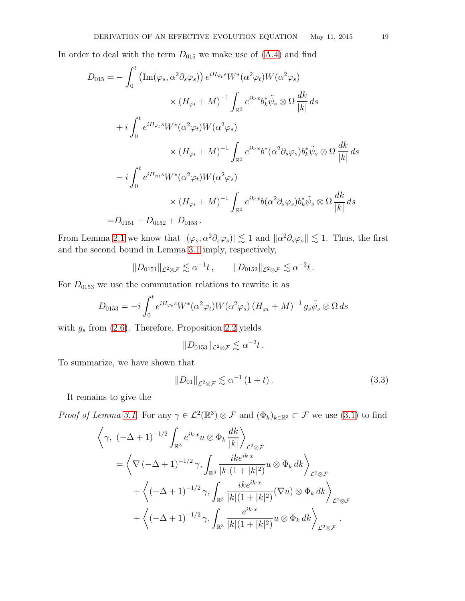In order to deal with the term  $D_{015}$  we make use of  $(A.4)$  and find

$$
D_{015} = -\int_0^t \left( \text{Im}(\varphi_s, \alpha^2 \partial_s \varphi_s) \right) e^{iH_{\varphi_t} s} W^*(\alpha^2 \varphi_t) W(\alpha^2 \varphi_s)
$$
  

$$
\times (H_{\varphi_t} + M)^{-1} \int_{\mathbb{R}^3} e^{ik \cdot x} b_k^* \tilde{\psi}_s \otimes \Omega \frac{dk}{|k|} ds
$$
  

$$
+ i \int_0^t e^{iH_{\varphi_t} s} W^*(\alpha^2 \varphi_t) W(\alpha^2 \varphi_s)
$$
  

$$
\times (H_{\varphi_t} + M)^{-1} \int_{\mathbb{R}^3} e^{ik \cdot x} b^*(\alpha^2 \partial_s \varphi_s) b_k^* \tilde{\psi}_s \otimes \Omega \frac{dk}{|k|} ds
$$
  

$$
- i \int_0^t e^{iH_{\varphi_t} s} W^*(\alpha^2 \varphi_t) W(\alpha^2 \varphi_s)
$$
  

$$
\times (H_{\varphi_t} + M)^{-1} \int_{\mathbb{R}^3} e^{ik \cdot x} b(\alpha^2 \partial_s \varphi_s) b_k^* \tilde{\psi}_s \otimes \Omega \frac{dk}{|k|} ds
$$
  
=  $D_{0151} + D_{0152} + D_{0153}.$ 

From Lemma [2.1](#page-7-0) we know that  $|(\varphi_s, \alpha^2 \partial_s \varphi_s)| \lesssim 1$  and  $\|\alpha^2 \partial_s \varphi_s\| \lesssim 1$ . Thus, the first and the second bound in Lemma [3.1](#page-17-0) imply, respectively,

$$
||D_{0151}||_{\mathcal{L}^2 \otimes \mathcal{F}} \lesssim \alpha^{-1}t, \qquad ||D_{0152}||_{\mathcal{L}^2 \otimes \mathcal{F}} \lesssim \alpha^{-2}t.
$$

For  $D_{0153}$  we use the commutation relations to rewrite it as

$$
D_{0153} = -i \int_0^t e^{iH_{\varphi_t} s} W^*(\alpha^2 \varphi_t) W(\alpha^2 \varphi_s) (H_{\varphi_t} + M)^{-1} g_s \tilde{\psi}_s \otimes \Omega ds
$$

with  $g_s$  from [\(2.6\)](#page-8-6). Therefore, Proposition [2.2](#page-8-0) yields

$$
||D_{0153}||_{\mathcal{L}^2 \otimes \mathcal{F}} \lesssim \alpha^{-2}t.
$$

To summarize, we have shown that

$$
||D_{01}||_{\mathcal{L}^2 \otimes \mathcal{F}} \lesssim \alpha^{-1} (1+t). \tag{3.3}
$$

It remains to give the

*Proof of Lemma [3.1.](#page-17-0)* For any  $\gamma \in \mathcal{L}^2(\mathbb{R}^3) \otimes \mathcal{F}$  and  $(\Phi_k)_{k \in \mathbb{R}^3} \subset \mathcal{F}$  we use [\(3.1\)](#page-16-1) to find

$$
\left\langle \gamma, \; (-\Delta + 1)^{-1/2} \int_{\mathbb{R}^3} e^{ik \cdot x} u \otimes \Phi_k \frac{dk}{|k|} \right\rangle_{\mathcal{L}^2 \otimes \mathcal{F}}
$$
\n
$$
= \left\langle \nabla \left( -\Delta + 1 \right)^{-1/2} \gamma, \int_{\mathbb{R}^3} \frac{ike^{ik \cdot x}}{|k|(1 + |k|^2)} u \otimes \Phi_k \, dk \right\rangle_{\mathcal{L}^2 \otimes \mathcal{F}}
$$
\n
$$
+ \left\langle \left( -\Delta + 1 \right)^{-1/2} \gamma, \int_{\mathbb{R}^3} \frac{ike^{ik \cdot x}}{|k|(1 + |k|^2)} (\nabla u) \otimes \Phi_k \, dk \right\rangle_{\mathcal{L}^2 \otimes \mathcal{F}}
$$
\n
$$
+ \left\langle \left( -\Delta + 1 \right)^{-1/2} \gamma, \int_{\mathbb{R}^3} \frac{e^{ik \cdot x}}{|k|(1 + |k|^2)} u \otimes \Phi_k \, dk \right\rangle_{\mathcal{L}^2 \otimes \mathcal{F}}
$$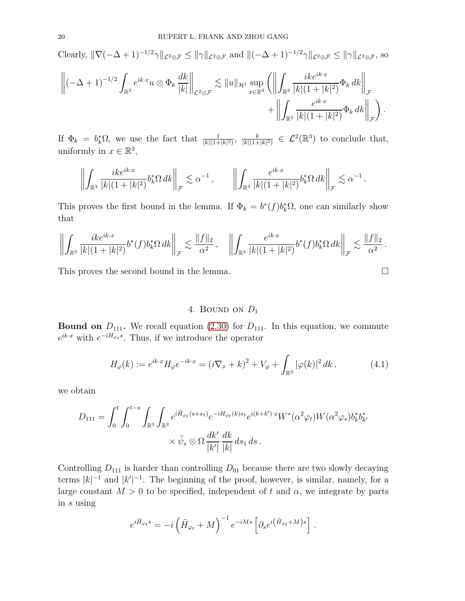Clearly,  $\|\nabla(-\Delta + 1)^{-1/2}\gamma\|_{\mathcal{L}^2\otimes\mathcal{F}} \le \|\gamma\|_{\mathcal{L}^2\otimes\mathcal{F}}$  and  $\|(-\Delta + 1)^{-1/2}\gamma\|_{\mathcal{L}^2\otimes\mathcal{F}} \le \|\gamma\|_{\mathcal{L}^2\otimes\mathcal{F}}$ , so

$$
\left\| (-\Delta + 1)^{-1/2} \int_{\mathbb{R}^3} e^{ik \cdot x} u \otimes \Phi_k \frac{dk}{|k|} \right\|_{\mathcal{L}^2 \otimes \mathcal{F}} \lesssim \|u\|_{\mathcal{H}^1} \sup_{x \in \mathbb{R}^d} \left( \left\| \int_{\mathbb{R}^3} \frac{ike^{ik \cdot x}}{|k|(1+|k|^2)} \Phi_k dk \right\|_{\mathcal{F}} \right. \\ \left. + \left\| \int_{\mathbb{R}^3} \frac{e^{ik \cdot x}}{|k|(1+|k|^2)} \Phi_k dk \right\|_{\mathcal{F}} \right).
$$

If  $\Phi_k = b_k^* \Omega$ , we use the fact that  $\frac{1}{|k|(1+|k|^2)}$ ,  $\frac{k}{|k|(1+1)}$  $\frac{k}{|k|(1+|k|^2)} \in \mathcal{L}^2(\mathbb{R}^3)$  to conclude that, uniformly in  $x \in \mathbb{R}^3$ ,

$$
\left\| \int_{\mathbb{R}^3} \frac{ik e^{ik \cdot x}}{|k|(1+|k|^2)} b_k^* \Omega \, dk \right\|_{\mathcal{F}} \lesssim \alpha^{-1} \,, \qquad \left\| \int_{\mathbb{R}^3} \frac{e^{ik \cdot x}}{|k|(1+|k|^2)} b_k^* \Omega \, dk \right\|_{\mathcal{F}} \lesssim \alpha^{-1} \,.
$$

This proves the first bound in the lemma. If  $\Phi_k = b^*(f) b_k^* \Omega$ , one can similarly show that

$$
\left\| \int_{\mathbb{R}^3} \frac{ik e^{ik \cdot x}}{|k|(1+|k|^2)} b^*(f) b_k^* \Omega \, dk \right\|_{\mathcal{F}} \lesssim \frac{\|f\|_2}{\alpha^2}, \quad \left\| \int_{\mathbb{R}^3} \frac{e^{ik \cdot x}}{|k|(1+|k|^2)} b^*(f) b_k^* \Omega \, dk \right\|_{\mathcal{F}} \lesssim \frac{\|f\|_2}{\alpha^2}.
$$

<span id="page-19-0"></span>This proves the second bound in the lemma.  $\Box$ 

## 4. BOUND ON  $D_1$

**Bound on**  $D_{111}$ . We recall equation [\(2.30\)](#page-13-0) for  $D_{111}$ . In this equation, we commute  $e^{ik\cdot x}$  with  $e^{-iH_{\varphi_t} s}$ . Thus, if we introduce the operator

$$
H_{\varphi}(k) := e^{ik \cdot x} H_{\varphi} e^{-ik \cdot x} = (i \nabla_x + k)^2 + V_{\varphi} + \int_{\mathbb{R}^3} |\varphi(k)|^2 dk, \qquad (4.1)
$$

we obtain

$$
D_{111} = \int_0^t \int_0^{t-s} \int_{\mathbb{R}^3} \int_{\mathbb{R}^3} e^{i\tilde{H}_{\varphi_t}(s+s_1)} e^{-iH_{\varphi_t}(k)s_1} e^{i(k+k')\cdot x} W^*(\alpha^2 \varphi_t) W(\alpha^2 \varphi_s) b_k^* b_{k'}^*
$$

$$
\times \tilde{\psi}_s \otimes \Omega \frac{dk'}{|k'|} \frac{dk}{|k|} ds_1 ds.
$$

Controlling  $D_{111}$  is harder than controlling  $D_{01}$  because there are two slowly decaying terms  $|k|^{-1}$  and  $|k'|^{-1}$ . The beginning of the proof, however, is similar, namely, for a large constant  $M > 0$  to be specified, independent of t and  $\alpha$ , we integrate by parts in s using

$$
e^{i\tilde{H}_{\varphi_t}s} = -i\left(\tilde{H}_{\varphi_t} + M\right)^{-1}e^{-iMs}\left[\partial_s e^{i\left(\tilde{H}_{\varphi_t} + M\right)s}\right].
$$

<span id="page-19-1"></span>
$$
\Box
$$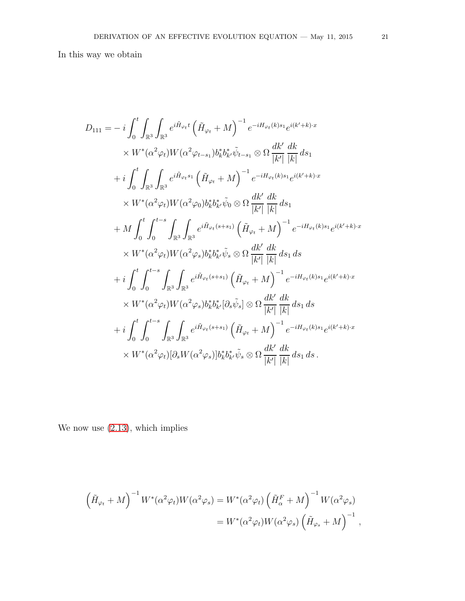In this way we obtain

$$
D_{111} = -i \int_0^t \int_{\mathbb{R}^3} \int_{\mathbb{R}^3} e^{i\tilde{H}_{\varphi_t}t} \left( \tilde{H}_{\varphi_t} + M \right)^{-1} e^{-iH_{\varphi_t}(k)s_1} e^{i(k'+k)x}
$$
  
\n
$$
\times W^*(\alpha^2 \varphi_t) W(\alpha^2 \varphi_{t-s_1}) b^*_b b^*_b \tilde{\psi}_{t-s_1} \otimes \Omega \frac{dk'}{|k'|} \frac{dk}{|k|} ds_1
$$
  
\n
$$
+ i \int_0^t \int_{\mathbb{R}^3} \int_{\mathbb{R}^3} e^{i\tilde{H}_{\varphi_t}s_1} \left( \tilde{H}_{\varphi_t} + M \right)^{-1} e^{-iH_{\varphi_t}(k)s_1} e^{i(k'+k)x}
$$
  
\n
$$
\times W^*(\alpha^2 \varphi_t) W(\alpha^2 \varphi_0) b^*_b b^*_b \tilde{\psi}_0 \otimes \Omega \frac{dk'}{|k'|} \frac{dk}{|k|} ds_1
$$
  
\n
$$
+ M \int_0^t \int_0^{t-s} \int_{\mathbb{R}^3} \int_{\mathbb{R}^3} e^{i\tilde{H}_{\varphi_t}(s+s_1)} \left( \tilde{H}_{\varphi_t} + M \right)^{-1} e^{-iH_{\varphi_t}(k)s_1} e^{i(k'+k)x}
$$
  
\n
$$
\times W^*(\alpha^2 \varphi_t) W(\alpha^2 \varphi_s) b^*_b b^*_b \tilde{\psi}_s \otimes \Omega \frac{dk'}{|k'|} \frac{dk}{|k|} ds_1 ds
$$
  
\n
$$
+ i \int_0^t \int_0^{t-s} \int_{\mathbb{R}^3} \int_{\mathbb{R}^3} e^{i\tilde{H}_{\varphi_t}(s+s_1)} \left( \tilde{H}_{\varphi_t} + M \right)^{-1} e^{-iH_{\varphi_t}(k)s_1} e^{i(k'+k)x}
$$
  
\n
$$
\times W^*(\alpha^2 \varphi_t) W(\alpha^2 \varphi_s) b^*_b b^*_k [\partial_s \tilde{\psi}_s] \otimes \Omega \frac{dk'}{|k'|} \frac{dk}{|k|} ds_1 ds
$$
  
\

We now use [\(2.13\)](#page-8-3), which implies

$$
\left(\tilde{H}_{\varphi_t} + M\right)^{-1} W^*(\alpha^2 \varphi_t) W(\alpha^2 \varphi_s) = W^*(\alpha^2 \varphi_t) \left(\tilde{H}_{\alpha}^F + M\right)^{-1} W(\alpha^2 \varphi_s)
$$
  

$$
= W^*(\alpha^2 \varphi_t) W(\alpha^2 \varphi_s) \left(\tilde{H}_{\varphi_s} + M\right)^{-1},
$$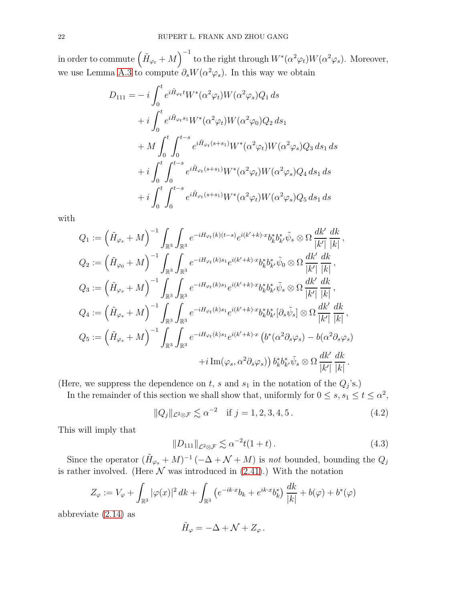in order to commute  $\left(\tilde{H}_{\varphi_t} + M\right)^{-1}$  to the right through  $W^*(\alpha^2 \varphi_t)W(\alpha^2 \varphi_s)$ . Moreover, we use Lemma [A.3](#page-36-2) to compute  $\partial_s W(\alpha^2 \varphi_s)$ . In this way we obtain

$$
D_{111} = -i \int_0^t e^{i\tilde{H}_{\varphi_t}t} W^*(\alpha^2 \varphi_t) W(\alpha^2 \varphi_s) Q_1 ds
$$
  
+  $i \int_0^t e^{i\tilde{H}_{\varphi_t}s_1} W^*(\alpha^2 \varphi_t) W(\alpha^2 \varphi_0) Q_2 ds_1$   
+  $M \int_0^t \int_0^{t-s} e^{i\tilde{H}_{\varphi_t}(s+s_1)} W^*(\alpha^2 \varphi_t) W(\alpha^2 \varphi_s) Q_3 ds_1 ds$   
+  $i \int_0^t \int_0^{t-s} e^{i\tilde{H}_{\varphi_t}(s+s_1)} W^*(\alpha^2 \varphi_t) W(\alpha^2 \varphi_s) Q_4 ds_1 ds$   
+  $i \int_0^t \int_0^{t-s} e^{i\tilde{H}_{\varphi_t}(s+s_1)} W^*(\alpha^2 \varphi_t) W(\alpha^2 \varphi_s) Q_5 ds_1 ds$ 

with

$$
Q_1 := \left(\tilde{H}_{\varphi_s} + M\right)^{-1} \int_{\mathbb{R}^3} \int_{\mathbb{R}^3} e^{-iH_{\varphi_t}(k)(t-s)} e^{i(k'+k)\cdot x} b_k^* b_{k'}^* \tilde{\psi}_s \otimes \Omega \frac{dk'}{|k'|} \frac{dk}{|k|},
$$
  
\n
$$
Q_2 := \left(\tilde{H}_{\varphi_0} + M\right)^{-1} \int_{\mathbb{R}^3} \int_{\mathbb{R}^3} e^{-iH_{\varphi_t}(k)s_1} e^{i(k'+k)\cdot x} b_k^* b_{k'}^* \tilde{\psi}_0 \otimes \Omega \frac{dk'}{|k'|} \frac{dk}{|k|},
$$
  
\n
$$
Q_3 := \left(\tilde{H}_{\varphi_s} + M\right)^{-1} \int_{\mathbb{R}^3} \int_{\mathbb{R}^3} e^{-iH_{\varphi_t}(k)s_1} e^{i(k'+k)\cdot x} b_k^* b_{k'}^* \tilde{\psi}_s \otimes \Omega \frac{dk'}{|k'|} \frac{dk}{|k|},
$$
  
\n
$$
Q_4 := \left(\tilde{H}_{\varphi_s} + M\right)^{-1} \int_{\mathbb{R}^3} \int_{\mathbb{R}^3} e^{-iH_{\varphi_t}(k)s_1} e^{i(k'+k)\cdot x} b_k^* b_{k'}^* [\partial_s \tilde{\psi}_s] \otimes \Omega \frac{dk'}{|k'|} \frac{dk}{|k|},
$$
  
\n
$$
Q_5 := \left(\tilde{H}_{\varphi_s} + M\right)^{-1} \int_{\mathbb{R}^3} \int_{\mathbb{R}^3} e^{-iH_{\varphi_t}(k)s_1} e^{i(k'+k)\cdot x} \left(b^*(\alpha^2 \partial_s \varphi_s) - b(\alpha^2 \partial_s \varphi_s) \right) \frac{dk'}{|k'|} \frac{dk}{|k|}.
$$

(Here, we suppress the dependence on t, s and  $s_1$  in the notation of the  $Q_j$ 's.)

In the remainder of this section we shall show that, uniformly for  $0 \leq s, s_1 \leq t \leq \alpha^2$ ,

<span id="page-21-0"></span>
$$
||Q_j||_{\mathcal{L}^2 \otimes \mathcal{F}} \lesssim \alpha^{-2} \quad \text{if } j = 1, 2, 3, 4, 5 \,. \tag{4.2}
$$

This will imply that

<span id="page-21-1"></span>
$$
||D_{111}||_{\mathcal{L}^2 \otimes \mathcal{F}} \lesssim \alpha^{-2} t(1+t). \tag{4.3}
$$

Since the operator  $(\tilde{H}_{\varphi_s} + M)^{-1}(-\Delta + \mathcal{N} + M)$  is *not* bounded, bounding the  $Q_j$ is rather involved. (Here  $N$  was introduced in  $(2.41)$ .) With the notation

$$
Z_{\varphi} := V_{\varphi} + \int_{\mathbb{R}^3} |\varphi(x)|^2 \, dk + \int_{\mathbb{R}^3} \left( e^{-ik \cdot x} b_k + e^{ik \cdot x} b_k^* \right) \frac{dk}{|k|} + b(\varphi) + b^*(\varphi)
$$

abbreviate [\(2.14\)](#page-9-3) as

$$
\tilde{H}_{\varphi} = -\Delta + \mathcal{N} + Z_{\varphi} \, .
$$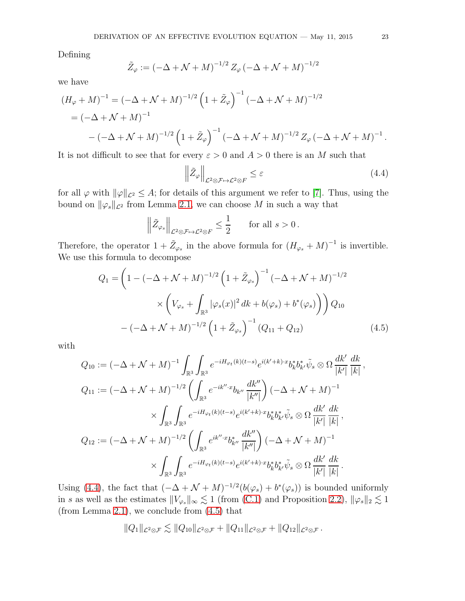Defining

$$
\tilde{Z}_{\varphi} := (-\Delta + \mathcal{N} + M)^{-1/2} Z_{\varphi} (-\Delta + \mathcal{N} + M)^{-1/2}
$$

we have

$$
(H_{\varphi} + M)^{-1} = (-\Delta + \mathcal{N} + M)^{-1/2} \left(1 + \tilde{Z}_{\varphi}\right)^{-1} (-\Delta + \mathcal{N} + M)^{-1/2}
$$
  
=  $(-\Delta + \mathcal{N} + M)^{-1}$   
 $- (-\Delta + \mathcal{N} + M)^{-1/2} \left(1 + \tilde{Z}_{\varphi}\right)^{-1} (-\Delta + \mathcal{N} + M)^{-1/2} Z_{\varphi} (-\Delta + \mathcal{N} + M)^{-1}.$ 

It is not difficult to see that for every  $\varepsilon > 0$  and  $A > 0$  there is an M such that

<span id="page-22-0"></span>
$$
\left\| \tilde{Z}_{\varphi} \right\|_{\mathcal{L}^2 \otimes \mathcal{F} \mapsto \mathcal{L}^2 \otimes F} \leq \varepsilon \tag{4.4}
$$

for all  $\varphi$  with  $\|\varphi\|_{\mathcal{L}^2} \leq A$ ; for details of this argument we refer to [\[7\]](#page-45-3). Thus, using the bound on  $\|\varphi_s\|_{\mathcal{L}^2}$  from Lemma [2.1,](#page-7-0) we can choose M in such a way that

$$
\left\|\tilde{Z}_{\varphi_s}\right\|_{\mathcal{L}^2\otimes\mathcal{F}\mapsto\mathcal{L}^2\otimes F}\leq\frac{1}{2}
$$
 for all  $s>0$ .

Therefore, the operator  $1 + \tilde{Z}_{\varphi_s}$  in the above formula for  $(H_{\varphi_s} + M)^{-1}$  is invertible. We use this formula to decompose

$$
Q_{1} = \left(1 - \left(-\Delta + \mathcal{N} + M\right)^{-1/2} \left(1 + \tilde{Z}_{\varphi_{s}}\right)^{-1} \left(-\Delta + \mathcal{N} + M\right)^{-1/2} \right.\times \left(V_{\varphi_{s}} + \int_{\mathbb{R}^{3}} |\varphi_{s}(x)|^{2} dk + b(\varphi_{s}) + b^{*}(\varphi_{s})\right)\right) Q_{10}\n- \left(-\Delta + \mathcal{N} + M\right)^{-1/2} \left(1 + \tilde{Z}_{\varphi_{s}}\right)^{-1} \left(Q_{11} + Q_{12}\right) \tag{4.5}
$$

with

$$
Q_{10} := (-\Delta + \mathcal{N} + M)^{-1} \int_{\mathbb{R}^3} \int_{\mathbb{R}^3} e^{-iH_{\varphi_t}(k)(t-s)} e^{i(k'+k)\cdot x} b_k^* b_{k'}^* \tilde{\psi}_s \otimes \Omega \frac{dk'}{|k'|} \frac{dk}{|k|}
$$
  
\n
$$
Q_{11} := (-\Delta + \mathcal{N} + M)^{-1/2} \left( \int_{\mathbb{R}^3} e^{-ik''\cdot x} b_{k''} \frac{dk''}{|k''|} \right) (-\Delta + \mathcal{N} + M)^{-1}
$$
  
\n
$$
\times \int_{\mathbb{R}^3} \int_{\mathbb{R}^3} e^{-iH_{\varphi_t}(k)(t-s)} e^{i(k'+k)\cdot x} b_k^* b_{k'}^* \tilde{\psi}_s \otimes \Omega \frac{dk'}{|k'|} \frac{dk}{|k|},
$$
  
\n
$$
Q_{12} := (-\Delta + \mathcal{N} + M)^{-1/2} \left( \int_{\mathbb{R}^3} e^{ik''\cdot x} b_{k''}^* \frac{dk''}{|k''|} \right) (-\Delta + \mathcal{N} + M)^{-1}
$$
  
\n
$$
\times \int_{\mathbb{R}^3} \int_{\mathbb{R}^3} e^{-iH_{\varphi_t}(k)(t-s)} e^{i(k'+k)\cdot x} b_k^* b_{k'}^* \tilde{\psi}_s \otimes \Omega \frac{dk'}{|k'|} \frac{dk}{|k|}.
$$

Using [\(4.4\)](#page-22-0), the fact that  $(-\Delta + \mathcal{N} + M)^{-1/2}(b(\varphi_s) + b^*(\varphi_s))$  is bounded uniformly in s as well as the estimates  $||V_{\varphi_s}||_{\infty} \lesssim 1$  (from [\(C.1\)](#page-38-2) and Proposition [2.2\)](#page-8-0),  $||\varphi_s||_2 \lesssim 1$ . (from Lemma [2.1\)](#page-7-0), we conclude from [\(4.5\)](#page-22-1) that

$$
||Q_1||_{\mathcal{L}^2 \otimes \mathcal{F}} \lesssim ||Q_{10}||_{\mathcal{L}^2 \otimes \mathcal{F}} + ||Q_{11}||_{\mathcal{L}^2 \otimes \mathcal{F}} + ||Q_{12}||_{\mathcal{L}^2 \otimes \mathcal{F}}.
$$

<span id="page-22-1"></span>,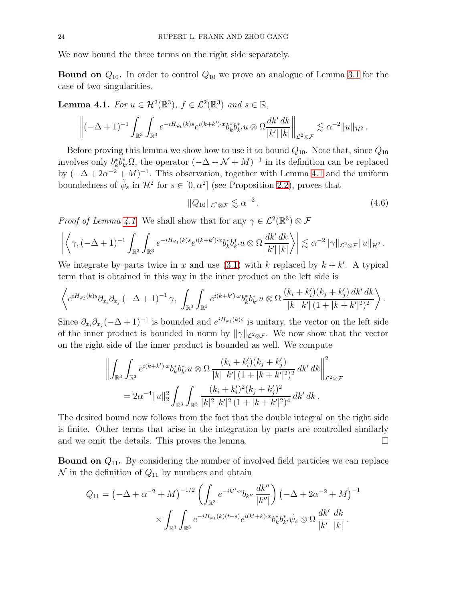We now bound the three terms on the right side separately.

**Bound on**  $Q_{10}$ . In order to control  $Q_{10}$  we prove an analogue of Lemma [3.1](#page-17-0) for the case of two singularities.

<span id="page-23-0"></span>**Lemma 4.1.** For  $u \in \mathcal{H}^2(\mathbb{R}^3)$ ,  $f \in \mathcal{L}^2(\mathbb{R}^3)$  and  $s \in \mathbb{R}$ ,

$$
\left\|(-\Delta+1)^{-1}\int_{\mathbb{R}^3}\int_{\mathbb{R}^3}e^{-iH_{\varphi_t}(k)s}e^{i(k+k')\cdot x}b_k^*b_{k'}^*u\otimes\Omega\frac{dk'\,dk}{|k'|\,|k|}\right\|_{\mathcal{L}^2\otimes\mathcal{F}}\lesssim\alpha^{-2}\|u\|_{\mathcal{H}^2}.
$$

Before proving this lemma we show how to use it to bound  $Q_{10}$ . Note that, since  $Q_{10}$ involves only  $b_k^* b_{k'}^* \Omega$ , the operator  $(-\Delta + \mathcal{N} + M)^{-1}$  in its definition can be replaced by  $(-\Delta + 2\alpha^{-2} + M)^{-1}$ . This observation, together with Lemma [4.1](#page-23-0) and the uniform boundedness of  $\tilde{\psi}_s$  in  $\mathcal{H}^2$  for  $s \in [0, \alpha^2]$  (see Proposition [2.2\)](#page-8-0), proves that

$$
||Q_{10}||_{\mathcal{L}^2 \otimes \mathcal{F}} \lesssim \alpha^{-2}.
$$
\n(4.6)

*Proof of Lemma [4.1.](#page-23-0)* We shall show that for any  $\gamma \in \mathcal{L}^2(\mathbb{R}^3) \otimes \mathcal{F}$ 

$$
\left|\left\langle \gamma, (-\Delta+1)^{-1} \int_{\mathbb{R}^3}\int_{\mathbb{R}^3} e^{-iH_{\varphi_t}(k)s} e^{i(k+k')\cdot x} b_k^* b_{k'}^* u \otimes \Omega \frac{dk'\,dk}{|k'||k|} \right\rangle\right| \lesssim \alpha^{-2} \|\gamma\|_{\mathcal{L}^2 \otimes \mathcal{F}} \|u\|_{\mathcal{H}^2} \,.
$$

We integrate by parts twice in x and use  $(3.1)$  with k replaced by  $k + k'$ . A typical term that is obtained in this way in the inner product on the left side is

$$
\left\langle e^{iH_{\varphi_t}(k)s} \partial_{x_i} \partial_{x_j} \left( -\Delta + 1 \right)^{-1} \gamma, \int_{\mathbb{R}^3} \int_{\mathbb{R}^3} e^{i(k+k') \cdot x} b_k^* b_{k'}^* u \otimes \Omega \frac{(k_i + k'_i)(k_j + k'_j) \, dk' \, dk}{|k| \, |k'| \, (1 + |k + k'|^2)^2} \right\rangle.
$$

Since  $\partial_{x_i}\partial_{x_j}(-\Delta+1)^{-1}$  is bounded and  $e^{iH_{\varphi_t}(k)s}$  is unitary, the vector on the left side of the inner product is bounded in norm by  $\|\gamma\|_{\mathcal{L}^2\otimes\mathcal{F}}$ . We now show that the vector on the right side of the inner product is bounded as well. We compute

$$
\left\| \int_{\mathbb{R}^3} \int_{\mathbb{R}^3} e^{i(k+k') \cdot x} b_k^* b_{k'}^* u \otimes \Omega \frac{(k_i + k'_i)(k_j + k'_j)}{|k| |k'| (1 + |k + k'|^2)^2} dk' dk \right\|_{\mathcal{L}^2 \otimes \mathcal{F}}^2
$$
  
=  $2\alpha^{-4} \|u\|_2^2 \int_{\mathbb{R}^3} \int_{\mathbb{R}^3} \frac{(k_i + k'_i)^2 (k_j + k'_j)^2}{|k|^2 |k'|^2 (1 + |k + k'|^2)^4} dk' dk.$ 

The desired bound now follows from the fact that the double integral on the right side is finite. Other terms that arise in the integration by parts are controlled similarly and we omit the details. This proves the lemma.  $\Box$ 

**Bound on**  $Q_{11}$ . By considering the number of involved field particles we can replace  $\mathcal N$  in the definition of  $Q_{11}$  by numbers and obtain

$$
Q_{11} = \left(-\Delta + \alpha^{-2} + M\right)^{-1/2} \left(\int_{\mathbb{R}^3} e^{-ik'' \cdot x} b_{k''} \frac{dk''}{|k''|}\right) \left(-\Delta + 2\alpha^{-2} + M\right)^{-1} \times \int_{\mathbb{R}^3} \int_{\mathbb{R}^3} e^{-iH_{\varphi_t}(k)(t-s)} e^{i(k'+k)\cdot x} b_k^* b_{k'}^* \tilde{\psi}_s \otimes \Omega \frac{dk'}{|k'|} \frac{dk}{|k|}.
$$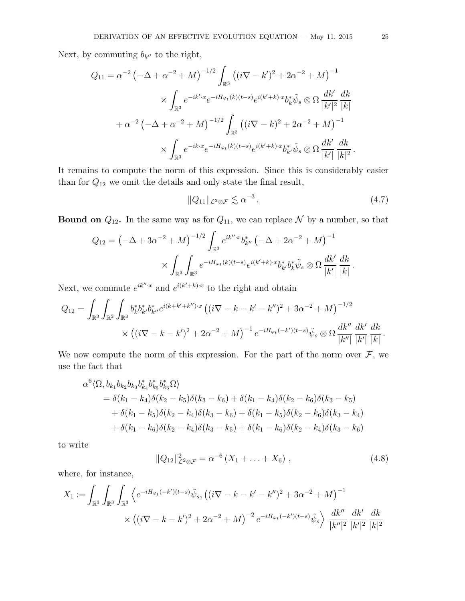Next, by commuting  $b_{k''}$  to the right,

$$
Q_{11} = \alpha^{-2} \left( -\Delta + \alpha^{-2} + M \right)^{-1/2} \int_{\mathbb{R}^3} \left( (i\nabla - k')^2 + 2\alpha^{-2} + M \right)^{-1} \times \int_{\mathbb{R}^3} e^{-ik' \cdot x} e^{-iH_{\varphi_t}(k)(t-s)} e^{i(k'+k) \cdot x} b_k^* \tilde{\psi}_s \otimes \Omega \frac{dk'}{|k'|^2} \frac{dk}{|k|} + \alpha^{-2} \left( -\Delta + \alpha^{-2} + M \right)^{-1/2} \int_{\mathbb{R}^3} \left( (i\nabla - k)^2 + 2\alpha^{-2} + M \right)^{-1} \times \int_{\mathbb{R}^3} e^{-ik \cdot x} e^{-iH_{\varphi_t}(k)(t-s)} e^{i(k'+k) \cdot x} b_{k'}^* \tilde{\psi}_s \otimes \Omega \frac{dk'}{|k'|} \frac{dk}{|k|^2} .
$$

It remains to compute the norm of this expression. Since this is considerably easier than for  $Q_{12}$  we omit the details and only state the final result,

$$
||Q_{11}||_{\mathcal{L}^2 \otimes \mathcal{F}} \lesssim \alpha^{-3} \,. \tag{4.7}
$$

**Bound on**  $Q_{12}$ . In the same way as for  $Q_{11}$ , we can replace N by a number, so that

$$
Q_{12} = \left(-\Delta + 3\alpha^{-2} + M\right)^{-1/2} \int_{\mathbb{R}^3} e^{ik'' \cdot x} b^*_{k''} \left(-\Delta + 2\alpha^{-2} + M\right)^{-1} \times \int_{\mathbb{R}^3} \int_{\mathbb{R}^3} e^{-iH_{\varphi_t}(k)(t-s)} e^{i(k'+k)\cdot x} b^*_{k'} b^*_{k} \tilde{\psi}_s \otimes \Omega \frac{dk'}{|k'|} \frac{dk}{|k|}.
$$

Next, we commute  $e^{ik'' \cdot x}$  and  $e^{i(k'+k)\cdot x}$  to the right and obtain

$$
Q_{12} = \int_{\mathbb{R}^3} \int_{\mathbb{R}^3} b_k^* b_{k'}^* b_{k''}^* e^{i(k+k'+k'')\cdot x} \left( (i\nabla - k - k' - k'')^2 + 3\alpha^{-2} + M \right)^{-1/2} \times \left( (i\nabla - k - k')^2 + 2\alpha^{-2} + M \right)^{-1} e^{-iH_{\varphi_t}(-k')(t-s)} \tilde{\psi}_s \otimes \Omega \frac{dk''}{|k''|} \frac{dk'}{|k'|} \frac{dk}{|k|}.
$$

We now compute the norm of this expression. For the part of the norm over  $\mathcal{F}$ , we use the fact that

$$
\alpha^{6}\langle\Omega,b_{k_{1}}b_{k_{2}}b_{k_{3}}b_{k_{4}}^{*}b_{k_{5}}^{*}\Omega\rangle
$$
\n
$$
= \delta(k_{1} - k_{4})\delta(k_{2} - k_{5})\delta(k_{3} - k_{6}) + \delta(k_{1} - k_{4})\delta(k_{2} - k_{6})\delta(k_{3} - k_{5})
$$
\n
$$
+ \delta(k_{1} - k_{5})\delta(k_{2} - k_{4})\delta(k_{3} - k_{6}) + \delta(k_{1} - k_{5})\delta(k_{2} - k_{6})\delta(k_{3} - k_{4})
$$
\n
$$
+ \delta(k_{1} - k_{6})\delta(k_{2} - k_{4})\delta(k_{3} - k_{5}) + \delta(k_{1} - k_{6})\delta(k_{2} - k_{4})\delta(k_{3} - k_{6})
$$

to write

<span id="page-24-0"></span>
$$
||Q_{12}||_{\mathcal{L}^2 \otimes \mathcal{F}}^2 = \alpha^{-6} (X_1 + \ldots + X_6), \qquad (4.8)
$$

where, for instance,

6

$$
X_1 := \int_{\mathbb{R}^3} \int_{\mathbb{R}^3} \int_{\mathbb{R}^3} \left\langle e^{-iH_{\varphi_t}(-k')(t-s)} \tilde{\psi}_s, \left( (i\nabla - k - k' - k'')^2 + 3\alpha^{-2} + M \right)^{-1} \right\rangle \times \left( (i\nabla - k - k')^2 + 2\alpha^{-2} + M \right)^{-2} e^{-iH_{\varphi_t}(-k')(t-s)} \tilde{\psi}_s \right\rangle \frac{dk''}{|k''|^2} \frac{dk'}{|k'|^2} \frac{dk'}{|k|^2}
$$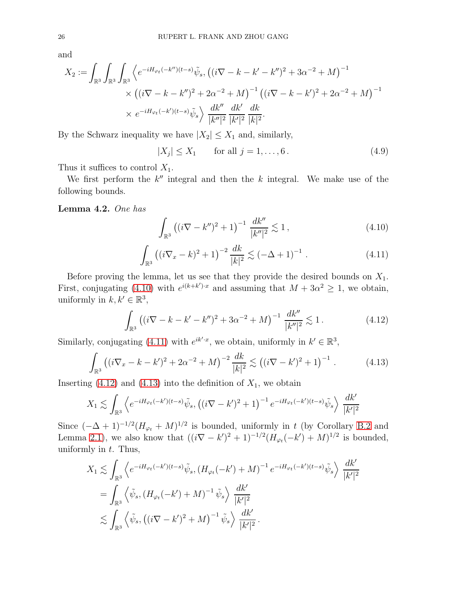and

$$
X_2 := \int_{\mathbb{R}^3} \int_{\mathbb{R}^3} \int_{\mathbb{R}^3} \left\langle e^{-iH_{\varphi_t}(-k'') (t-s)} \tilde{\psi}_s, \left( (i\nabla - k - k' - k'')^2 + 3\alpha^{-2} + M \right)^{-1} \right. \\ \times \left( (i\nabla - k - k'')^2 + 2\alpha^{-2} + M \right)^{-1} \left( (i\nabla - k - k')^2 + 2\alpha^{-2} + M \right)^{-1} \\ \times e^{-iH_{\varphi_t}(-k')(t-s)} \tilde{\psi}_s \right\rangle \frac{dk''}{|k''|^2} \frac{dk'}{|k'|^2} \frac{dk}{|k|^2}.
$$

By the Schwarz inequality we have  $|X_2| \leq X_1$  and, similarly,

<span id="page-25-4"></span>
$$
|X_j| \le X_1 \qquad \text{for all } j = 1, ..., 6. \tag{4.9}
$$

Thus it suffices to control  $X_1$ .

We first perform the  $k''$  integral and then the  $k$  integral. We make use of the following bounds.

<span id="page-25-5"></span>Lemma 4.2. One has

<span id="page-25-0"></span>
$$
\int_{\mathbb{R}^3} \left( (i\nabla - k'')^2 + 1 \right)^{-1} \frac{dk''}{|k''|^2} \lesssim 1 ,\tag{4.10}
$$

<span id="page-25-1"></span>
$$
\int_{\mathbb{R}^3} \left( (i\nabla_x - k)^2 + 1 \right)^{-2} \frac{dk}{|k|^2} \lesssim \left( -\Delta + 1 \right)^{-1} . \tag{4.11}
$$

Before proving the lemma, let us see that they provide the desired bounds on  $X_1$ . First, conjugating [\(4.10\)](#page-25-0) with  $e^{i(k+k')\cdot x}$  and assuming that  $M + 3\alpha^2 \geq 1$ , we obtain, uniformly in  $k, k' \in \mathbb{R}^3$ ,

<span id="page-25-2"></span>
$$
\int_{\mathbb{R}^3} \left( (i\nabla - k - k' - k'')^2 + 3\alpha^{-2} + M \right)^{-1} \frac{dk''}{|k''|^2} \lesssim 1. \tag{4.12}
$$

Similarly, conjugating [\(4.11\)](#page-25-1) with  $e^{ik' \cdot x}$ , we obtain, uniformly in  $k' \in \mathbb{R}^3$ ,

<span id="page-25-3"></span>
$$
\int_{\mathbb{R}^3} \left( (i\nabla_x - k - k')^2 + 2\alpha^{-2} + M \right)^{-2} \frac{dk}{|k|^2} \lesssim \left( (i\nabla - k')^2 + 1 \right)^{-1} . \tag{4.13}
$$

Inserting  $(4.12)$  and  $(4.13)$  into the definition of  $X_1$ , we obtain

$$
X_1 \lesssim \int_{\mathbb{R}^3} \left\langle e^{-iH_{\varphi_t}(-k')(t-s)}\tilde{\psi}_s, \left( (i\nabla - k')^2 + 1 \right)^{-1} e^{-iH_{\varphi_t}(-k')(t-s)}\tilde{\psi}_s \right\rangle \frac{dk'}{|k'|^2}
$$

Since  $(-\Delta + 1)^{-1/2} (H_{\varphi_t} + M)^{1/2}$  is bounded, uniformly in t (by Corollary [B.2](#page-38-1) and Lemma [2.1\)](#page-7-0), we also know that  $((i\nabla - k')^{2} + 1)^{-1/2} (H_{\varphi_{t}}(-k') + M)^{1/2}$  is bounded, uniformly in  $t$ . Thus,

$$
X_1 \lesssim \int_{\mathbb{R}^3} \left\langle e^{-iH_{\varphi_t}(-k')(t-s)} \tilde{\psi}_s, (H_{\varphi_t}(-k') + M)^{-1} e^{-iH_{\varphi_t}(-k')(t-s)} \tilde{\psi}_s \right\rangle \frac{dk'}{|k'|^2}
$$
  
= 
$$
\int_{\mathbb{R}^3} \left\langle \tilde{\psi}_s, (H_{\varphi_t}(-k') + M)^{-1} \tilde{\psi}_s \right\rangle \frac{dk'}{|k'|^2}
$$
  

$$
\lesssim \int_{\mathbb{R}^3} \left\langle \tilde{\psi}_s, ((i\nabla - k')^2 + M)^{-1} \tilde{\psi}_s \right\rangle \frac{dk'}{|k'|^2}.
$$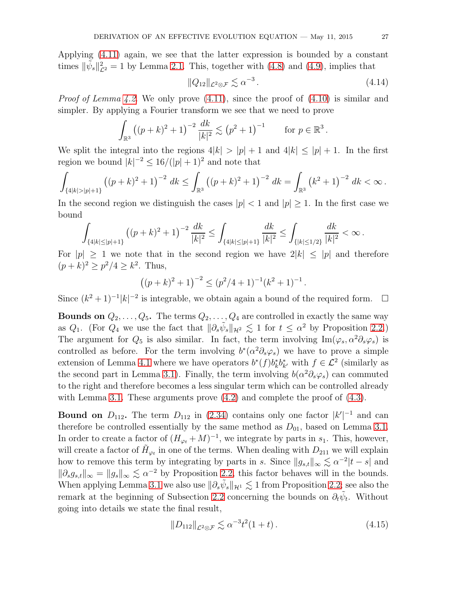Applying [\(4.11\)](#page-25-1) again, we see that the latter expression is bounded by a constant times  $\|\tilde{\psi}_s\|_{\mathcal{L}^2}^2 = 1$  by Lemma [2.1.](#page-7-0) This, together with [\(4.8\)](#page-24-0) and [\(4.9\)](#page-25-4), implies that

$$
||Q_{12}||_{\mathcal{L}^2 \otimes \mathcal{F}} \lesssim \alpha^{-3} \,. \tag{4.14}
$$

*Proof of Lemma [4.2.](#page-25-5)* We only prove  $(4.11)$ , since the proof of  $(4.10)$  is similar and simpler. By applying a Fourier transform we see that we need to prove

$$
\int_{\mathbb{R}^3} ((p+k)^2 + 1)^{-2} \frac{dk}{|k|^2} \lesssim (p^2 + 1)^{-1} \quad \text{for } p \in \mathbb{R}^3.
$$

We split the integral into the regions  $4|k| > |p| + 1$  and  $4|k| \leq |p| + 1$ . In the first region we bound  $|k|^{-2} \leq 16/(|p|+1)^2$  and note that

$$
\int_{\{4|k|>|p|+1\}} \left( (p+k)^2 + 1 \right)^{-2} dk \le \int_{\mathbb{R}^3} \left( (p+k)^2 + 1 \right)^{-2} dk = \int_{\mathbb{R}^3} \left( k^2 + 1 \right)^{-2} dk < \infty.
$$

In the second region we distinguish the cases  $|p| < 1$  and  $|p| \geq 1$ . In the first case we bound

$$
\int_{\{4|k|\leq |p|+1\}} \left((p+k)^2+1\right)^{-2}\frac{dk}{|k|^2}\leq \int_{\{4|k|\leq |p|+1\}} \frac{dk}{|k|^2}\leq \int_{\{|k|\leq 1/2\}} \frac{dk}{|k|^2}<\infty\,.
$$

For  $|p| \geq 1$  we note that in the second region we have  $2|k| \leq |p|$  and therefore  $(p+k)^2 \ge p^2/4 \ge k^2$ . Thus,

$$
((p+k)^2+1)^{-2} \le (p^2/4+1)^{-1}(k^2+1)^{-1}.
$$

Since  $(k^2 + 1)^{-1} |k|^{-2}$  is integrable, we obtain again a bound of the required form.  $\Box$ 

**Bounds on**  $Q_2, \ldots, Q_5$ . The terms  $Q_2, \ldots, Q_4$  are controlled in exactly the same way as  $Q_1$ . (For  $Q_4$  we use the fact that  $\|\partial_s\tilde{\psi}_s\|_{\mathcal{H}^2} \lesssim 1$  for  $t \leq \alpha^2$  by Proposition [2.2.](#page-8-0)) The argument for  $Q_5$  is also similar. In fact, the term involving Im( $\varphi_s, \alpha^2 \partial_s \varphi_s$ ) is controlled as before. For the term involving  $b^*(\alpha^2 \partial_s \varphi_s)$  we have to prove a simple extension of Lemma [4.1](#page-23-0) where we have operators  $b^*(f)b^*_kb^*_{k'}$  with  $f \in \mathcal{L}^2$  (similarly as the second part in Lemma [3.1\)](#page-17-0). Finally, the term involving  $b(\alpha^2 \partial_s \varphi_s)$  can commuted to the right and therefore becomes a less singular term which can be controlled already with Lemma [3.1.](#page-17-0) These arguments prove  $(4.2)$  and complete the proof of  $(4.3)$ .

**Bound on**  $D_{112}$ . The term  $D_{112}$  in [\(2.34\)](#page-14-2) contains only one factor  $|k'|^{-1}$  and can therefore be controlled essentially by the same method as  $D_{01}$ , based on Lemma [3.1.](#page-17-0) In order to create a factor of  $(H_{\varphi_t} + M)^{-1}$ , we integrate by parts in  $s_1$ . This, however, will create a factor of  $\tilde{H}_{\varphi_t}$  in one of the terms. When dealing with  $D_{211}$  we will explain how to remove this term by integrating by parts in s. Since  $||g_{s,t}||_{\infty} \lesssim \alpha^{-2}|t-s|$  and  $\|\partial_s g_{s,t}\|_{\infty} = \|g_s\|_{\infty} \lesssim \alpha^{-2}$  by Proposition [2.2,](#page-8-0) this factor behaves will in the bounds. When applying Lemma [3.1](#page-17-0) we also use  $\|\partial_s \tilde{\psi}_s\|_{\mathcal{H}^1} \lesssim 1$  from Proposition [2.2;](#page-8-0) see also the remark at the beginning of Subsection [2.2](#page-8-5) concerning the bounds on  $\partial_t \tilde{\psi}_t$ . Without going into details we state the final result,

$$
||D_{112}||_{\mathcal{L}^2 \otimes \mathcal{F}} \lesssim \alpha^{-3} t^2 (1+t). \tag{4.15}
$$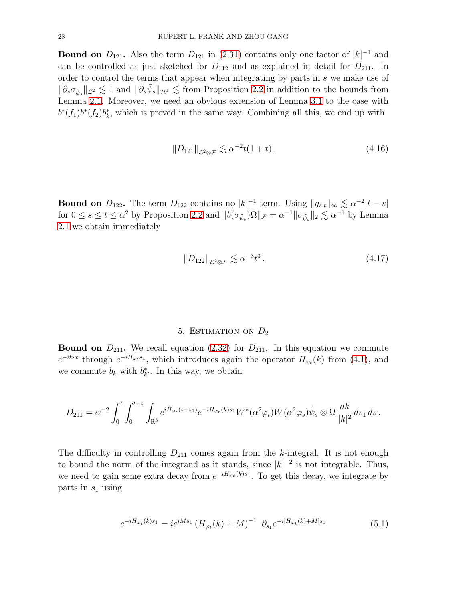**Bound on**  $D_{121}$ . Also the term  $D_{121}$  in [\(2.31\)](#page-13-1) contains only one factor of  $|k|^{-1}$  and can be controlled as just sketched for  $D_{112}$  and as explained in detail for  $D_{211}$ . In order to control the terms that appear when integrating by parts in s we make use of  $\|\partial_s \sigma_{\tilde{\psi}_s}\|_{\mathcal{L}^2} \lesssim 1$  and  $\|\partial_s \tilde{\psi}_s\|_{\mathcal{H}^1} \lesssim$  from Proposition [2.2](#page-8-0) in addition to the bounds from Lemma [2.1.](#page-7-0) Moreover, we need an obvious extension of Lemma [3.1](#page-17-0) to the case with  $b^{*}(f_{1})b^{*}(f_{2})b_{k}^{*}$ , which is proved in the same way. Combining all this, we end up with

$$
||D_{121}||_{\mathcal{L}^2 \otimes \mathcal{F}} \lesssim \alpha^{-2} t(1+t). \tag{4.16}
$$

**Bound on**  $D_{122}$ . The term  $D_{122}$  contains no  $|k|^{-1}$  term. Using  $||g_{s,t}||_{\infty} \lesssim \alpha^{-2}|t-s|$ for  $0 \le s \le t \le \alpha^2$  by Proposition [2.2](#page-8-0) and  $||b(\sigma_{\tilde{\psi}_s})\Omega||_{\mathcal{F}} = \alpha^{-1} ||\sigma_{\tilde{\psi}_s}||_2 \lesssim \alpha^{-1}$  by Lemma [2.1](#page-7-0) we obtain immediately

$$
||D_{122}||_{\mathcal{L}^2 \otimes \mathcal{F}} \lesssim \alpha^{-3} t^3. \tag{4.17}
$$

## 5. ESTIMATION ON  $D_2$

<span id="page-27-0"></span>**Bound on**  $D_{211}$ . We recall equation [\(2.32\)](#page-13-2) for  $D_{211}$ . In this equation we commute  $e^{-ik\cdot x}$  through  $e^{-iH_{\varphi_t} s_1}$ , which introduces again the operator  $H_{\varphi_t}(k)$  from [\(4.1\)](#page-19-1), and we commute  $b_k$  with  $b_{k'}^*$ . In this way, we obtain

$$
D_{211} = \alpha^{-2} \int_0^t \int_0^{t-s} \int_{\mathbb{R}^3} e^{i\tilde{H}_{\varphi_t}(s+s_1)} e^{-iH_{\varphi_t}(k)s_1} W^*(\alpha^2 \varphi_t) W(\alpha^2 \varphi_s) \tilde{\psi}_s \otimes \Omega \frac{dk}{|k|^2} ds_1 ds.
$$

The difficulty in controlling  $D_{211}$  comes again from the k-integral. It is not enough to bound the norm of the integrand as it stands, since  $|k|^{-2}$  is not integrable. Thus, we need to gain some extra decay from  $e^{-iH_{\varphi_t}(k)s_1}$ . To get this decay, we integrate by parts in  $s_1$  using

<span id="page-27-1"></span>
$$
e^{-iH_{\varphi_t}(k)s_1} = ie^{iMs_1} \left(H_{\varphi_t}(k) + M\right)^{-1} \partial_{s_1} e^{-i[H_{\varphi_t}(k) + M]s_1}
$$
(5.1)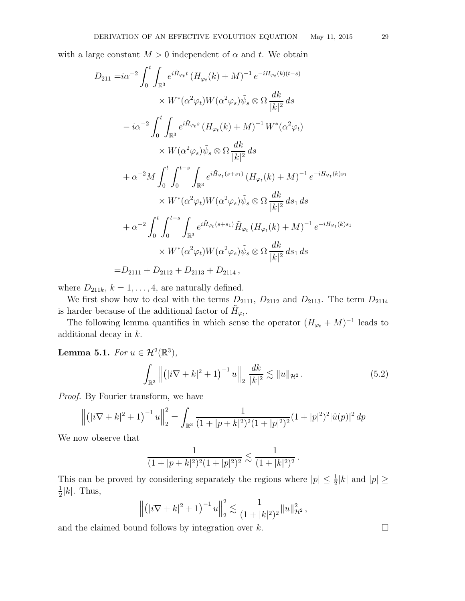with a large constant  $M > 0$  independent of  $\alpha$  and t. We obtain

$$
D_{211} = i\alpha^{-2} \int_0^t \int_{\mathbb{R}^3} e^{i\tilde{H}_{\varphi_t}t} (H_{\varphi_t}(k) + M)^{-1} e^{-iH_{\varphi_t}(k)(t-s)}
$$
  
\n
$$
\times W^*(\alpha^2 \varphi_t) W(\alpha^2 \varphi_s) \tilde{\psi}_s \otimes \Omega \frac{dk}{|k|^2} ds
$$
  
\n
$$
- i\alpha^{-2} \int_0^t \int_{\mathbb{R}^3} e^{i\tilde{H}_{\varphi_t}s} (H_{\varphi_t}(k) + M)^{-1} W^*(\alpha^2 \varphi_t)
$$
  
\n
$$
\times W(\alpha^2 \varphi_s) \tilde{\psi}_s \otimes \Omega \frac{dk}{|k|^2} ds
$$
  
\n
$$
+ \alpha^{-2} M \int_0^t \int_0^{t-s} \int_{\mathbb{R}^3} e^{i\tilde{H}_{\varphi_t}(s+s_1)} (H_{\varphi_t}(k) + M)^{-1} e^{-iH_{\varphi_t}(k)s_1}
$$
  
\n
$$
\times W^*(\alpha^2 \varphi_t) W(\alpha^2 \varphi_s) \tilde{\psi}_s \otimes \Omega \frac{dk}{|k|^2} ds_1 ds
$$
  
\n
$$
+ \alpha^{-2} \int_0^t \int_0^{t-s} \int_{\mathbb{R}^3} e^{i\tilde{H}_{\varphi_t}(s+s_1)} \tilde{H}_{\varphi_t} (H_{\varphi_t}(k) + M)^{-1} e^{-iH_{\varphi_t}(k)s_1}
$$
  
\n
$$
\times W^*(\alpha^2 \varphi_t) W(\alpha^2 \varphi_s) \tilde{\psi}_s \otimes \Omega \frac{dk}{|k|^2} ds_1 ds
$$
  
\n
$$
= D_{2111} + D_{2112} + D_{2113} + D_{2114},
$$

where  $D_{211k}$ ,  $k = 1, \ldots, 4$ , are naturally defined.

We first show how to deal with the terms  $D_{2111}$ ,  $D_{2112}$  and  $D_{2113}$ . The term  $D_{2114}$ is harder because of the additional factor of  $\tilde{H}_{\varphi_t}$ .

The following lemma quantifies in which sense the operator  $(H_{\varphi_t} + M)^{-1}$  leads to additional decay in k.

<span id="page-28-0"></span>**Lemma 5.1.** For  $u \in \mathcal{H}^2(\mathbb{R}^3)$ ,

$$
\int_{\mathbb{R}^3} \left\| \left( |i \nabla + k|^2 + 1 \right)^{-1} u \right\|_2 \frac{dk}{|k|^2} \lesssim \| u \|_{\mathcal{H}^2} \,. \tag{5.2}
$$

Proof. By Fourier transform, we have

$$
\left\| (|\mathbf{i}\nabla + \mathbf{k}|^2 + 1)^{-1} u \right\|_2^2 = \int_{\mathbb{R}^3} \frac{1}{(1+|p+\mathbf{k}|^2)^2 (1+|p|^2)^2} (1+|p|^2)^2 |\hat{u}(p)|^2 \, dp
$$

We now observe that

$$
\frac{1}{(1+|p+k|^2)^2(1+|p|^2)^2} \lesssim \frac{1}{(1+|k|^2)^2}.
$$

This can be proved by considering separately the regions where  $|p| \leq \frac{1}{2}|k|$  and  $|p| \geq$ 1  $\frac{1}{2}|k|$ . Thus,

$$
\left\| \left( |i\nabla + k|^2 + 1 \right)^{-1} u \right\|_2^2 \lesssim \frac{1}{(1+|k|^2)^2} \| u \|_{\mathcal{H}^2}^2 \, ,
$$

and the claimed bound follows by integration over  $k$ .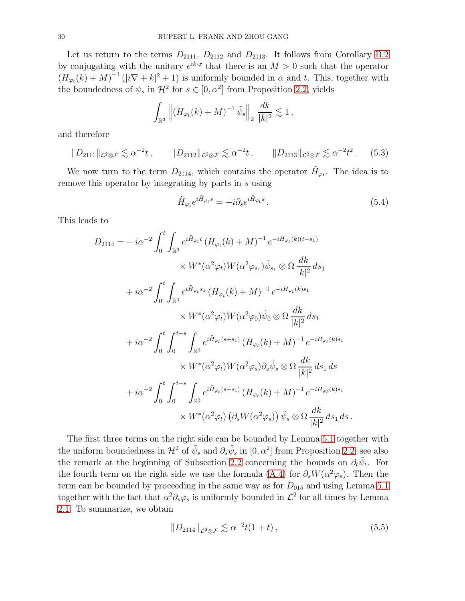Let us return to the terms  $D_{2111}$ ,  $D_{2112}$  and  $D_{2113}$ . It follows from Corollary [B.2](#page-38-1) by conjugating with the unitary  $e^{ik \cdot x}$  that there is an  $M > 0$  such that the operator  $(H_{\varphi_t}(k) + M)^{-1}(|i\nabla + k|^2 + 1)$  is uniformly bounded in  $\alpha$  and t. This, together with the boundedness of  $\psi_s$  in  $\mathcal{H}^2$  for  $s \in [0, \alpha^2]$  from Proposition [2.2,](#page-8-0) yields

$$
\int_{\mathbb{R}^3} \left\| (H_{\varphi_t}(k) + M)^{-1} \tilde{\psi}_s \right\|_2 \frac{dk}{|k|^2} \lesssim 1,
$$

and therefore

<span id="page-29-0"></span>
$$
||D_{2111}||_{\mathcal{L}^2 \otimes \mathcal{F}} \lesssim \alpha^{-2}t, \qquad ||D_{2112}||_{\mathcal{L}^2 \otimes \mathcal{F}} \lesssim \alpha^{-2}t, \qquad ||D_{2113}||_{\mathcal{L}^2 \otimes \mathcal{F}} \lesssim \alpha^{-2}t^2. \tag{5.3}
$$

We now turn to the term  $D_{2114}$ , which contains the operator  $H_{\varphi_t}$ . The idea is to remove this operator by integrating by parts in s using

<span id="page-29-1"></span>
$$
\tilde{H}_{\varphi_t}e^{i\tilde{H}_{\varphi_t}s} = -i\partial_s e^{i\tilde{H}_{\varphi_t}s}.
$$
\n(5.4)

This leads to

$$
D_{2114} = -i\alpha^{-2} \int_0^t \int_{\mathbb{R}^3} e^{i\tilde{H}_{\varphi_t}t} (H_{\varphi_t}(k) + M)^{-1} e^{-iH_{\varphi_t}(k)(t-s_1)}
$$
  
\n
$$
\times W^*(\alpha^2 \varphi_t) W(\alpha^2 \varphi_{s_1}) \tilde{\psi}_{s_1} \otimes \Omega \frac{dk}{|k|^2} ds_1
$$
  
\n
$$
+i\alpha^{-2} \int_0^t \int_{\mathbb{R}^3} e^{i\tilde{H}_{\varphi_t}s_1} (H_{\varphi_t}(k) + M)^{-1} e^{-iH_{\varphi_t}(k)s_1}
$$
  
\n
$$
\times W^*(\alpha^2 \varphi_t) W(\alpha^2 \varphi_0) \tilde{\psi}_0 \otimes \Omega \frac{dk}{|k|^2} ds_1
$$
  
\n
$$
+i\alpha^{-2} \int_0^t \int_0^{t-s} \int_{\mathbb{R}^3} e^{i\tilde{H}_{\varphi_t}(s+s_1)} (H_{\varphi_t}(k) + M)^{-1} e^{-iH_{\varphi_t}(k)s_1}
$$
  
\n
$$
\times W^*(\alpha^2 \varphi_t) W(\alpha^2 \varphi_s) \partial_s \tilde{\psi}_s \otimes \Omega \frac{dk}{|k|^2} ds_1 ds
$$
  
\n
$$
+i\alpha^{-2} \int_0^t \int_0^{t-s} \int_{\mathbb{R}^3} e^{i\tilde{H}_{\varphi_t}(s+s_1)} (H_{\varphi_t}(k) + M)^{-1} e^{-iH_{\varphi_t}(k)s_1}
$$
  
\n
$$
\times W^*(\alpha^2 \varphi_t) (\partial_s W(\alpha^2 \varphi_s)) \tilde{\psi}_s \otimes \Omega \frac{dk}{|k|^2} ds_1 ds.
$$

The first three terms on the right side can be bounded by Lemma [5.1](#page-28-0) together with the uniform boundedness in  $\mathcal{H}^2$  of  $\tilde{\psi}_s$  and  $\partial_s \tilde{\psi}_s$  in  $[0, \alpha^2]$  from Proposition [2.2;](#page-8-0) see also the remark at the beginning of Subsection [2.2](#page-8-5) concerning the bounds on  $\partial_t \tilde{\psi}_t$ . For the fourth term on the right side we use the formula [\(A.4\)](#page-36-0) for  $\partial_s W(\alpha^2 \varphi_s)$ . Then the term can be bounded by proceeding in the same way as for  $D_{015}$  and using Lemma [5.1](#page-28-0) together with the fact that  $\alpha^2 \partial_s \varphi_s$  is uniformly bounded in  $\mathcal{L}^2$  for all times by Lemma [2.1.](#page-7-0) To summarize, we obtain

$$
||D_{2114}||_{\mathcal{L}^2 \otimes \mathcal{F}} \lesssim \alpha^{-2} t(1+t), \qquad (5.5)
$$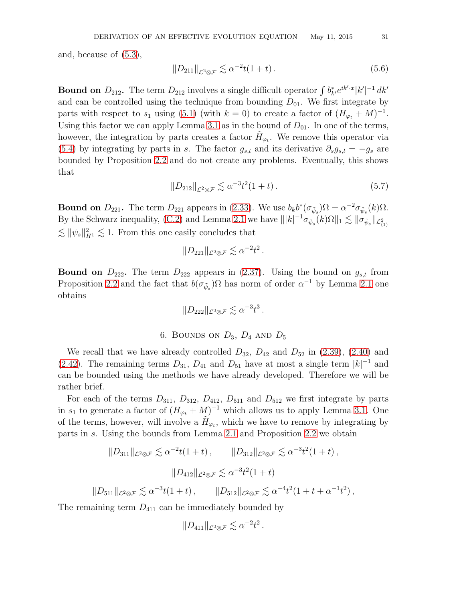and, because of [\(5.3\)](#page-29-0),

$$
||D_{211}||_{\mathcal{L}^2 \otimes \mathcal{F}} \lesssim \alpha^{-2} t(1+t). \tag{5.6}
$$

**Bound on**  $D_{212}$ . The term  $D_{212}$  involves a single difficult operator  $\int b^*_{k'} e^{ik' \cdot x} |k'|^{-1} dk'$ and can be controlled using the technique from bounding  $D_{01}$ . We first integrate by parts with respect to  $s_1$  using [\(5.1\)](#page-27-1) (with  $k = 0$ ) to create a factor of  $(H_{\varphi_t} + M)^{-1}$ . Using this factor we can apply Lemma [3.1](#page-17-0) as in the bound of  $D_{01}$ . In one of the terms, however, the integration by parts creates a factor  $H_{\varphi_t}$ . We remove this operator via [\(5.4\)](#page-29-1) by integrating by parts in s. The factor  $g_{s,t}$  and its derivative  $\partial_s g_{s,t} = -g_s$  are bounded by Proposition [2.2](#page-8-0) and do not create any problems. Eventually, this shows that

$$
||D_{212}||_{\mathcal{L}^2 \otimes \mathcal{F}} \lesssim \alpha^{-3} t^2 (1+t). \tag{5.7}
$$

**Bound on**  $D_{221}$ . The term  $D_{221}$  appears in [\(2.33\)](#page-13-3). We use  $b_k b^* (\sigma_{\tilde{\psi}_s}) \Omega = \alpha^{-2} \sigma_{\tilde{\psi}_s}(k) \Omega$ . By the Schwarz inequality, [\(C.2\)](#page-38-3) and Lemma [2.1](#page-7-0) we have  $|||k|^{-1}\sigma_{\tilde{\psi}_s}(k)\Omega||_1 \lesssim \|\sigma_{\tilde{\psi}_s}\|_{\mathcal{L}^2_{(1)}}$  $\lesssim \|\psi_s\|_{H^1}^2 \lesssim 1$ . From this one easily concludes that

$$
||D_{221}||_{\mathcal{L}^2 \otimes \mathcal{F}} \lesssim \alpha^{-2} t^2.
$$

**Bound on**  $D_{222}$ . The term  $D_{222}$  appears in [\(2.37\)](#page-14-3). Using the bound on  $g_{s,t}$  from Proposition [2.2](#page-8-0) and the fact that  $b(\sigma_{\tilde{\psi}_s})\Omega$  has norm of order  $\alpha^{-1}$  by Lemma [2.1](#page-7-0) one obtains

$$
||D_{222}||_{\mathcal{L}^2 \otimes \mathcal{F}} \lesssim \alpha^{-3} t^3.
$$

6. BOUNDS ON 
$$
D_3
$$
,  $D_4$  AND  $D_5$ 

<span id="page-30-0"></span>We recall that we have already controlled  $D_{32}$ ,  $D_{42}$  and  $D_{52}$  in [\(2.39\)](#page-15-1), [\(2.40\)](#page-15-2) and [\(2.42\)](#page-16-2). The remaining terms  $D_{31}$ ,  $D_{41}$  and  $D_{51}$  have at most a single term  $|k|^{-1}$  and can be bounded using the methods we have already developed. Therefore we will be rather brief.

For each of the terms  $D_{311}$ ,  $D_{312}$ ,  $D_{412}$ ,  $D_{511}$  and  $D_{512}$  we first integrate by parts in  $s_1$  to generate a factor of  $(H_{\varphi_t} + M)^{-1}$  which allows us to apply Lemma [3.1.](#page-17-0) One of the terms, however, will involve a  $\tilde{H}_{\varphi_t}$ , which we have to remove by integrating by parts in s. Using the bounds from Lemma [2.1](#page-7-0) and Proposition [2.2](#page-8-0) we obtain

$$
||D_{311}||_{\mathcal{L}^{2}\otimes\mathcal{F}} \lesssim \alpha^{-2}t(1+t), \qquad ||D_{312}||_{\mathcal{L}^{2}\otimes\mathcal{F}} \lesssim \alpha^{-3}t^{2}(1+t),
$$
  

$$
||D_{412}||_{\mathcal{L}^{2}\otimes\mathcal{F}} \lesssim \alpha^{-3}t^{2}(1+t)
$$
  

$$
||D_{511}||_{\mathcal{L}^{2}\otimes\mathcal{F}} \lesssim \alpha^{-3}t(1+t), \qquad ||D_{512}||_{\mathcal{L}^{2}\otimes\mathcal{F}} \lesssim \alpha^{-4}t^{2}(1+t+\alpha^{-1}t^{2}),
$$

The remaining term  $D_{411}$  can be immediately bounded by

$$
||D_{411}||_{\mathcal{L}^2 \otimes \mathcal{F}} \lesssim \alpha^{-2} t^2.
$$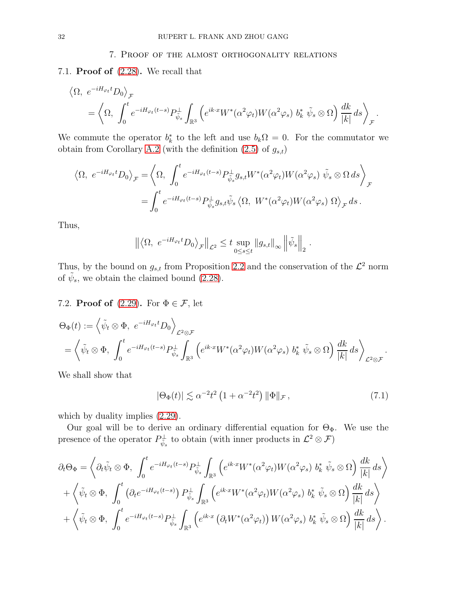#### 7. Proof of the almost orthogonality relations

<span id="page-31-0"></span>7.1. **Proof of**  $(2.28)$ . We recall that

$$
\langle \Omega, e^{-iH_{\varphi_t}t} D_0 \rangle_{\mathcal{F}}
$$
  
=  $\langle \Omega, \int_0^t e^{-iH_{\varphi_t}(t-s)} P_{\tilde{\psi}_s}^{\perp} \int_{\mathbb{R}^3} \left( e^{ik \cdot x} W^*(\alpha^2 \varphi_t) W(\alpha^2 \varphi_s) b_k^* \tilde{\psi}_s \otimes \Omega \right) \frac{dk}{|k|} ds \rangle_{\mathcal{F}}.$ 

We commute the operator  $b_k^*$  to the left and use  $b_k\Omega = 0$ . For the commutator we obtain from Corollary [A.2](#page-36-1) (with the definition  $(2.5)$  of  $g_{s,t}$ )

$$
\langle \Omega, e^{-iH_{\varphi_t}t} D_0 \rangle_{\mathcal{F}} = \langle \Omega, \int_0^t e^{-iH_{\varphi_t}(t-s)} P_{\tilde{\psi}_s}^{\perp} g_{s,t} W^*(\alpha^2 \varphi_t) W(\alpha^2 \varphi_s) \tilde{\psi}_s \otimes \Omega ds \rangle_{\mathcal{F}}
$$
  
= 
$$
\int_0^t e^{-iH_{\varphi_t}(t-s)} P_{\tilde{\psi}_s}^{\perp} g_{s,t} \tilde{\psi}_s \langle \Omega, W^*(\alpha^2 \varphi_t) W(\alpha^2 \varphi_s) \Omega \rangle_{\mathcal{F}} ds.
$$

Thus,

$$
\left\| \left\langle \Omega, e^{-iH_{\varphi_t}t} D_0 \right\rangle_{\mathcal{F}} \right\|_{\mathcal{L}^2} \leq t \sup_{0 \leq s \leq t} \left\| g_{s,t} \right\|_{\infty} \left\| \tilde{\psi}_s \right\|_2.
$$

Thus, by the bound on  $g_{s,t}$  from Proposition [2.2](#page-8-0) and the conservation of the  $\mathcal{L}^2$  norm of  $\tilde{\psi}_s$ , we obtain the claimed bound [\(2.28\)](#page-12-3).

# <span id="page-31-1"></span>7.2. **Proof of** [\(2.29\)](#page-12-4). For  $\Phi \in \mathcal{F}$ , let

$$
\Theta_{\Phi}(t) := \left\langle \tilde{\psi}_t \otimes \Phi, e^{-iH_{\varphi_t}t} D_0 \right\rangle_{\mathcal{L}^2 \otimes \mathcal{F}}
$$
  
=  $\left\langle \tilde{\psi}_t \otimes \Phi, \int_0^t e^{-iH_{\varphi_t}(t-s)} P_{\tilde{\psi}_s}^{\perp} \int_{\mathbb{R}^3} \left( e^{ik \cdot x} W^*(\alpha^2 \varphi_t) W(\alpha^2 \varphi_s) b_k^* \tilde{\psi}_s \otimes \Omega \right) \frac{dk}{|k|} ds \right\rangle_{\mathcal{L}^2 \otimes \mathcal{F}}.$ 

We shall show that

<span id="page-31-2"></span>
$$
|\Theta_{\Phi}(t)| \lesssim \alpha^{-2} t^2 \left(1 + \alpha^{-2} t^2\right) \|\Phi\|_{\mathcal{F}},\tag{7.1}
$$

which by duality implies  $(2.29)$ .

Our goal will be to derive an ordinary differential equation for  $\Theta_{\Phi}$ . We use the presence of the operator  $P_{\psi_s}^{\perp}$  to obtain (with inner products in  $\mathcal{L}^2 \otimes \mathcal{F}$ )

$$
\partial_t \Theta_{\Phi} = \left\langle \partial_t \tilde{\psi}_t \otimes \Phi, \int_0^t e^{-iH_{\varphi_t}(t-s)} P_{\tilde{\psi}_s}^{\perp} \int_{\mathbb{R}^3} \left( e^{ik \cdot x} W^*(\alpha^2 \varphi_t) W(\alpha^2 \varphi_s) b_k^* \tilde{\psi}_s \otimes \Omega \right) \frac{dk}{|k|} ds \right\rangle + \left\langle \tilde{\psi}_t \otimes \Phi, \int_0^t \left( \partial_t e^{-iH_{\varphi_t}(t-s)} \right) P_{\tilde{\psi}_s}^{\perp} \int_{\mathbb{R}^3} \left( e^{ik \cdot x} W^*(\alpha^2 \varphi_t) W(\alpha^2 \varphi_s) b_k^* \tilde{\psi}_s \otimes \Omega \right) \frac{dk}{|k|} ds \right\rangle + \left\langle \tilde{\psi}_t \otimes \Phi, \int_0^t e^{-iH_{\varphi_t}(t-s)} P_{\tilde{\psi}_s}^{\perp} \int_{\mathbb{R}^3} \left( e^{ik \cdot x} \left( \partial_t W^*(\alpha^2 \varphi_t) \right) W(\alpha^2 \varphi_s) b_k^* \tilde{\psi}_s \otimes \Omega \right) \frac{dk}{|k|} ds \right\rangle.
$$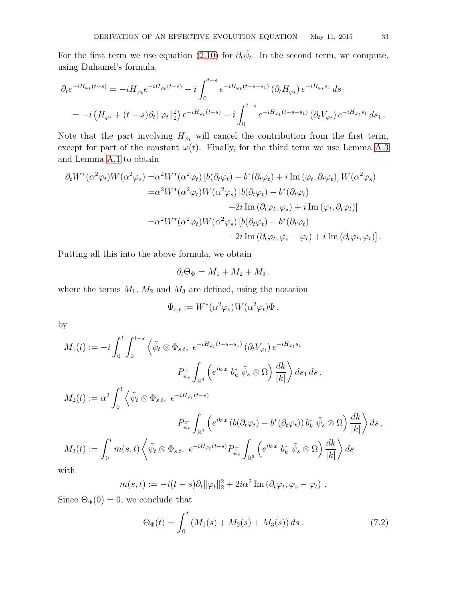For the first term we use equation [\(2.10\)](#page-8-1) for  $\partial_t \tilde{\psi}_t$ . In the second term, we compute, using Duhamel's formula,

$$
\partial_t e^{-iH_{\varphi_t}(t-s)} = -iH_{\varphi_t}e^{-iH_{\varphi_t}(t-s)} - i\int_0^{t-s} e^{-iH_{\varphi_t}(t-s-s_1)} (\partial_t H_{\varphi_t}) e^{-iH_{\varphi_t}s_1} ds_1
$$
  
=  $-i(H_{\varphi_t} + (t-s)\partial_t ||\varphi_t||_2^2) e^{-iH_{\varphi_t}(t-s)} - i\int_0^{t-s} e^{-iH_{\varphi_t}(t-s-s_1)} (\partial_t V_{\varphi_t}) e^{-iH_{\varphi_t}s_1} ds_1.$ 

Note that the part involving  $H_{\varphi_t}$  will cancel the contribution from the first term, except for part of the constant  $\omega(t)$ . Finally, for the third term we use Lemma [A.3](#page-36-2) and Lemma [A.1](#page-35-0) to obtain

$$
\partial_t W^*(\alpha^2 \varphi_t) W(\alpha^2 \varphi_s) = \alpha^2 W^*(\alpha^2 \varphi_t) \left[ b(\partial_t \varphi_t) - b^*(\partial_t \varphi_t) + i \operatorname{Im}(\varphi_t, \partial_t \varphi_t) \right] W(\alpha^2 \varphi_s)
$$
  
\n
$$
= \alpha^2 W^*(\alpha^2 \varphi_t) W(\alpha^2 \varphi_s) \left[ b(\partial_t \varphi_t) - b^*(\partial_t \varphi_t) \right]
$$
  
\n
$$
+ 2i \operatorname{Im}(\partial_t \varphi_t, \varphi_s) + i \operatorname{Im}(\varphi_t, \partial_t \varphi_t) \right]
$$
  
\n
$$
= \alpha^2 W^*(\alpha^2 \varphi_t) W(\alpha^2 \varphi_s) \left[ b(\partial_t \varphi_t) - b^*(\partial_t \varphi_t) \right]
$$
  
\n
$$
+ 2i \operatorname{Im}(\partial_t \varphi_t, \varphi_s - \varphi_t) + i \operatorname{Im}(\partial_t \varphi_t, \varphi_t) \right].
$$

Putting all this into the above formula, we obtain

$$
\partial_t \Theta_{\Phi} = M_1 + M_2 + M_3 \,,
$$

where the terms  $M_1$ ,  $M_2$  and  $M_3$  are defined, using the notation

$$
\Phi_{s,t} := W^*(\alpha^2 \varphi_s) W(\alpha^2 \varphi_t) \Phi,
$$

by

$$
M_1(t) := -i \int_0^t \int_0^{t-s} \left\langle \tilde{\psi}_t \otimes \Phi_{s,t}, e^{-iH_{\varphi_t}(t-s-s_1)} (\partial_t V_{\varphi_t}) e^{-iH_{\varphi_t}s_1} \right\rangle
$$
  
\n
$$
P_{\tilde{\psi}_s}^{\perp} \int_{\mathbb{R}^3} \left( e^{ik \cdot x} b_k^* \tilde{\psi}_s \otimes \Omega \right) \frac{dk}{|k|} \right\rangle ds_1 ds,
$$
  
\n
$$
M_2(t) := \alpha^2 \int_0^t \left\langle \tilde{\psi}_t \otimes \Phi_{s,t}, e^{-iH_{\varphi_t}(t-s)} \right\rangle
$$
  
\n
$$
P_{\tilde{\psi}_s}^{\perp} \int_{\mathbb{R}^3} \left( e^{ik \cdot x} (b(\partial_t \varphi_t) - b^*(\partial_t \varphi_t)) b_k^* \tilde{\psi}_s \otimes \Omega \right) \frac{dk}{|k|} \right\rangle ds,
$$
  
\n
$$
M_3(t) := \int_0^t m(s,t) \left\langle \tilde{\psi}_t \otimes \Phi_{s,t}, e^{-iH_{\varphi_t}(t-s)} P_{\tilde{\psi}_s}^{\perp} \int_{\mathbb{R}^3} \left( e^{ik \cdot x} b_k^* \tilde{\psi}_s \otimes \Omega \right) \frac{dk}{|k|} \right\rangle ds
$$

with

$$
m(s,t) := -i(t-s)\partial_t \|\varphi_t\|_2^2 + 2i\alpha^2 \operatorname{Im}(\partial_t \varphi_t, \varphi_s - \varphi_t) .
$$

Since  $\Theta_{\Phi}(0) = 0$ , we conclude that

<span id="page-32-0"></span>
$$
\Theta_{\Phi}(t) = \int_0^t \left( M_1(s) + M_2(s) + M_3(s) \right) ds. \tag{7.2}
$$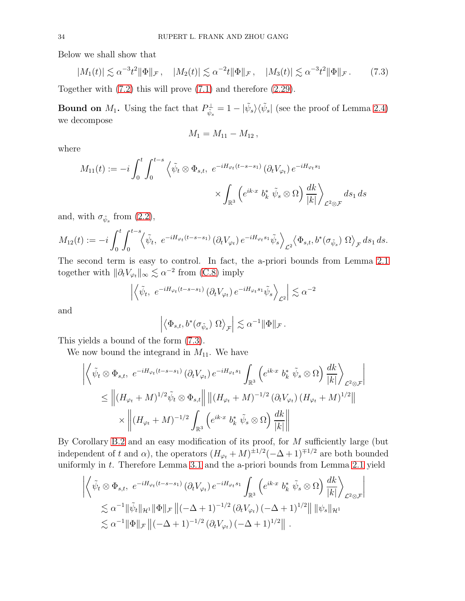Below we shall show that

<span id="page-33-0"></span>
$$
|M_1(t)| \lesssim \alpha^{-3} t^2 \|\Phi\|_{\mathcal{F}}, \quad |M_2(t)| \lesssim \alpha^{-2} t \|\Phi\|_{\mathcal{F}}, \quad |M_3(t)| \lesssim \alpha^{-3} t^2 \|\Phi\|_{\mathcal{F}}.
$$
 (7.3)

Together with [\(7.2\)](#page-32-0) this will prove [\(7.1\)](#page-31-2) and therefore [\(2.29\)](#page-12-4).

**Bound on**  $M_1$ . Using the fact that  $P_{\tilde{\psi}_s}^{\perp} = 1 - |\tilde{\psi}_s\rangle\langle\tilde{\psi}_s|$  (see the proof of Lemma [2.4\)](#page-10-0) we decompose

$$
M_1 = M_{11} - M_{12} \,,
$$

where

$$
M_{11}(t) := -i \int_0^t \int_0^{t-s} \left\langle \tilde{\psi}_t \otimes \Phi_{s,t}, e^{-iH_{\varphi_t}(t-s-s_1)} (\partial_t V_{\varphi_t}) e^{-iH_{\varphi_t s_1}} \right\rangle \times \int_{\mathbb{R}^3} \left( e^{ik \cdot x} b_k^* \tilde{\psi}_s \otimes \Omega \right) \frac{dk}{|k|} \right\rangle_{\mathcal{L}^2 \otimes \mathcal{F}} ds_1 ds
$$

and, with  $\sigma_{\tilde{\psi}_s}$  from  $(2.2)$ ,

$$
M_{12}(t) := -i \int_0^t \int_0^{t-s} \langle \tilde{\psi}_t, e^{-iH_{\varphi_t}(t-s-s_1)} (\partial_t V_{\varphi_t}) e^{-iH_{\varphi_t}s_1} \tilde{\psi}_s \rangle_{\mathcal{L}^2} \langle \Phi_{s,t}, b^*(\sigma_{\tilde{\psi}_s}) \Omega \rangle_{\mathcal{F}} ds_1 ds.
$$

The second term is easy to control. In fact, the a-priori bounds from Lemma [2.1](#page-7-0) together with  $\|\partial_t V_{\varphi_t}\|_{\infty} \lesssim \alpha^{-2}$  from [\(C.8\)](#page-42-0) imply

$$
\left| \left\langle \tilde{\psi}_t, e^{-iH_{\varphi_t}(t-s-s_1)} \left( \partial_t V_{\varphi_t} \right) e^{-iH_{\varphi_t}s_1} \tilde{\psi}_s \right\rangle_{\mathcal{L}^2} \right| \lesssim \alpha^{-2}
$$

and

$$
\left| \left\langle \Phi_{s,t}, b^*(\sigma_{\tilde{\psi}_s}) \; \Omega \right\rangle_{\mathcal{F}} \right| \lesssim \alpha^{-1} \|\Phi\|_{\mathcal{F}}.
$$

This yields a bound of the form [\(7.3\)](#page-33-0).

We now bound the integrand in  $M_{11}$ . We have

$$
\left| \left\langle \tilde{\psi}_t \otimes \Phi_{s,t}, e^{-iH_{\varphi_t}(t-s-s_1)} (\partial_t V_{\varphi_t}) e^{-iH_{\varphi_t}s_1} \int_{\mathbb{R}^3} \left( e^{ik \cdot x} b_k^* \tilde{\psi}_s \otimes \Omega \right) \frac{dk}{|k|} \right\rangle_{\mathcal{L}^2 \otimes \mathcal{F}} \right|
$$
  
\n
$$
\leq \left| \left( H_{\varphi_t} + M \right)^{1/2} \tilde{\psi}_t \otimes \Phi_{s,t} \right| \left| \left| \left( H_{\varphi_t} + M \right)^{-1/2} (\partial_t V_{\varphi_t}) \left( H_{\varphi_t} + M \right)^{1/2} \right| \right|
$$
  
\n
$$
\times \left| \left| \left( H_{\varphi_t} + M \right)^{-1/2} \int_{\mathbb{R}^3} \left( e^{ik \cdot x} b_k^* \tilde{\psi}_s \otimes \Omega \right) \frac{dk}{|k|} \right| \right|
$$

By Corollary [B.2](#page-38-1) and an easy modification of its proof, for M sufficiently large (but independent of t and  $\alpha$ ), the operators  $(H_{\varphi_t} + M)^{\pm 1/2}(-\Delta + 1)^{\mp 1/2}$  are both bounded uniformly in  $t$ . Therefore Lemma [3.1](#page-17-0) and the a-priori bounds from Lemma [2.1](#page-7-0) yield

$$
\left| \left\langle \tilde{\psi}_t \otimes \Phi_{s,t}, e^{-iH_{\varphi_t}(t-s-s_1)} (\partial_t V_{\varphi_t}) e^{-iH_{\varphi_t}s_1} \int_{\mathbb{R}^3} \left( e^{ik \cdot x} b_k^* \tilde{\psi}_s \otimes \Omega \right) \frac{dk}{|k|} \right\rangle_{\mathcal{L}^2 \otimes \mathcal{F}} \right|
$$
  

$$
\lesssim \alpha^{-1} \|\tilde{\psi}_t\|_{\mathcal{H}^1} \|\Phi\|_{\mathcal{F}} \left\| (-\Delta + 1)^{-1/2} (\partial_t V_{\varphi_t}) (-\Delta + 1)^{1/2} \right\| \|\psi_s\|_{\mathcal{H}^1}
$$
  

$$
\lesssim \alpha^{-1} \|\Phi\|_{\mathcal{F}} \left\| (-\Delta + 1)^{-1/2} (\partial_t V_{\varphi_t}) (-\Delta + 1)^{1/2} \right\|.
$$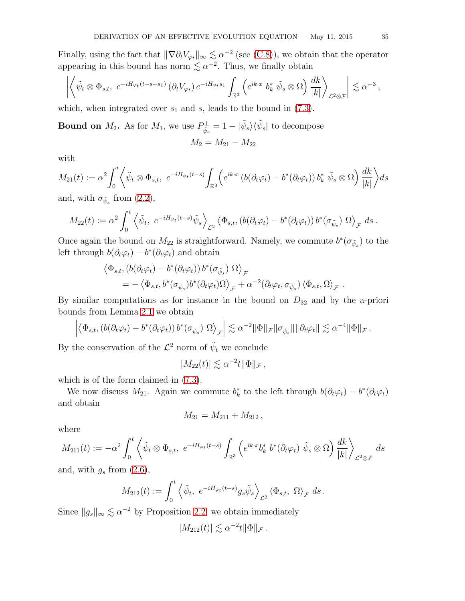Finally, using the fact that  $\|\nabla \partial_t V_{\varphi_t}\|_{\infty} \lesssim \alpha^{-2}$  (see [\(C.8\)](#page-42-0)), we obtain that the operator appearing in this bound has norm  $\lesssim \alpha^{-2}$ . Thus, we finally obtain

$$
\left| \left\langle \tilde{\psi}_t \otimes \Phi_{s,t}, e^{-iH_{\varphi_t}(t-s-s_1)} \left( \partial_t V_{\varphi_t} \right) e^{-iH_{\varphi_t}s_1} \int_{\mathbb{R}^3} \left( e^{ik \cdot x} b_k^* \tilde{\psi}_s \otimes \Omega \right) \frac{dk}{|k|} \right\rangle_{\mathcal{L}^2 \otimes \mathcal{F}} \right| \lesssim \alpha^{-3},
$$

which, when integrated over  $s_1$  and s, leads to the bound in [\(7.3\)](#page-33-0).

Bound on  $M_2$ . As for  $M_1$ , we use  $P_{\tilde{\psi}_s}^{\perp} = 1 - |\tilde{\psi}_s\rangle\langle\tilde{\psi}_s|$  to decompose  $M_2 = M_{21} - M_{22}$ 

with

$$
M_{21}(t) := \alpha^2 \int_0^t \left\langle \tilde{\psi}_t \otimes \Phi_{s,t}, e^{-iH_{\varphi_t}(t-s)} \int_{\mathbb{R}^3} \left( e^{ik \cdot x} \left( b(\partial_t \varphi_t) - b^*(\partial_t \varphi_t) \right) b_k^* \tilde{\psi}_s \otimes \Omega \right) \frac{dk}{|k|} \right\rangle ds
$$

and, with  $\sigma_{\tilde{\psi}_s}$  from  $(2.2)$ ,

$$
M_{22}(t) := \alpha^2 \int_0^t \left\langle \tilde{\psi}_t, e^{-iH_{\varphi_t}(t-s)} \tilde{\psi}_s \right\rangle_{\mathcal{L}^2} \left\langle \Phi_{s,t}, \left( b(\partial_t \varphi_t) - b^*(\partial_t \varphi_t) \right) b^*(\sigma_{\tilde{\psi}_s}) \Omega \right\rangle_{\mathcal{F}} ds.
$$

Once again the bound on  $M_{22}$  is straightforward. Namely, we commute  $b^*(\sigma_{\tilde{\psi}_s})$  to the left through  $b(\partial_t \varphi_t) - b^*(\partial_t \varphi_t)$  and obtain

$$
\langle \Phi_{s,t}, (b(\partial_t \varphi_t) - b^*(\partial_t \varphi_t)) b^*(\sigma_{\tilde{\psi}_s}) \Omega \rangle_{\mathcal{F}}
$$
  
= -\langle \Phi\_{s,t}, b^\*(\sigma\_{\tilde{\psi}\_s}) b^\*(\partial\_t \varphi\_t) \Omega \rangle\_{\mathcal{F}} + \alpha^{-2} (\partial\_t \varphi\_t, \sigma\_{\tilde{\psi}\_s}) \langle \Phi\_{s,t}, \Omega \rangle\_{\mathcal{F}}.

By similar computations as for instance in the bound on  $D_{32}$  and by the a-priori bounds from Lemma [2.1](#page-7-0) we obtain

$$
\left| \left\langle \Phi_{s,t}, \left( b(\partial_t \varphi_t) - b^*(\partial_t \varphi_t) \right) b^*(\sigma_{\tilde{\psi}_s}) \Omega \right\rangle_{\mathcal{F}} \right| \lesssim \alpha^{-2} \|\Phi\|_{\mathcal{F}} \|\sigma_{\tilde{\psi}_s}\| \|\partial_t \varphi_t\| \lesssim \alpha^{-4} \|\Phi\|_{\mathcal{F}}.
$$

By the conservation of the  $\mathcal{L}^2$  norm of  $\tilde{\psi}_t$  we conclude

$$
|M_{22}(t)| \lesssim \alpha^{-2} t ||\Phi||_{\mathcal{F}},
$$

which is of the form claimed in [\(7.3\)](#page-33-0).

We now discuss  $M_{21}$ . Again we commute  $b_k^*$  to the left through  $b(\partial_t \varphi_t) - b^*(\partial_t \varphi_t)$ and obtain

$$
M_{21}=M_{211}+M_{212},
$$

where

$$
M_{211}(t) := -\alpha^2 \int_0^t \left\langle \tilde{\psi}_t \otimes \Phi_{s,t}, e^{-iH_{\varphi_t}(t-s)} \int_{\mathbb{R}^3} \left( e^{ik \cdot x} b_k^* b^* (\partial_t \varphi_t) \tilde{\psi}_s \otimes \Omega \right) \frac{dk}{|k|} \right\rangle_{\mathcal{L}^2 \otimes \mathcal{F}} ds
$$

and, with  $g_s$  from  $(2.6)$ ,

$$
M_{212}(t) := \int_0^t \left\langle \tilde{\psi}_t, e^{-iH_{\varphi_t}(t-s)} g_s \tilde{\psi}_s \right\rangle_{\mathcal{L}^2} \left\langle \Phi_{s,t}, \Omega \right\rangle_{\mathcal{F}} ds.
$$

Since  $||g_s||_{\infty} \lesssim \alpha^{-2}$  by Proposition [2.2,](#page-8-0) we obtain immediately

$$
|M_{212}(t)| \lesssim \alpha^{-2} t ||\Phi||_{\mathcal{F}}.
$$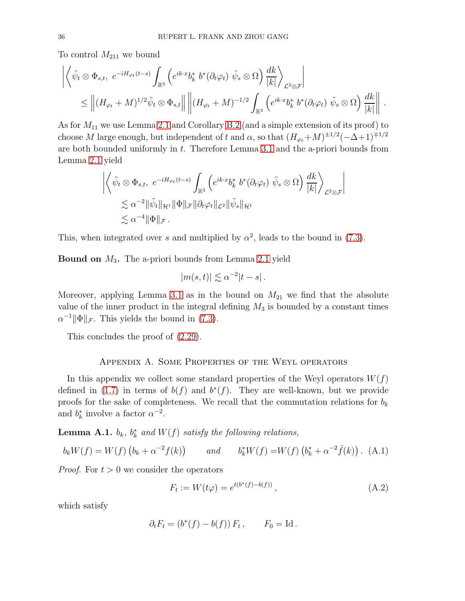To control  $M_{211}$  we bound

$$
\left| \left\langle \tilde{\psi}_t \otimes \Phi_{s,t}, e^{-iH_{\varphi_t}(t-s)} \int_{\mathbb{R}^3} \left( e^{ik \cdot x} b_k^* b^* (\partial_t \varphi_t) \tilde{\psi}_s \otimes \Omega \right) \frac{dk}{|k|} \right\rangle_{\mathcal{L}^2 \otimes \mathcal{F}} \right|
$$
  

$$
\leq \left\| (H_{\varphi_t} + M)^{1/2} \tilde{\psi}_t \otimes \Phi_{s,t} \right\| \left\| (H_{\varphi_t} + M)^{-1/2} \int_{\mathbb{R}^3} \left( e^{ik \cdot x} b_k^* b^* (\partial_t \varphi_t) \tilde{\psi}_s \otimes \Omega \right) \frac{dk}{|k|} \right\|.
$$

As for  $M_{11}$  we use Lemma [2.1](#page-7-0) and Corollary [B.2](#page-38-1) (and a simple extension of its proof) to choose M large enough, but independent of t and  $\alpha$ , so that  $(H_{\varphi_t}+M)^{\pm 1/2}(-\Delta+1)^{\mp 1/2}$ are both bounded uniformly in t. Therefore Lemma [3.1](#page-17-0) and the a-priori bounds from Lemma [2.1](#page-7-0) yield

$$
\left| \left\langle \tilde{\psi}_t \otimes \Phi_{s,t}, e^{-iH_{\varphi_t}(t-s)} \int_{\mathbb{R}^3} \left( e^{ik \cdot x} b_k^* b^* (\partial_t \varphi_t) \tilde{\psi}_s \otimes \Omega \right) \frac{dk}{|k|} \right\rangle_{\mathcal{L}^2 \otimes \mathcal{F}} \right|
$$
  

$$
\lesssim \alpha^{-2} \|\tilde{\psi}_t\|_{\mathcal{H}^1} \|\Phi\|_{\mathcal{F}} \|\partial_t \varphi_t\|_{\mathcal{L}^2} \|\tilde{\psi}_s\|_{\mathcal{H}^1}
$$
  

$$
\lesssim \alpha^{-4} \|\Phi\|_{\mathcal{F}}.
$$

This, when integrated over s and multiplied by  $\alpha^2$ , leads to the bound in [\(7.3\)](#page-33-0).

**Bound on**  $M_3$ . The a-priori bounds from Lemma [2.1](#page-7-0) yield

$$
|m(s,t)| \lesssim \alpha^{-2}|t-s|.
$$

Moreover, applying Lemma [3.1](#page-17-0) as in the bound on  $M_{21}$  we find that the absolute value of the inner product in the integral defining  $M_3$  is bounded by a constant times  $\alpha^{-1} \|\Phi\|_{\mathcal{F}}$ . This yields the bound in [\(7.3\)](#page-33-0).

This concludes the proof of [\(2.29\)](#page-12-4).

#### Appendix A. Some Properties of the Weyl operators

In this appendix we collect some standard properties of the Weyl operators  $W(f)$ defined in [\(1.7\)](#page-1-3) in terms of  $b(f)$  and  $b^*(f)$ . They are well-known, but we provide proofs for the sake of completeness. We recall that the commutation relations for  $b_k$ and  $b_k^*$  involve a factor  $\alpha^{-2}$ .

<span id="page-35-0"></span>**Lemma A.1.**  $b_k$ ,  $b_k^*$  and  $W(f)$  satisfy the following relations,

$$
b_k W(f) = W(f) \left( b_k + \alpha^{-2} f(k) \right) \qquad and \qquad b_k^* W(f) = W(f) \left( b_k^* + \alpha^{-2} \bar{f}(k) \right). \tag{A.1}
$$

*Proof.* For  $t > 0$  we consider the operators

<span id="page-35-1"></span>
$$
F_t := W(t\varphi) = e^{t(b^*(f) - b(f))}, \qquad (A.2)
$$

which satisfy

$$
\partial_t F_t = (b^*(f) - b(f)) F_t, \qquad F_0 = \mathrm{Id}.
$$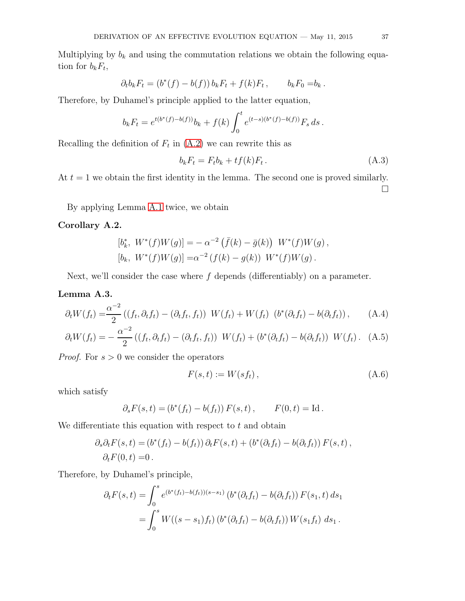Multiplying by  $b_k$  and using the commutation relations we obtain the following equation for  $b_k F_t$ ,

$$
\partial_t b_k F_t = (b^*(f) - b(f)) b_k F_t + f(k) F_t, \qquad b_k F_0 = b_k.
$$

Therefore, by Duhamel's principle applied to the latter equation,

$$
b_k F_t = e^{t(b^*(f) - b(f))} b_k + f(k) \int_0^t e^{(t-s)(b^*(f) - b(f))} F_s ds.
$$

Recalling the definition of  $F_t$  in  $(A.2)$  we can rewrite this as

$$
b_k F_t = F_t b_k + t f(k) F_t. \tag{A.3}
$$

At  $t = 1$  we obtain the first identity in the lemma. The second one is proved similarly.  $\Box$ 

By applying Lemma [A.1](#page-35-0) twice, we obtain

## <span id="page-36-1"></span>Corollary A.2.

$$
[b_k^*, W^*(f)W(g)] = -\alpha^{-2} (\bar{f}(k) - \bar{g}(k)) W^*(f)W(g),
$$
  
\n
$$
[b_k, W^*(f)W(g)] = \alpha^{-2} (f(k) - g(k)) W^*(f)W(g).
$$

Next, we'll consider the case where  $f$  depends (differentiably) on a parameter.

## <span id="page-36-2"></span>Lemma A.3.

$$
\partial_t W(f_t) = \frac{\alpha^{-2}}{2} \left( (f_t, \partial_t f_t) - (\partial_t f_t, f_t) \right) W(f_t) + W(f_t) \left( b^*(\partial_t f_t) - b(\partial_t f_t) \right), \tag{A.4}
$$

$$
\partial_t W(f_t) = -\frac{\alpha^{-2}}{2} \left( (f_t, \partial_t f_t) - (\partial_t f_t, f_t) \right) W(f_t) + \left( b^*(\partial_t f_t) - b(\partial_t f_t) \right) W(f_t). \tag{A.5}
$$

*Proof.* For  $s > 0$  we consider the operators

<span id="page-36-0"></span>
$$
F(s,t) := W(s f_t), \qquad (A.6)
$$

which satisfy

$$
\partial_s F(s,t) = (b^*(f_t) - b(f_t)) F(s,t), \qquad F(0,t) = \text{Id}.
$$

We differentiate this equation with respect to  $t$  and obtain

$$
\partial_s \partial_t F(s,t) = (b^*(f_t) - b(f_t)) \partial_t F(s,t) + (b^*(\partial_t f_t) - b(\partial_t f_t)) F(s,t),
$$
  

$$
\partial_t F(0,t) = 0.
$$

Therefore, by Duhamel's principle,

$$
\partial_t F(s,t) = \int_0^s e^{(b^*(f_t) - b(f_t))(s - s_1)} (b^*(\partial_t f_t) - b(\partial_t f_t)) F(s_1, t) ds_1
$$
  
= 
$$
\int_0^s W((s - s_1)f_t) (b^*(\partial_t f_t) - b(\partial_t f_t)) W(s_1 f_t) ds_1.
$$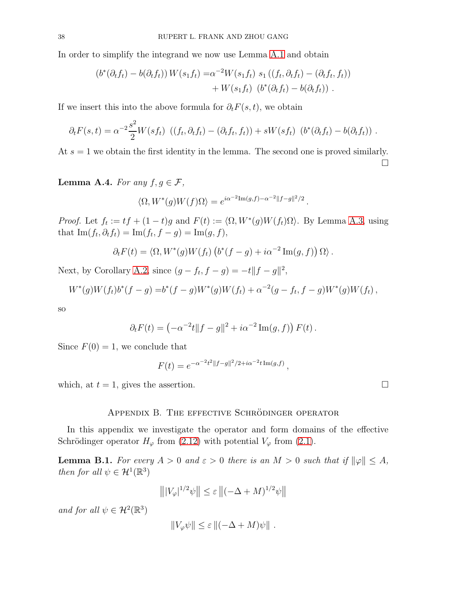In order to simplify the integrand we now use Lemma [A.1](#page-35-0) and obtain

$$
(b^*(\partial_t f_t) - b(\partial_t f_t)) W(s_1 f_t) = \alpha^{-2} W(s_1 f_t) s_1 ((f_t, \partial_t f_t) - (\partial_t f_t, f_t))
$$
  
+ 
$$
W(s_1 f_t) (b^*(\partial_t f_t) - b(\partial_t f_t)) .
$$

If we insert this into the above formula for  $\partial_t F(s, t)$ , we obtain

$$
\partial_t F(s,t) = \alpha^{-2} \frac{s^2}{2} W(st_t) \left( (f_t, \partial_t f_t) - (\partial_t f_t, f_t) \right) + sW(st_t) \left( b^*(\partial_t f_t) - b(\partial_t f_t) \right).
$$

At  $s = 1$  we obtain the first identity in the lemma. The second one is proved similarly.  $\Box$ 

<span id="page-37-1"></span>Lemma A.4. For any  $f, g \in \mathcal{F}$ ,

$$
\langle \Omega, W^*(g)W(f)\Omega\rangle = e^{i\alpha^{-2}\text{Im}(g,f) - \alpha^{-2}\|f-g\|^2/2}.
$$

*Proof.* Let  $f_t := tf + (1-t)g$  and  $F(t) := \langle \Omega, W^*(g)W(f_t)\Omega \rangle$ . By Lemma [A.3,](#page-36-2) using that  $\text{Im}(f_t, \partial_t f_t) = \text{Im}(f_t, f - g) = \text{Im}(g, f),$ 

$$
\partial_t F(t) = \langle \Omega, W^*(g) W(f_t) (b^*(f-g) + i\alpha^{-2} \operatorname{Im}(g, f)) \Omega \rangle.
$$

Next, by Corollary [A.2,](#page-36-1) since  $(g - f_t, f - g) = -t||f - g||^2$ ,

$$
W^*(g)W(f_t)b^*(f-g) = b^*(f-g)W^*(g)W(f_t) + \alpha^{-2}(g-f_t,f-g)W^*(g)W(f_t),
$$

so

$$
\partial_t F(t) = \left(-\alpha^{-2}t \|f - g\|^2 + i\alpha^{-2} \text{Im}(g, f)\right) F(t).
$$

Since  $F(0) = 1$ , we conclude that

$$
F(t) = e^{-\alpha^{-2}t^2||f-g||^2/2 + i\alpha^{-2}t \operatorname{Im}(g,f)},
$$

which, at  $t = 1$ , gives the assertion.

#### APPENDIX B. THE EFFECTIVE SCHRÖDINGER OPERATOR

In this appendix we investigate the operator and form domains of the effective Schrödinger operator  $H_{\varphi}$  from [\(2.12\)](#page-8-7) with potential  $V_{\varphi}$  from [\(2.1\)](#page-7-2).

<span id="page-37-0"></span>**Lemma B.1.** For every  $A > 0$  and  $\varepsilon > 0$  there is an  $M > 0$  such that if  $\|\varphi\| \leq A$ , then for all  $\psi \in \mathcal{H}^1(\mathbb{R}^3)$ 

$$
\left\| |V_{\varphi}|^{1/2} \psi \right\| \leq \varepsilon \left\| (-\Delta + M)^{1/2} \psi \right\|
$$

and for all  $\psi \in \mathcal{H}^2(\mathbb{R}^3)$ 

$$
||V_{\varphi}\psi|| \leq \varepsilon ||(-\Delta + M)\psi||.
$$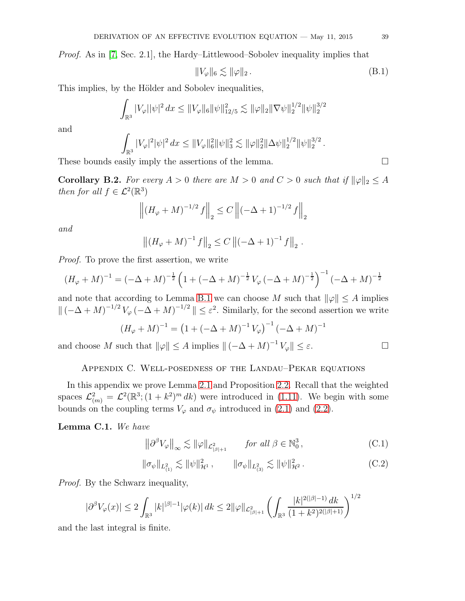Proof. As in [\[7,](#page-45-3) Sec. 2.1], the Hardy–Littlewood–Sobolev inequality implies that

<span id="page-38-4"></span>
$$
||V_{\varphi}||_6 \lesssim ||\varphi||_2. \tag{B.1}
$$

This implies, by the Hölder and Sobolev inequalities,

$$
\int_{\mathbb{R}^3} |V_{\varphi}||\psi|^2 dx \le ||V_{\varphi}||_6 ||\psi||_{12/5}^2 \lesssim ||\varphi||_2 ||\nabla \psi||_2^{1/2} ||\psi||_2^{3/2}
$$

and

$$
\int_{\mathbb{R}^3} |V_\varphi|^2 |\psi|^2 dx \leq \|V_\varphi\|_6^2 \|\psi\|_3^2 \lesssim \|\varphi\|_2^2 \|\Delta\psi\|_2^{1/2} \|\psi\|_2^{3/2}.
$$

These bounds easily imply the assertions of the lemma.  $\Box$ 

<span id="page-38-1"></span>**Corollary B.2.** For every  $A > 0$  there are  $M > 0$  and  $C > 0$  such that if  $\|\varphi\|_2 \leq A$ then for all  $f \in \mathcal{L}^2(\mathbb{R}^3)$ 

$$
\left\| \left( H_{\varphi} + M \right)^{-1/2} f \right\|_{2} \le C \left\| \left( -\Delta + 1 \right)^{-1/2} f \right\|_{2}
$$

and

$$
\left\| \left(H_{\varphi} + M\right)^{-1} f \right\|_2 \le C \left\| \left(-\Delta + 1\right)^{-1} f \right\|_2.
$$

Proof. To prove the first assertion, we write

$$
(H_{\varphi} + M)^{-1} = (-\Delta + M)^{-\frac{1}{2}} \left( 1 + (-\Delta + M)^{-\frac{1}{2}} V_{\varphi} (-\Delta + M)^{-\frac{1}{2}} \right)^{-1} (-\Delta + M)^{-\frac{1}{2}}
$$

and note that according to Lemma [B.1](#page-37-0) we can choose M such that  $\|\varphi\| \leq A$  implies  $\|(-\Delta + M)^{-1/2}V_{\varphi}(-\Delta + M)^{-1/2}\| \leq \varepsilon^2$ . Similarly, for the second assertion we write

$$
(H_{\varphi} + M)^{-1} = (1 + (-\Delta + M)^{-1} V_{\varphi})^{-1} (-\Delta + M)^{-1}
$$

<span id="page-38-0"></span>and choose M such that  $\|\varphi\| \le A$  implies  $\|(-\Delta + M)^{-1}V_{\varphi}\| \le \varepsilon$ .

#### Appendix C. Well-posedness of the Landau–Pekar equations

In this appendix we prove Lemma [2.1](#page-7-0) and Proposition [2.2.](#page-8-0) Recall that the weighted spaces  $\mathcal{L}_{(m)}^2 = \mathcal{L}^2(\mathbb{R}^3; (1+k^2)^m dk)$  were introduced in [\(1.11\)](#page-2-2). We begin with some bounds on the coupling terms  $V_{\varphi}$  and  $\sigma_{\psi}$  introduced in [\(2.1\)](#page-7-2) and [\(2.2\)](#page-7-1).

### Lemma C.1. We have

<span id="page-38-2"></span>
$$
\left\|\partial^{\beta}V_{\varphi}\right\|_{\infty} \lesssim \|\varphi\|_{\mathcal{L}^{2}_{|\beta|+1}} \qquad \text{for all } \beta \in \mathbb{N}^{3}_{0},\tag{C.1}
$$

<span id="page-38-3"></span> $\|\sigma_{\psi}\|_{L^2_{(1)}} \lesssim \|\psi\|_{\mathcal{H}^1}^2$ ,  $\|\sigma_{\psi}\|_{L^2_{(3)}} \lesssim \|\psi\|_{\mathcal{H}^1}^2$  $(C.2)$ 

Proof. By the Schwarz inequality,

$$
|\partial^{\beta}V_{\varphi}(x)| \le 2 \int_{\mathbb{R}^3} |k|^{|\beta|-1} |\varphi(k)| \, dk \le 2 \|\varphi\|_{\mathcal{L}^2_{|\beta|+1}} \left( \int_{\mathbb{R}^3} \frac{|k|^{2(|\beta|-1)} \, dk}{(1+k^2)^{2(|\beta|+1)}} \right)^{1/2}
$$

and the last integral is finite.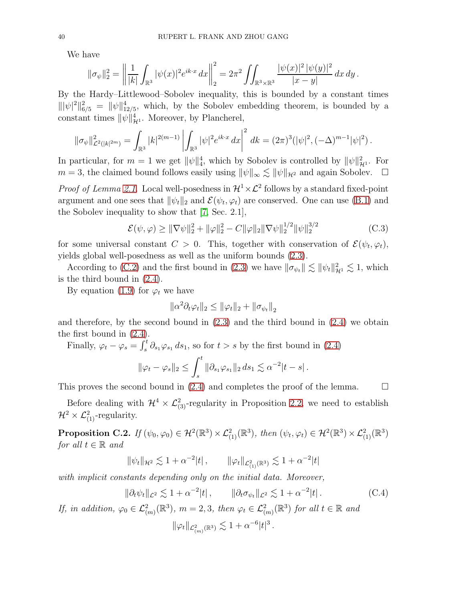We have

$$
\|\sigma_{\psi}\|_{2}^{2} = \left\|\frac{1}{|k|}\int_{\mathbb{R}^{3}}|\psi(x)|^{2}e^{ik\cdot x}dx\right\|_{2}^{2} = 2\pi^{2}\iint_{\mathbb{R}^{3}\times\mathbb{R}^{3}}\frac{|\psi(x)|^{2}|\psi(y)|^{2}}{|x-y|}dx dy.
$$

By the Hardy–Littlewood–Sobolev inequality, this is bounded by a constant times  $\|\psi\|^2\|_{6/5}^2 = \|\psi\|_{12/5}^4$ , which, by the Sobolev embedding theorem, is bounded by a constant times  $\|\psi\|_{\mathcal{H}^1}^4$ . Moreover, by Plancherel,

$$
\|\sigma_{\psi}\|_{\mathcal{L}^{2}(|k|^{2m})}^{2} = \int_{\mathbb{R}^{3}} |k|^{2(m-1)} \left| \int_{\mathbb{R}^{3}} |\psi|^{2} e^{ik \cdot x} dx \right|^{2} dk = (2\pi)^{3} (|\psi|^{2}, (-\Delta)^{m-1} |\psi|^{2}).
$$

In particular, for  $m = 1$  we get  $\|\psi\|_4^4$ , which by Sobolev is controlled by  $\|\psi\|_{\mathcal{H}^1}^2$ . For  $m = 3$ , the claimed bound follows easily using  $\|\psi\|_{\infty} \lesssim \|\psi\|_{\mathcal{H}^2}$  and again Sobolev.  $\square$ 

*Proof of Lemma [2.1.](#page-7-0)* Local well-posedness in  $\mathcal{H}^1 \times \mathcal{L}^2$  follows by a standard fixed-point argument and one sees that  $\|\psi_t\|_2$  and  $\mathcal{E}(\psi_t, \varphi_t)$  are conserved. One can use [\(B.1\)](#page-38-4) and the Sobolev inequality to show that [\[7,](#page-45-3) Sec. 2.1],

$$
\mathcal{E}(\psi,\varphi) \ge ||\nabla\psi||_2^2 + ||\varphi||_2^2 - C||\varphi||_2 ||\nabla\psi||_2^{1/2} ||\psi||_2^{3/2}
$$
 (C.3)

for some universal constant  $C > 0$ . This, together with conservation of  $\mathcal{E}(\psi_t, \varphi_t)$ , yields global well-posedness as well as the uniform bounds [\(2.3\)](#page-7-3).

According to [\(C.2\)](#page-38-3) and the first bound in [\(2.3\)](#page-7-3) we have  $\|\sigma_{\psi_t}\| \lesssim \|\psi_t\|_{\mathcal{H}^1}^2 \lesssim 1$ , which is the third bound in [\(2.4\)](#page-7-4).

By equation [\(1.9\)](#page-1-1) for  $\varphi_t$  we have

$$
\|\alpha^2 \partial_t \varphi_t\|_2 \le \|\varphi_t\|_2 + \|\sigma_{\psi_t}\|_2
$$

and therefore, by the second bound in  $(2.3)$  and the third bound in  $(2.4)$  we obtain the first bound in [\(2.4\)](#page-7-4).

Finally,  $\varphi_t - \varphi_s = \int_s^t \partial_{s_1} \varphi_{s_1} ds_1$ , so for  $t > s$  by the first bound in [\(2.4\)](#page-7-4)

$$
\|\varphi_t - \varphi_s\|_2 \le \int_s^t \|\partial_{s_1} \varphi_{s_1}\|_2 \, ds_1 \lesssim \alpha^{-2} |t - s| \, .
$$

This proves the second bound in [\(2.4\)](#page-7-4) and completes the proof of the lemma.  $\square$ 

Before dealing with  $\mathcal{H}^4 \times \mathcal{L}_{(3)}^2$ -regularity in Proposition [2.2,](#page-8-0) we need to establish  $\mathcal{H}^2 \times \mathcal{L}^2_{(1)}$ -regularity.

<span id="page-39-1"></span>**Proposition C.2.** If  $(\psi_0, \varphi_0) \in \mathcal{H}^2(\mathbb{R}^3) \times \mathcal{L}^2_{(1)}(\mathbb{R}^3)$ , then  $(\psi_t, \varphi_t) \in \mathcal{H}^2(\mathbb{R}^3) \times \mathcal{L}^2_{(1)}(\mathbb{R}^3)$ for all  $t \in \mathbb{R}$  and

$$
\|\psi_t\|_{\mathcal{H}^2} \lesssim 1 + \alpha^{-2}|t| \,, \qquad \|\varphi_t\|_{\mathcal{L}^2_{(1)}(\mathbb{R}^3)} \lesssim 1 + \alpha^{-2}|t|
$$

with implicit constants depending only on the initial data. Moreover,

<span id="page-39-0"></span>
$$
\|\partial_t \psi_t\|_{\mathcal{L}^2} \lesssim 1 + \alpha^{-2}|t| \,, \qquad \|\partial_t \sigma_{\psi_t}\|_{\mathcal{L}^2} \lesssim 1 + \alpha^{-2}|t| \,.
$$
 (C.4)

If, in addition,  $\varphi_0 \in \mathcal{L}_{(m)}^2(\mathbb{R}^3)$ ,  $m = 2, 3$ , then  $\varphi_t \in \mathcal{L}_{(m)}^2(\mathbb{R}^3)$  for all  $t \in \mathbb{R}$  and  $\|\varphi_t\|_{\mathcal{L}^2_{(m)}(\mathbb{R}^3)} \lesssim 1 + \alpha^{-6} |t|^3$ .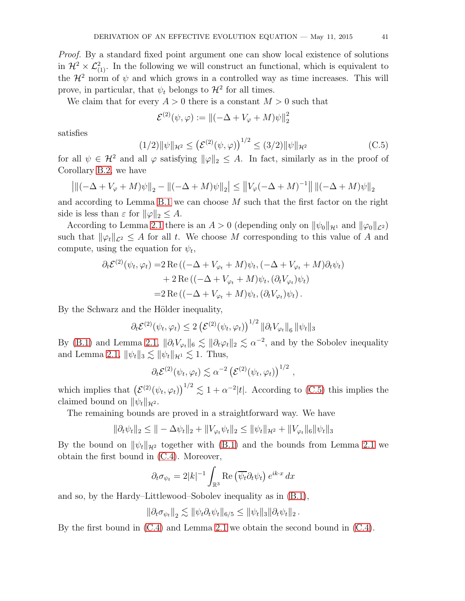Proof. By a standard fixed point argument one can show local existence of solutions in  $\mathcal{H}^2 \times \mathcal{L}_{(1)}^2$ . In the following we will construct an functional, which is equivalent to the  $\mathcal{H}^2$  norm of  $\psi$  and which grows in a controlled way as time increases. This will prove, in particular, that  $\psi_t$  belongs to  $\mathcal{H}^2$  for all times.

We claim that for every  $A > 0$  there is a constant  $M > 0$  such that

$$
\mathcal{E}^{(2)}(\psi,\varphi) := \left\|(-\Delta + V_{\varphi} + M)\psi\right\|_{2}^{2}
$$

satisfies

<span id="page-40-0"></span>
$$
(1/2)\|\psi\|_{\mathcal{H}^2} \le \left(\mathcal{E}^{(2)}(\psi,\varphi)\right)^{1/2} \le (3/2)\|\psi\|_{\mathcal{H}^2}
$$
 (C.5)

for all  $\psi \in \mathcal{H}^2$  and all  $\varphi$  satisfying  $\|\varphi\|_2 \leq A$ . In fact, similarly as in the proof of Corollary [B.2,](#page-38-1) we have

$$
\left| \| ( -\Delta + V_{\varphi} + M) \psi \|_2 - \| ( -\Delta + M) \psi \|_2 \right| \leq \left\| V_{\varphi} ( -\Delta + M)^{-1} \right\| \| ( -\Delta + M) \psi \|_2
$$

and according to Lemma [B.1](#page-37-0) we can choose  $M$  such that the first factor on the right side is less than  $\varepsilon$  for  $\|\varphi\|_2 \leq A$ .

According to Lemma [2.1](#page-7-0) there is an  $A > 0$  (depending only on  $\|\psi_0\|_{\mathcal{H}^1}$  and  $\|\varphi_0\|_{\mathcal{L}^2}$ ) such that  $\|\varphi_t\|_{\mathcal{L}^2} \leq A$  for all t. We choose M corresponding to this value of A and compute, using the equation for  $\psi_t$ ,

$$
\partial_t \mathcal{E}^{(2)}(\psi_t, \varphi_t) = 2 \operatorname{Re} \left( (-\Delta + V_{\varphi_t} + M) \psi_t, (-\Delta + V_{\varphi_t} + M) \partial_t \psi_t \right) + 2 \operatorname{Re} \left( (-\Delta + V_{\varphi_t} + M) \psi_t, (\partial_t V_{\varphi_t}) \psi_t \right) = 2 \operatorname{Re} \left( (-\Delta + V_{\varphi_t} + M) \psi_t, (\partial_t V_{\varphi_t}) \psi_t \right).
$$

By the Schwarz and the Hölder inequality,

$$
\partial_t \mathcal{E}^{(2)}(\psi_t, \varphi_t) \leq 2 \left( \mathcal{E}^{(2)}(\psi_t, \varphi_t) \right)^{1/2} \|\partial_t V_{\varphi_t}\|_6 \|\psi_t\|_3
$$

By [\(B.1\)](#page-38-4) and Lemma [2.1,](#page-7-0)  $\|\partial_t V_{\varphi_t}\|_6 \lesssim \|\partial_t \varphi_t\|_2 \lesssim \alpha^{-2}$ , and by the Sobolev inequality and Lemma [2.1,](#page-7-0)  $\|\psi_t\|_3 \lesssim \|\psi_t\|_{\mathcal{H}^1} \lesssim 1$ . Thus,

$$
\partial_t \mathcal{E}^{(2)}(\psi_t, \varphi_t) \lesssim \alpha^{-2} \left(\mathcal{E}^{(2)}(\psi_t, \varphi_t)\right)^{1/2},
$$

which implies that  $(\mathcal{E}^{(2)}(\psi_t, \varphi_t))^{1/2} \lesssim 1 + \alpha^{-2}|t|$ . According to [\(C.5\)](#page-40-0) this implies the claimed bound on  $\|\psi_t\|_{\mathcal{H}^2}$ .

The remaining bounds are proved in a straightforward way. We have

$$
\|\partial_t \psi_t\|_2 \leq \|\theta - \Delta \psi_t\|_2 + \|V_{\varphi_t} \psi_t\|_2 \leq \|\psi_t\|_{\mathcal{H}^2} + \|V_{\varphi_t}\|_6 \|\psi_t\|_3
$$

By the bound on  $\|\psi_t\|_{\mathcal{H}^2}$  together with [\(B.1\)](#page-38-4) and the bounds from Lemma [2.1](#page-7-0) we obtain the first bound in [\(C.4\)](#page-39-0). Moreover,

$$
\partial_t \sigma_{\psi_t} = 2|k|^{-1} \int_{\mathbb{R}^3} \text{Re} \left( \overline{\psi_t} \partial_t \psi_t \right) e^{ik \cdot x} dx
$$

and so, by the Hardy–Littlewood–Sobolev inequality as in [\(B.1\)](#page-38-4),

$$
\|\partial_t \sigma_{\psi_t}\|_2 \lesssim \|\psi_t \partial_t \psi_t\|_{6/5} \le \|\psi_t\|_3 \|\partial_t \psi_t\|_2.
$$

By the first bound in [\(C.4\)](#page-39-0) and Lemma [2.1](#page-7-0) we obtain the second bound in [\(C.4\)](#page-39-0).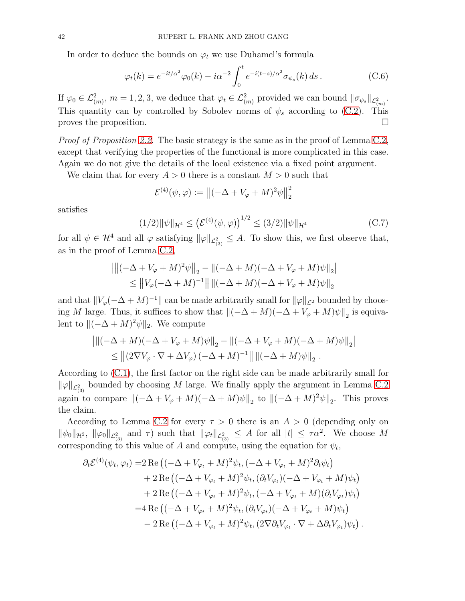In order to deduce the bounds on  $\varphi_t$  we use Duhamel's formula

$$
\varphi_t(k) = e^{-it/\alpha^2} \varphi_0(k) - i\alpha^{-2} \int_0^t e^{-i(t-s)/\alpha^2} \sigma_{\psi_s}(k) ds.
$$
 (C.6)

If  $\varphi_0 \in \mathcal{L}^2_{(m)}, m = 1, 2, 3$ , we deduce that  $\varphi_t \in \mathcal{L}^2_{(m)}$  provided we can bound  $\|\sigma_{\psi_s}\|_{\mathcal{L}^2_{(m)}}$ . This quantity can by controlled by Sobolev norms of  $\psi_s$  according to [\(C.2\)](#page-38-3). This proves the proposition.  $\Box$ 

*Proof of Proposition [2.2.](#page-8-0)* The basic strategy is the same as in the proof of Lemma [C.2,](#page-39-1) except that verifying the properties of the functional is more complicated in this case. Again we do not give the details of the local existence via a fixed point argument.

We claim that for every  $A > 0$  there is a constant  $M > 0$  such that

$$
\mathcal{E}^{(4)}(\psi,\varphi) := ||(-\Delta + V_{\varphi} + M)^2 \psi||_2^2
$$

satisfies

<span id="page-41-0"></span>
$$
(1/2)\|\psi\|_{\mathcal{H}^4} \le \left(\mathcal{E}^{(4)}(\psi,\varphi)\right)^{1/2} \le (3/2)\|\psi\|_{\mathcal{H}^4}
$$
 (C.7)

for all  $\psi \in \mathcal{H}^4$  and all  $\varphi$  satisfying  $\|\varphi\|_{\mathcal{L}_{(3)}^2} \leq A$ . To show this, we first observe that, as in the proof of Lemma [C.2,](#page-39-1)

$$
\left\| \| ( -\Delta + V_{\varphi} + M)^2 \psi \|_2 - \| ( -\Delta + M ) ( -\Delta + V_{\varphi} + M ) \psi \|_2 \right\|
$$
  
\$\leq\$ 
$$
\left\| V_{\varphi} ( -\Delta + M)^{-1} \right\| \| ( -\Delta + M ) ( -\Delta + V_{\varphi} + M ) \psi \|_2
$$

and that  $||V_\varphi(-\Delta + M)^{-1}||$  can be made arbitrarily small for  $||\varphi||_{\mathcal{L}^2}$  bounded by choosing M large. Thus, it suffices to show that  $\|(-\Delta + M)(-\Delta + V_{\varphi} + M)\psi\|_2$  is equivalent to  $\|(-\Delta + M)^2 \psi\|_2$ . We compute

$$
\left| \| ( -\Delta + M ) ( -\Delta + V_{\varphi} + M ) \psi \|_2 - \| ( -\Delta + V_{\varphi} + M ) ( -\Delta + M ) \psi \|_2 \right|
$$
  
\$\leq\$ 
$$
\left\| (2\nabla V_{\varphi} \cdot \nabla + \Delta V_{\varphi}) ( -\Delta + M )^{-1} \right\| \| ( -\Delta + M ) \psi \|_2 .
$$

According to [\(C.1\)](#page-38-2), the first factor on the right side can be made arbitrarily small for  $\|\varphi\|_{\mathcal{L}_{(3)}^2}$  bounded by choosing M large. We finally apply the argument in Lemma [C.2](#page-39-1) again to compare  $\|(-\Delta + V_{\varphi} + M)(-\Delta + M)\psi\|_2$  to  $\|(-\Delta + M)^2\psi\|_2$ . This proves the claim.

According to Lemma [C.2](#page-39-1) for every  $\tau > 0$  there is an  $A > 0$  (depending only on  $\|\psi_0\|_{\mathcal{H}^2}$ ,  $\|\varphi_0\|_{\mathcal{L}_{(3)}^2}$  and  $\tau$ ) such that  $\|\varphi_t\|_{\mathcal{L}_{(3)}^2} \leq A$  for all  $|t| \leq \tau \alpha^2$ . We choose M corresponding to this value of A and compute, using the equation for  $\psi_t$ ,

$$
\partial_t \mathcal{E}^{(4)}(\psi_t, \varphi_t) = 2 \operatorname{Re} \left( (-\Delta + V_{\varphi_t} + M)^2 \psi_t, (-\Delta + V_{\varphi_t} + M)^2 \partial_t \psi_t \right) \n+ 2 \operatorname{Re} \left( (-\Delta + V_{\varphi_t} + M)^2 \psi_t, (\partial_t V_{\varphi_t}) (-\Delta + V_{\varphi_t} + M) \psi_t \right) \n+ 2 \operatorname{Re} \left( (-\Delta + V_{\varphi_t} + M)^2 \psi_t, (-\Delta + V_{\varphi_t} + M) (\partial_t V_{\varphi_t}) \psi_t \right) \n= 4 \operatorname{Re} \left( (-\Delta + V_{\varphi_t} + M)^2 \psi_t, (\partial_t V_{\varphi_t}) (-\Delta + V_{\varphi_t} + M) \psi_t \right) \n- 2 \operatorname{Re} \left( (-\Delta + V_{\varphi_t} + M)^2 \psi_t, (2\nabla \partial_t V_{\varphi_t} \cdot \nabla + \Delta \partial_t V_{\varphi_t}) \psi_t \right).
$$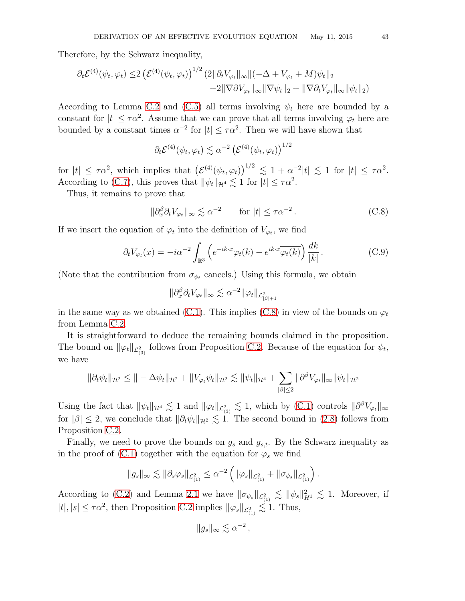Therefore, by the Schwarz inequality,

$$
\partial_t \mathcal{E}^{(4)}(\psi_t, \varphi_t) \leq 2 \left( \mathcal{E}^{(4)}(\psi_t, \varphi_t) \right)^{1/2} (2 \|\partial_t V_{\varphi_t}\|_{\infty} \|(-\Delta + V_{\varphi_t} + M)\psi_t\|_2 + 2 \|\nabla \partial V_{\varphi_t}\|_{\infty} \|\nabla \psi_t\|_2 + \|\nabla \partial_t V_{\varphi_t}\|_{\infty} \|\psi_t\|_2)
$$

According to Lemma [C.2](#page-39-1) and [\(C.5\)](#page-40-0) all terms involving  $\psi_t$  here are bounded by a constant for  $|t| \leq \tau \alpha^2$ . Assume that we can prove that all terms involving  $\varphi_t$  here are bounded by a constant times  $\alpha^{-2}$  for  $|t| \leq \tau \alpha^2$ . Then we will have shown that

$$
\partial_t \mathcal{E}^{(4)}(\psi_t, \varphi_t) \lesssim \alpha^{-2} \left( \mathcal{E}^{(4)}(\psi_t, \varphi_t) \right)^{1/2}
$$

for  $|t| \leq \tau \alpha^2$ , which implies that  $(\mathcal{E}^{(4)}(\psi_t, \varphi_t))^{1/2} \lesssim 1 + \alpha^{-2}|t| \lesssim 1$  for  $|t| \leq \tau \alpha^2$ . According to [\(C.7\)](#page-41-0), this proves that  $\|\psi_t\|_{\mathcal{H}^4} \lesssim 1$  for  $|t| \leq \tau \alpha^2$ .

Thus, it remains to prove that

<span id="page-42-0"></span>
$$
\|\partial_x^{\beta}\partial_t V_{\varphi_t}\|_{\infty} \lesssim \alpha^{-2} \qquad \text{for } |t| \le \tau \alpha^{-2} \,. \tag{C.8}
$$

If we insert the equation of  $\varphi_t$  into the definition of  $V_{\varphi_t}$ , we find

$$
\partial_t V_{\varphi_t}(x) = -i\alpha^{-2} \int_{\mathbb{R}^3} \left( e^{-ik \cdot x} \varphi_t(k) - e^{ik \cdot x} \overline{\varphi_t(k)} \right) \frac{dk}{|k|} . \tag{C.9}
$$

(Note that the contribution from  $\sigma_{\psi_t}$  cancels.) Using this formula, we obtain

$$
\|\partial_x^{\beta}\partial_t V_{\varphi_t}\|_{\infty} \lesssim \alpha^{-2} \|\varphi_t\|_{\mathcal{L}^2_{|\beta|+1}}
$$

in the same way as we obtained [\(C.1\)](#page-38-2). This implies [\(C.8\)](#page-42-0) in view of the bounds on  $\varphi_t$ from Lemma [C.2.](#page-39-1)

It is straightforward to deduce the remaining bounds claimed in the proposition. The bound on  $\|\varphi_t\|_{\mathcal{L}_{(3)}^2}$  follows from Proposition [C.2.](#page-39-1) Because of the equation for  $\psi_t$ , we have

$$
\|\partial_t \psi_t\|_{\mathcal{H}^2} \leq \| - \Delta \psi_t \|_{\mathcal{H}^2} + \|V_{\varphi_t} \psi_t\|_{\mathcal{H}^2} \lesssim \|\psi_t\|_{\mathcal{H}^4} + \sum_{|\beta| \leq 2} \|\partial^\beta V_{\varphi_t}\|_{\infty} \|\psi_t\|_{\mathcal{H}^2}
$$

Using the fact that  $\|\psi_t\|_{\mathcal{H}^4} \lesssim 1$  and  $\|\varphi_t\|_{\mathcal{L}_{(3)}^2} \lesssim 1$ , which by [\(C.1\)](#page-38-2) controls  $\|\partial^\beta V_{\varphi_t}\|_{\infty}$ for  $|\beta| \leq 2$ , we conclude that  $\|\partial_t \psi_t\|_{\mathcal{H}^2} \lesssim 1$ . The second bound in [\(2.8\)](#page-8-8) follows from Proposition [C.2.](#page-39-1)

Finally, we need to prove the bounds on  $g_s$  and  $g_{s,t}$ . By the Schwarz inequality as in the proof of [\(C.1\)](#page-38-2) together with the equation for  $\varphi_s$  we find

$$
||g_s||_{\infty} \lesssim ||\partial_s \varphi_s||_{\mathcal{L}_{(1)}^2} \leq \alpha^{-2} \left( ||\varphi_s||_{\mathcal{L}_{(1)}^2} + ||\sigma_{\psi_s}||_{\mathcal{L}_{(1)}^2} \right).
$$

According to [\(C.2\)](#page-38-3) and Lemma [2.1](#page-7-0) we have  $\|\sigma_{\psi_s}\|_{\mathcal{L}_{(1)}^2} \lesssim \|\psi_s\|_{H^1}^2 \lesssim 1$ . Moreover, if  $|t|, |s| \leq \tau \alpha^2$ , then Proposition [C.2](#page-39-1) implies  $\|\varphi_s\|_{\mathcal{L}_{(1)}^2} \lesssim 1$ . Thus,

$$
||g_s||_{\infty} \lesssim \alpha^{-2},
$$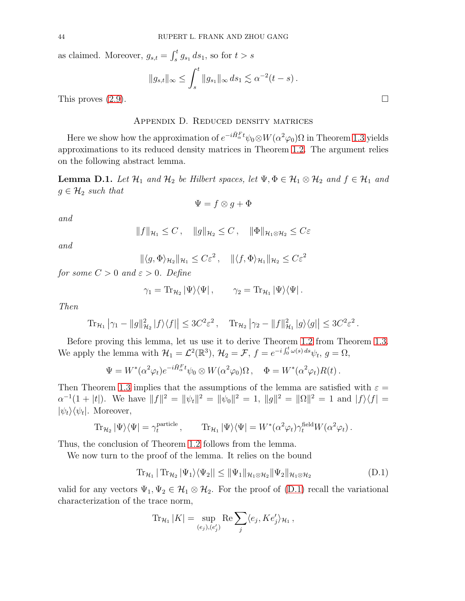as claimed. Moreover,  $g_{s,t} = \int_s^t g_{s_1} ds_1$ , so for  $t > s$ 

$$
||g_{s,t}||_{\infty} \le \int_s^t ||g_{s_1}||_{\infty} ds_1 \lesssim \alpha^{-2}(t-s).
$$

<span id="page-43-0"></span>This proves  $(2.9)$ .

## Appendix D. Reduced density matrices

Here we show how the approximation of  $e^{-i\hat{H}_\alpha^F t}\psi_0\otimes W(\alpha^2\varphi_0)\Omega$  in Theorem [1.3](#page-3-1) yields approximations to its reduced density matrices in Theorem [1.2.](#page-2-1) The argument relies on the following abstract lemma.

**Lemma D.1.** Let  $\mathcal{H}_1$  and  $\mathcal{H}_2$  be Hilbert spaces, let  $\Psi, \Phi \in \mathcal{H}_1 \otimes \mathcal{H}_2$  and  $f \in \mathcal{H}_1$  and  $g \in \mathcal{H}_2$  such that

$$
\Psi = f \otimes g + \Phi
$$

and

$$
||f||_{\mathcal{H}_1} \leq C, \quad ||g||_{\mathcal{H}_2} \leq C, \quad ||\Phi||_{\mathcal{H}_1 \otimes \mathcal{H}_2} \leq C\varepsilon
$$

and

$$
\|\langle g, \Phi \rangle_{\mathcal{H}_2}\|_{\mathcal{H}_1} \leq C\varepsilon^2, \quad \|\langle f, \Phi \rangle_{\mathcal{H}_1}\|_{\mathcal{H}_2} \leq C\varepsilon^2
$$

for some  $C > 0$  and  $\varepsilon > 0$ . Define

$$
\gamma_1 = \mathrm{Tr}_{\mathcal{H}_2} |\Psi\rangle\langle\Psi| \,, \qquad \gamma_2 = \mathrm{Tr}_{\mathcal{H}_1} |\Psi\rangle\langle\Psi| \,.
$$

Then

$$
\operatorname{Tr}_{\mathcal{H}_1} \left| \gamma_1 - \|g\|_{\mathcal{H}_2}^2 |f\rangle\langle f| \right| \leq 3C^2 \varepsilon^2, \quad \operatorname{Tr}_{\mathcal{H}_2} \left| \gamma_2 - \|f\|_{\mathcal{H}_1}^2 |g\rangle\langle g| \right| \leq 3C^2 \varepsilon^2.
$$

Before proving this lemma, let us use it to derive Theorem [1.2](#page-2-1) from Theorem [1.3.](#page-3-1) We apply the lemma with  $\mathcal{H}_1 = \mathcal{L}^2(\mathbb{R}^3)$ ,  $\mathcal{H}_2 = \mathcal{F}$ ,  $f = e^{-i \int_0^t \omega(s) ds} \psi_t$ ,  $g = \Omega$ ,

$$
\Psi = W^*(\alpha^2 \varphi_t) e^{-i\tilde{H}_\alpha^F t} \psi_0 \otimes W(\alpha^2 \varphi_0) \Omega \,, \quad \Phi = W^*(\alpha^2 \varphi_t) R(t) \,.
$$

Then Theorem [1.3](#page-3-1) implies that the assumptions of the lemma are satisfied with  $\varepsilon =$  $\alpha^{-1}(1+|t|)$ . We have  $||f||^2 = ||\psi_t||^2 = ||\psi_0||^2 = 1$ ,  $||g||^2 = ||\Omega||^2 = 1$  and  $|f\rangle\langle f| =$  $|\psi_t\rangle\langle\psi_t|$ . Moreover,

$$
\text{Tr}_{\mathcal{H}_2} |\Psi\rangle \langle \Psi| = \gamma_t^{\text{particle}}, \qquad \text{Tr}_{\mathcal{H}_1} |\Psi\rangle \langle \Psi| = W^*(\alpha^2 \varphi_t) \gamma_t^{\text{field}} W(\alpha^2 \varphi_t).
$$

Thus, the conclusion of Theorem [1.2](#page-2-1) follows from the lemma.

We now turn to the proof of the lemma. It relies on the bound

<span id="page-43-1"></span>
$$
\operatorname{Tr}_{\mathcal{H}_1} |\operatorname{Tr}_{\mathcal{H}_2} |\Psi_1\rangle \langle \Psi_2| \leq \|\Psi_1\|_{\mathcal{H}_1 \otimes \mathcal{H}_2} \|\Psi_2\|_{\mathcal{H}_1 \otimes \mathcal{H}_2} \tag{D.1}
$$

valid for any vectors  $\Psi_1, \Psi_2 \in \mathcal{H}_1 \otimes \mathcal{H}_2$ . For the proof of [\(D.1\)](#page-43-1) recall the variational characterization of the trace norm,

$$
\text{Tr}_{\mathcal{H}_1} |K| = \sup_{(e_j), (e'_j)} \text{Re} \sum_j \langle e_j, K e'_j \rangle_{\mathcal{H}_1},
$$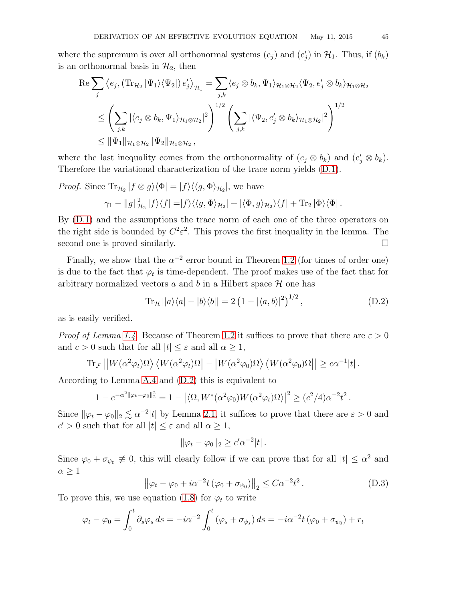where the supremum is over all orthonormal systems  $(e_j)$  and  $(e'_j)$  in  $\mathcal{H}_1$ . Thus, if  $(b_k)$ is an orthonormal basis in  $\mathcal{H}_2$ , then

$$
\operatorname{Re}\sum_{j}\left\langle e_{j},\left(\operatorname{Tr}_{\mathcal{H}_{2}}|\Psi_{1}\rangle\langle\Psi_{2}|\right)e'_{j}\right\rangle_{\mathcal{H}_{1}}=\sum_{j,k}\left\langle e_{j}\otimes b_{k},\Psi_{1}\right\rangle_{\mathcal{H}_{1}\otimes\mathcal{H}_{2}}\left\langle\Psi_{2},e'_{j}\otimes b_{k}\right\rangle_{\mathcal{H}_{1}\otimes\mathcal{H}_{2}}\leq\left(\sum_{j,k}|\langle e_{j}\otimes b_{k},\Psi_{1}\rangle_{\mathcal{H}_{1}\otimes\mathcal{H}_{2}}|^{2}\right)^{1/2}\left(\sum_{j,k}|\langle\Psi_{2},e'_{j}\otimes b_{k}\rangle_{\mathcal{H}_{1}\otimes\mathcal{H}_{2}}|^{2}\right)^{1/2}\leq\|\Psi_{1}\|_{\mathcal{H}_{1}\otimes\mathcal{H}_{2}}\|\Psi_{2}\|_{\mathcal{H}_{1}\otimes\mathcal{H}_{2}},
$$

where the last inequality comes from the orthonormality of  $(e_j \otimes b_k)$  and  $(e'_j \otimes b_k)$ . Therefore the variational characterization of the trace norm yields [\(D.1\)](#page-43-1).

*Proof.* Since  $\text{Tr}_{\mathcal{H}_2} | f \otimes g \rangle \langle \Phi | = | f \rangle \langle \langle g, \Phi \rangle_{\mathcal{H}_2} |$ , we have

$$
\gamma_1 - ||g||_{\mathcal{H}_2}^2 |f\rangle\langle f| = |f\rangle\langle\langle g, \Phi\rangle_{\mathcal{H}_2}| + |\langle \Phi, g\rangle_{\mathcal{H}_2}\rangle\langle f| + \text{Tr}_2 |\Phi\rangle\langle\Phi|.
$$

By [\(D.1\)](#page-43-1) and the assumptions the trace norm of each one of the three operators on the right side is bounded by  $C^2\varepsilon^2$ . This proves the first inequality in the lemma. The second one is proved similarly.

Finally, we show that the  $\alpha^{-2}$  error bound in Theorem [1.2](#page-2-1) (for times of order one) is due to the fact that  $\varphi_t$  is time-dependent. The proof makes use of the fact that for arbitrary normalized vectors a and b in a Hilbert space  $\mathcal H$  one has

<span id="page-44-0"></span>
$$
\operatorname{Tr}_{\mathcal{H}}||a\rangle\langle a|-|b\rangle\langle b||=2\left(1-|\langle a,b\rangle|^2\right)^{1/2},\tag{D.2}
$$

as is easily verified.

*Proof of Lemma [1.4.](#page-5-0)* Because of Theorem [1.2](#page-2-1) it suffices to prove that there are  $\varepsilon > 0$ and  $c > 0$  such that for all  $|t| \leq \varepsilon$  and all  $\alpha \geq 1$ ,

$$
\text{Tr}_{\mathcal{F}}\left|\left|W(\alpha^2\varphi_t)\Omega\right\rangle\left\langle W(\alpha^2\varphi_t)\Omega\right|-\left|W(\alpha^2\varphi_0)\Omega\right\rangle\left\langle W(\alpha^2\varphi_0)\Omega\right|\right|\geq c\alpha^{-1}|t|.
$$

According to Lemma [A.4](#page-37-1) and [\(D.2\)](#page-44-0) this is equivalent to

$$
1 - e^{-\alpha^2 \|\varphi_t - \varphi_0\|_2^2} = 1 - \left| \langle \Omega, W^*(\alpha^2 \varphi_0) W(\alpha^2 \varphi_t) \Omega \rangle \right|^2 \geq (c^2/4) \alpha^{-2} t^2.
$$

Since  $\|\varphi_t - \varphi_0\|_2 \lesssim \alpha^{-2}|t|$  by Lemma [2.1,](#page-7-0) it suffices to prove that there are  $\varepsilon > 0$  and  $c' > 0$  such that for all  $|t| \leq \varepsilon$  and all  $\alpha \geq 1$ ,

$$
\|\varphi_t - \varphi_0\|_2 \ge c'\alpha^{-2}|t|.
$$

Since  $\varphi_0 + \sigma_{\psi_0} \neq 0$ , this will clearly follow if we can prove that for all  $|t| \leq \alpha^2$  and  $\alpha \geq 1$ 

<span id="page-44-1"></span>
$$
\left\|\varphi_t - \varphi_0 + i\alpha^{-2}t\left(\varphi_0 + \sigma_{\psi_0}\right)\right\|_2 \le C\alpha^{-2}t^2.
$$
 (D.3)

To prove this, we use equation [\(1.8\)](#page-1-0) for  $\varphi_t$  to write

$$
\varphi_t - \varphi_0 = \int_0^t \partial_s \varphi_s \, ds = -i\alpha^{-2} \int_0^t (\varphi_s + \sigma_{\psi_s}) \, ds = -i\alpha^{-2} t (\varphi_0 + \sigma_{\psi_0}) + r_t
$$